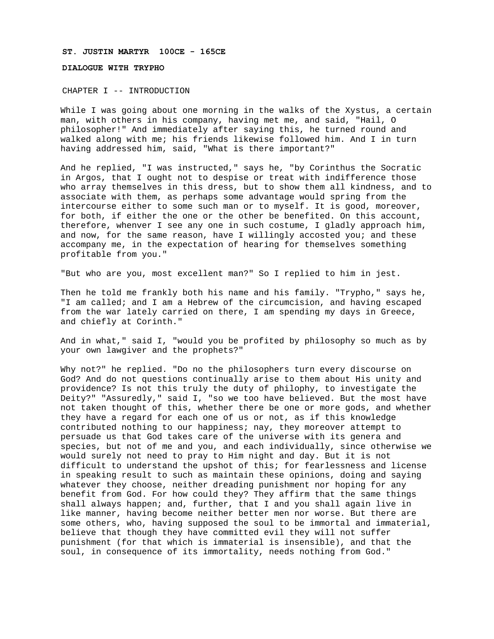## **ST. JUSTIN MARTYR 100CE 165CE**

## **DIALOGUE WITH TRYPHO**

## CHAPTER I -- INTRODUCTION

While I was going about one morning in the walks of the Xystus, a certain man, with others in his company, having met me, and said, "Hail, O philosopher!" And immediately after saying this, he turned round and walked along with me; his friends likewise followed him. And I in turn having addressed him, said, "What is there important?"

And he replied, "I was instructed," says he, "by Corinthus the Socratic in Argos, that I ought not to despise or treat with indifference those who array themselves in this dress, but to show them all kindness, and to associate with them, as perhaps some advantage would spring from the intercourse either to some such man or to myself. It is good, moreover, for both, if either the one or the other be benefited. On this account, therefore, whenver I see any one in such costume, I gladly approach him, and now, for the same reason, have I willingly accosted you; and these accompany me, in the expectation of hearing for themselves something profitable from you."

"But who are you, most excellent man?" So I replied to him in jest.

Then he told me frankly both his name and his family. "Trypho," says he, "I am called; and I am a Hebrew of the circumcision, and having escaped from the war lately carried on there, I am spending my days in Greece, and chiefly at Corinth."

And in what," said I, "would you be profited by philosophy so much as by your own lawgiver and the prophets?"

Why not?" he replied. "Do no the philosophers turn every discourse on God? And do not questions continually arise to them about His unity and providence? Is not this truly the duty of philophy, to investigate the Deity?" "Assuredly," said I, "so we too have believed. But the most have not taken thought of this, whether there be one or more gods, and whether they have a regard for each one of us or not, as if this knowledge contributed nothing to our happiness; nay, they moreover attempt to persuade us that God takes care of the universe with its genera and species, but not of me and you, and each individually, since otherwise we would surely not need to pray to Him night and day. But it is not difficult to understand the upshot of this; for fearlessness and license in speaking result to such as maintain these opinions, doing and saying whatever they choose, neither dreading punishment nor hoping for any benefit from God. For how could they? They affirm that the same things shall always happen; and, further, that I and you shall again live in like manner, having become neither better men nor worse. But there are some others, who, having supposed the soul to be immortal and immaterial, believe that though they have committed evil they will not suffer punishment (for that which is immaterial is insensible), and that the soul, in consequence of its immortality, needs nothing from God."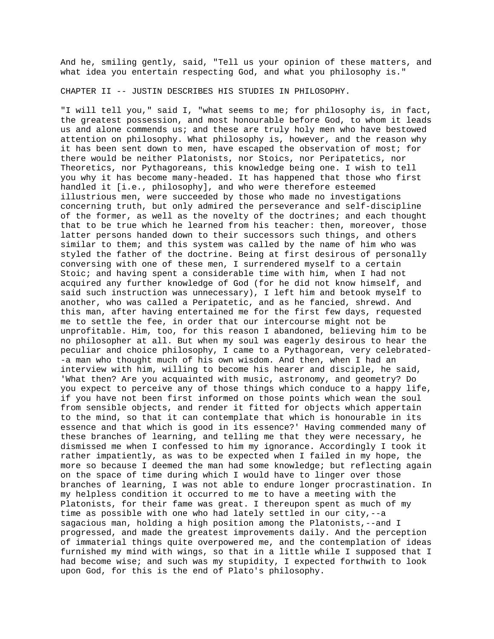And he, smiling gently, said, "Tell us your opinion of these matters, and what idea you entertain respecting God, and what you philosophy is."

CHAPTER II -- JUSTIN DESCRIBES HIS STUDIES IN PHILOSOPHY.

"I will tell you," said I, "what seems to me; for philosophy is, in fact, the greatest possession, and most honourable before God, to whom it leads us and alone commends us; and these are truly holy men who have bestowed attention on philosophy. What philosophy is, however, and the reason why it has been sent down to men, have escaped the observation of most; for there would be neither Platonists, nor Stoics, nor Peripatetics, nor Theoretics, nor Pythagoreans, this knowledge being one. I wish to tell you why it has become many-headed. It has happened that those who first handled it [i.e., philosophy], and who were therefore esteemed illustrious men, were succeeded by those who made no investigations concerning truth, but only admired the perseverance and self-discipline of the former, as well as the novelty of the doctrines; and each thought that to be true which he learned from his teacher: then, moreover, those latter persons handed down to their successors such things, and others similar to them; and this system was called by the name of him who was styled the father of the doctrine. Being at first desirous of personally conversing with one of these men, I surrendered myself to a certain Stoic; and having spent a considerable time with him, when I had not acquired any further knowledge of God (for he did not know himself, and said such instruction was unnecessary), I left him and betook myself to another, who was called a Peripatetic, and as he fancied, shrewd. And this man, after having entertained me for the first few days, requested me to settle the fee, in order that our intercourse might not be unprofitable. Him, too, for this reason I abandoned, believing him to be no philosopher at all. But when my soul was eagerly desirous to hear the peculiar and choice philosophy, I came to a Pythagorean, very celebrated- -a man who thought much of his own wisdom. And then, when I had an interview with him, willing to become his hearer and disciple, he said, 'What then? Are you acquainted with music, astronomy, and geometry? Do you expect to perceive any of those things which conduce to a happy life, if you have not been first informed on those points which wean the soul from sensible objects, and render it fitted for objects which appertain to the mind, so that it can contemplate that which is honourable in its essence and that which is good in its essence?' Having commended many of these branches of learning, and telling me that they were necessary, he dismissed me when I confessed to him my ignorance. Accordingly I took it rather impatiently, as was to be expected when I failed in my hope, the more so because I deemed the man had some knowledge; but reflecting again on the space of time during which I would have to linger over those branches of learning, I was not able to endure longer procrastination. In my helpless condition it occurred to me to have a meeting with the Platonists, for their fame was great. I thereupon spent as much of my time as possible with one who had lately settled in our city,--a sagacious man, holding a high position among the Platonists,--and I progressed, and made the greatest improvements daily. And the perception of immaterial things quite overpowered me, and the contemplation of ideas furnished my mind with wings, so that in a little while I supposed that I had become wise; and such was my stupidity, I expected forthwith to look upon God, for this is the end of Plato's philosophy.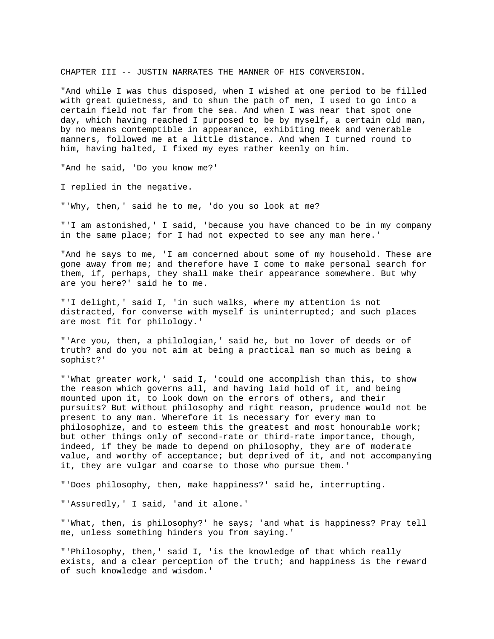CHAPTER III -- JUSTIN NARRATES THE MANNER OF HIS CONVERSION.

"And while I was thus disposed, when I wished at one period to be filled with great quietness, and to shun the path of men, I used to go into a certain field not far from the sea. And when I was near that spot one day, which having reached I purposed to be by myself, a certain old man, by no means contemptible in appearance, exhibiting meek and venerable manners, followed me at a little distance. And when I turned round to him, having halted, I fixed my eyes rather keenly on him.

"And he said, 'Do you know me?'

I replied in the negative.

"'Why, then,' said he to me, 'do you so look at me?

"'I am astonished,' I said, 'because you have chanced to be in my company in the same place; for I had not expected to see any man here.'

"And he says to me, 'I am concerned about some of my household. These are gone away from me; and therefore have I come to make personal search for them, if, perhaps, they shall make their appearance somewhere. But why are you here?' said he to me.

"'I delight,' said I, 'in such walks, where my attention is not distracted, for converse with myself is uninterrupted; and such places are most fit for philology.'

"'Are you, then, a philologian,' said he, but no lover of deeds or of truth? and do you not aim at being a practical man so much as being a sophist?'

"'What greater work,' said I, 'could one accomplish than this, to show the reason which governs all, and having laid hold of it, and being mounted upon it, to look down on the errors of others, and their pursuits? But without philosophy and right reason, prudence would not be present to any man. Wherefore it is necessary for every man to philosophize, and to esteem this the greatest and most honourable work; but other things only of second-rate or third-rate importance, though, indeed, if they be made to depend on philosophy, they are of moderate value, and worthy of acceptance; but deprived of it, and not accompanying it, they are vulgar and coarse to those who pursue them.'

"'Does philosophy, then, make happiness?' said he, interrupting.

"'Assuredly,' I said, 'and it alone.'

"'What, then, is philosophy?' he says; 'and what is happiness? Pray tell me, unless something hinders you from saying.'

"'Philosophy, then,' said I, 'is the knowledge of that which really exists, and a clear perception of the truth; and happiness is the reward of such knowledge and wisdom.'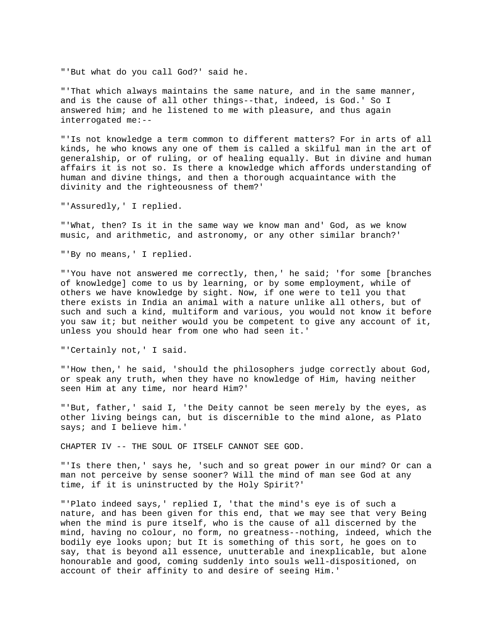"'But what do you call God?' said he.

"'That which always maintains the same nature, and in the same manner, and is the cause of all other things--that, indeed, is God.' So I answered him; and he listened to me with pleasure, and thus again interrogated me:--

"'Is not knowledge a term common to different matters? For in arts of all kinds, he who knows any one of them is called a skilful man in the art of generalship, or of ruling, or of healing equally. But in divine and human affairs it is not so. Is there a knowledge which affords understanding of human and divine things, and then a thorough acquaintance with the divinity and the righteousness of them?'

"'Assuredly,' I replied.

"'What, then? Is it in the same way we know man and' God, as we know music, and arithmetic, and astronomy, or any other similar branch?'

"'By no means,' I replied.

"'You have not answered me correctly, then,' he said; 'for some [branches of knowledge] come to us by learning, or by some employment, while of others we have knowledge by sight. Now, if one were to tell you that there exists in India an animal with a nature unlike all others, but of such and such a kind, multiform and various, you would not know it before you saw it; but neither would you be competent to give any account of it, unless you should hear from one who had seen it.'

"'Certainly not,' I said.

"'How then,' he said, 'should the philosophers judge correctly about God, or speak any truth, when they have no knowledge of Him, having neither seen Him at any time, nor heard Him?'

"'But, father,' said I, 'the Deity cannot be seen merely by the eyes, as other living beings can, but is discernible to the mind alone, as Plato says; and I believe him.'

CHAPTER IV -- THE SOUL OF ITSELF CANNOT SEE GOD.

"'Is there then,' says he, 'such and so great power in our mind? Or can a man not perceive by sense sooner? Will the mind of man see God at any time, if it is uninstructed by the Holy Spirit?'

"'Plato indeed says,' replied I, 'that the mind's eye is of such a nature, and has been given for this end, that we may see that very Being when the mind is pure itself, who is the cause of all discerned by the mind, having no colour, no form, no greatness--nothing, indeed, which the bodily eye looks upon; but It is something of this sort, he goes on to say, that is beyond all essence, unutterable and inexplicable, but alone honourable and good, coming suddenly into souls well-dispositioned, on account of their affinity to and desire of seeing Him.'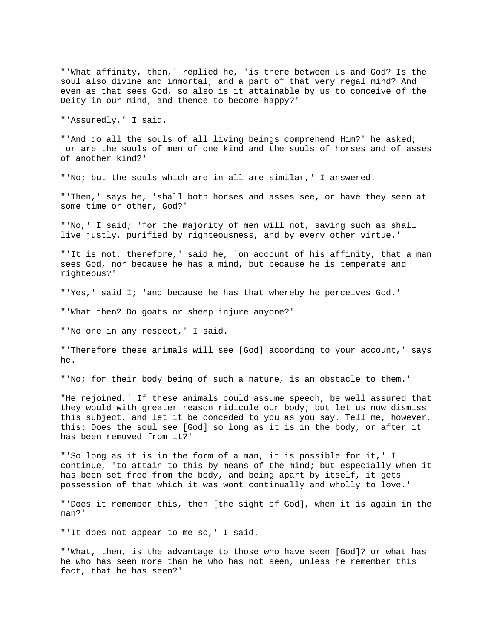"'What affinity, then,' replied he, 'is there between us and God? Is the soul also divine and immortal, and a part of that very regal mind? And even as that sees God, so also is it attainable by us to conceive of the Deity in our mind, and thence to become happy?'

"'Assuredly,' I said.

"'And do all the souls of all living beings comprehend Him?' he asked; 'or are the souls of men of one kind and the souls of horses and of asses of another kind?'

"'No; but the souls which are in all are similar,' I answered.

"'Then,' says he, 'shall both horses and asses see, or have they seen at some time or other, God?'

"'No,' I said; 'for the majority of men will not, saving such as shall live justly, purified by righteousness, and by every other virtue.'

"'It is not, therefore,' said he, 'on account of his affinity, that a man sees God, nor because he has a mind, but because he is temperate and righteous?'

"'Yes,' said I; 'and because he has that whereby he perceives God.'

"'What then? Do goats or sheep injure anyone?'

"'No one in any respect,' I said.

"'Therefore these animals will see [God] according to your account,' says he.

"'No; for their body being of such a nature, is an obstacle to them.'

"He rejoined,' If these animals could assume speech, be well assured that they would with greater reason ridicule our body; but let us now dismiss this subject, and let it be conceded to you as you say. Tell me, however, this: Does the soul see [God] so long as it is in the body, or after it has been removed from it?'

"'So long as it is in the form of a man, it is possible for it,' I continue, 'to attain to this by means of the mind; but especially when it has been set free from the body, and being apart by itself, it gets possession of that which it was wont continually and wholly to love.'

"'Does it remember this, then [the sight of God], when it is again in the man?'

"'It does not appear to me so,' I said.

"'What, then, is the advantage to those who have seen [God]? or what has he who has seen more than he who has not seen, unless he remember this fact, that he has seen?'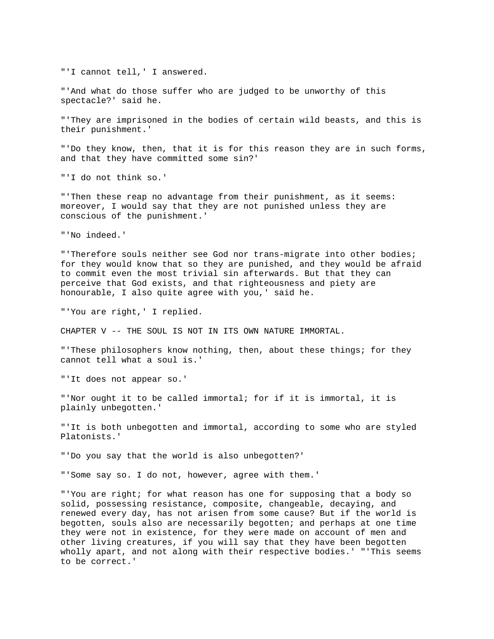"'I cannot tell,' I answered.

"'And what do those suffer who are judged to be unworthy of this spectacle?' said he.

"'They are imprisoned in the bodies of certain wild beasts, and this is their punishment.'

"'Do they know, then, that it is for this reason they are in such forms, and that they have committed some sin?'

"'I do not think so.'

"'Then these reap no advantage from their punishment, as it seems: moreover, I would say that they are not punished unless they are conscious of the punishment.'

"'No indeed.'

"'Therefore souls neither see God nor trans-migrate into other bodies; for they would know that so they are punished, and they would be afraid to commit even the most trivial sin afterwards. But that they can perceive that God exists, and that righteousness and piety are honourable, I also quite agree with you,' said he.

"'You are right,' I replied.

CHAPTER V -- THE SOUL IS NOT IN ITS OWN NATURE IMMORTAL.

"'These philosophers know nothing, then, about these things; for they cannot tell what a soul is.'

"'It does not appear so.'

"'Nor ought it to be called immortal; for if it is immortal, it is plainly unbegotten.'

"'It is both unbegotten and immortal, according to some who are styled Platonists.'

"'Do you say that the world is also unbegotten?'

"'Some say so. I do not, however, agree with them.'

"'You are right; for what reason has one for supposing that a body so solid, possessing resistance, composite, changeable, decaying, and renewed every day, has not arisen from some cause? But if the world is begotten, souls also are necessarily begotten; and perhaps at one time they were not in existence, for they were made on account of men and other living creatures, if you will say that they have been begotten wholly apart, and not along with their respective bodies.' "'This seems to be correct.'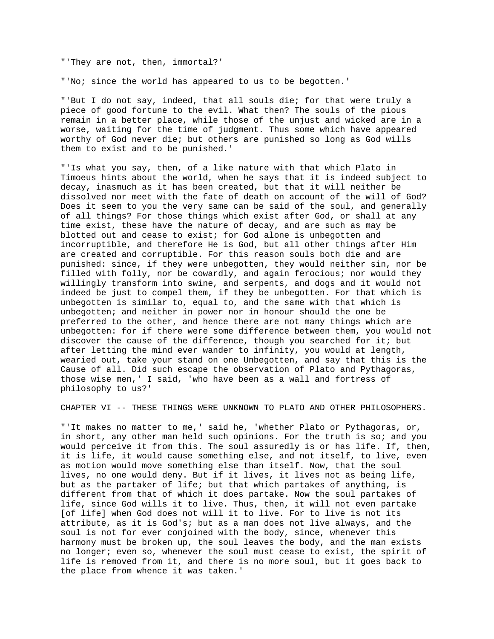"'They are not, then, immortal?'

"'No; since the world has appeared to us to be begotten.'

"'But I do not say, indeed, that all souls die; for that were truly a piece of good fortune to the evil. What then? The souls of the pious remain in a better place, while those of the unjust and wicked are in a worse, waiting for the time of judgment. Thus some which have appeared worthy of God never die; but others are punished so long as God wills them to exist and to be punished.'

"'Is what you say, then, of a like nature with that which Plato in Timoeus hints about the world, when he says that it is indeed subject to decay, inasmuch as it has been created, but that it will neither be dissolved nor meet with the fate of death on account of the will of God? Does it seem to you the very same can be said of the soul, and generally of all things? For those things which exist after God, or shall at any time exist, these have the nature of decay, and are such as may be blotted out and cease to exist; for God alone is unbegotten and incorruptible, and therefore He is God, but all other things after Him are created and corruptible. For this reason souls both die and are punished: since, if they were unbegotten, they would neither sin, nor be filled with folly, nor be cowardly, and again ferocious; nor would they willingly transform into swine, and serpents, and dogs and it would not indeed be just to compel them, if they be unbegotten. For that which is unbegotten is similar to, equal to, and the same with that which is unbegotten; and neither in power nor in honour should the one be preferred to the other, and hence there are not many things which are unbegotten: for if there were some difference between them, you would not discover the cause of the difference, though you searched for it; but after letting the mind ever wander to infinity, you would at length, wearied out, take your stand on one Unbegotten, and say that this is the Cause of all. Did such escape the observation of Plato and Pythagoras, those wise men,' I said, 'who have been as a wall and fortress of philosophy to us?'

CHAPTER VI -- THESE THINGS WERE UNKNOWN TO PLATO AND OTHER PHILOSOPHERS.

"'It makes no matter to me,' said he, 'whether Plato or Pythagoras, or, in short, any other man held such opinions. For the truth is so; and you would perceive it from this. The soul assuredly is or has life. If, then, it is life, it would cause something else, and not itself, to live, even as motion would move something else than itself. Now, that the soul lives, no one would deny. But if it lives, it lives not as being life, but as the partaker of life; but that which partakes of anything, is different from that of which it does partake. Now the soul partakes of life, since God wills it to live. Thus, then, it will not even partake [of life] when God does not will it to live. For to live is not its attribute, as it is God's; but as a man does not live always, and the soul is not for ever conjoined with the body, since, whenever this harmony must be broken up, the soul leaves the body, and the man exists no longer; even so, whenever the soul must cease to exist, the spirit of life is removed from it, and there is no more soul, but it goes back to the place from whence it was taken.'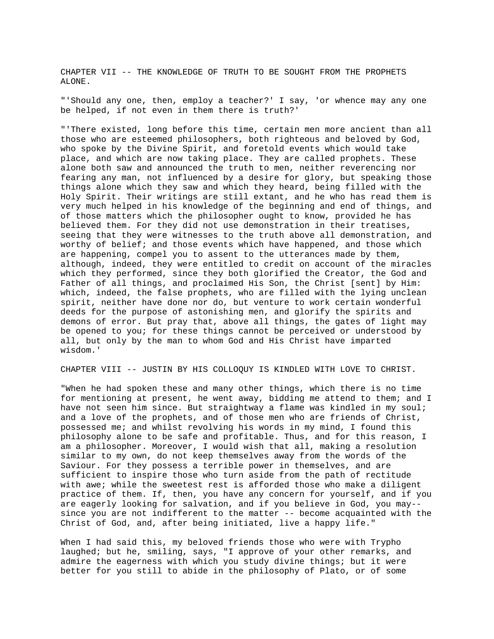CHAPTER VII -- THE KNOWLEDGE OF TRUTH TO BE SOUGHT FROM THE PROPHETS ALONE.

"'Should any one, then, employ a teacher?' I say, 'or whence may any one be helped, if not even in them there is truth?'

"'There existed, long before this time, certain men more ancient than all those who are esteemed philosophers, both righteous and beloved by God, who spoke by the Divine Spirit, and foretold events which would take place, and which are now taking place. They are called prophets. These alone both saw and announced the truth to men, neither reverencing nor fearing any man, not influenced by a desire for glory, but speaking those things alone which they saw and which they heard, being filled with the Holy Spirit. Their writings are still extant, and he who has read them is very much helped in his knowledge of the beginning and end of things, and of those matters which the philosopher ought to know, provided he has believed them. For they did not use demonstration in their treatises, seeing that they were witnesses to the truth above all demonstration, and worthy of belief; and those events which have happened, and those which are happening, compel you to assent to the utterances made by them, although, indeed, they were entitled to credit on account of the miracles which they performed, since they both glorified the Creator, the God and Father of all things, and proclaimed His Son, the Christ [sent] by Him: which, indeed, the false prophets, who are filled with the lying unclean spirit, neither have done nor do, but venture to work certain wonderful deeds for the purpose of astonishing men, and glorify the spirits and demons of error. But pray that, above all things, the gates of light may be opened to you; for these things cannot be perceived or understood by all, but only by the man to whom God and His Christ have imparted wisdom.'

CHAPTER VIII -- JUSTIN BY HIS COLLOQUY IS KINDLED WITH LOVE TO CHRIST.

"When he had spoken these and many other things, which there is no time for mentioning at present, he went away, bidding me attend to them; and I have not seen him since. But straightway a flame was kindled in my soul; and a love of the prophets, and of those men who are friends of Christ, possessed me; and whilst revolving his words in my mind, I found this philosophy alone to be safe and profitable. Thus, and for this reason, I am a philosopher. Moreover, I would wish that all, making a resolution similar to my own, do not keep themselves away from the words of the Saviour. For they possess a terrible power in themselves, and are sufficient to inspire those who turn aside from the path of rectitude with awe; while the sweetest rest is afforded those who make a diligent practice of them. If, then, you have any concern for yourself, and if you are eagerly looking for salvation, and if you believe in God, you may- since you are not indifferent to the matter -- become acquainted with the Christ of God, and, after being initiated, live a happy life."

When I had said this, my beloved friends those who were with Trypho laughed; but he, smiling, says, "I approve of your other remarks, and admire the eagerness with which you study divine things; but it were better for you still to abide in the philosophy of Plato, or of some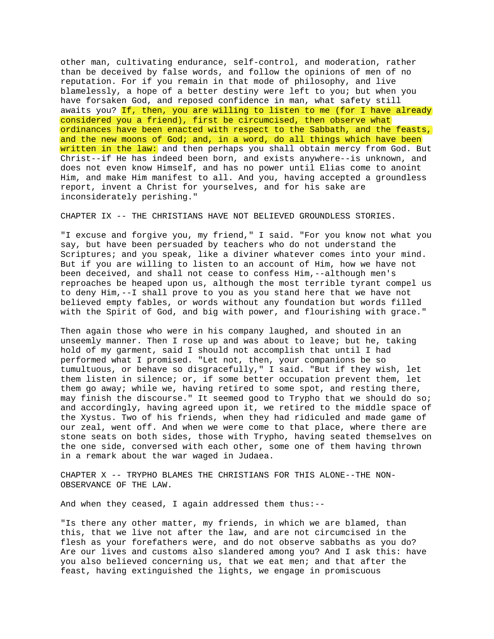other man, cultivating endurance, self-control, and moderation, rather than be deceived by false words, and follow the opinions of men of no reputation. For if you remain in that mode of philosophy, and live blamelessly, a hope of a better destiny were left to you; but when you have forsaken God, and reposed confidence in man, what safety still awaits you? If, then, you are willing to listen to me (for I have already considered you a friend), first be circumcised, then observe what ordinances have been enacted with respect to the Sabbath, and the feasts, and the new moons of God; and, in a word, do all things which have been written in the law: and then perhaps you shall obtain mercy from God. But Christ--if He has indeed been born, and exists anywhere--is unknown, and does not even know Himself, and has no power until Elias come to anoint Him, and make Him manifest to all. And you, having accepted a groundless report, invent a Christ for yourselves, and for his sake are inconsiderately perishing."

CHAPTER IX -- THE CHRISTIANS HAVE NOT BELIEVED GROUNDLESS STORIES.

"I excuse and forgive you, my friend," I said. "For you know not what you say, but have been persuaded by teachers who do not understand the Scriptures; and you speak, like a diviner whatever comes into your mind. But if you are willing to listen to an account of Him, how we have not been deceived, and shall not cease to confess Him,--although men's reproaches be heaped upon us, although the most terrible tyrant compel us to deny Him,--I shall prove to you as you stand here that we have not believed empty fables, or words without any foundation but words filled with the Spirit of God, and big with power, and flourishing with grace."

Then again those who were in his company laughed, and shouted in an unseemly manner. Then I rose up and was about to leave; but he, taking hold of my garment, said I should not accomplish that until I had performed what I promised. "Let not, then, your companions be so tumultuous, or behave so disgracefully," I said. "But if they wish, let them listen in silence; or, if some better occupation prevent them, let them go away; while we, having retired to some spot, and resting there, may finish the discourse." It seemed good to Trypho that we should do so; and accordingly, having agreed upon it, we retired to the middle space of the Xystus. Two of his friends, when they had ridiculed and made game of our zeal, went off. And when we were come to that place, where there are stone seats on both sides, those with Trypho, having seated themselves on the one side, conversed with each other, some one of them having thrown in a remark about the war waged in Judaea.

CHAPTER X -- TRYPHO BLAMES THE CHRISTIANS FOR THIS ALONE--THE NON-OBSERVANCE OF THE LAW.

And when they ceased, I again addressed them thus:--

"Is there any other matter, my friends, in which we are blamed, than this, that we live not after the law, and are not circumcised in the flesh as your forefathers were, and do not observe sabbaths as you do? Are our lives and customs also slandered among you? And I ask this: have you also believed concerning us, that we eat men; and that after the feast, having extinguished the lights, we engage in promiscuous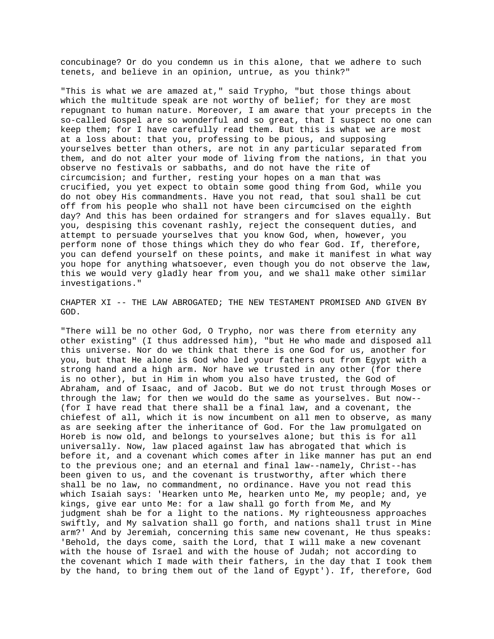concubinage? Or do you condemn us in this alone, that we adhere to such tenets, and believe in an opinion, untrue, as you think?"

"This is what we are amazed at," said Trypho, "but those things about which the multitude speak are not worthy of belief; for they are most repugnant to human nature. Moreover, I am aware that your precepts in the so-called Gospel are so wonderful and so great, that I suspect no one can keep them; for I have carefully read them. But this is what we are most at a loss about: that you, professing to be pious, and supposing yourselves better than others, are not in any particular separated from them, and do not alter your mode of living from the nations, in that you observe no festivals or sabbaths, and do not have the rite of circumcision; and further, resting your hopes on a man that was crucified, you yet expect to obtain some good thing from God, while you do not obey His commandments. Have you not read, that soul shall be cut off from his people who shall not have been circumcised on the eighth day? And this has been ordained for strangers and for slaves equally. But you, despising this covenant rashly, reject the consequent duties, and attempt to persuade yourselves that you know God, when, however, you perform none of those things which they do who fear God. If, therefore, you can defend yourself on these points, and make it manifest in what way you hope for anything whatsoever, even though you do not observe the law, this we would very gladly hear from you, and we shall make other similar investigations."

CHAPTER XI -- THE LAW ABROGATED; THE NEW TESTAMENT PROMISED AND GIVEN BY GOD.

"There will be no other God, O Trypho, nor was there from eternity any other existing" (I thus addressed him), "but He who made and disposed all this universe. Nor do we think that there is one God for us, another for you, but that He alone is God who led your fathers out from Egypt with a strong hand and a high arm. Nor have we trusted in any other (for there is no other), but in Him in whom you also have trusted, the God of Abraham, and of Isaac, and of Jacob. But we do not trust through Moses or through the law; for then we would do the same as yourselves. But now-- (for I have read that there shall be a final law, and a covenant, the chiefest of all, which it is now incumbent on all men to observe, as many as are seeking after the inheritance of God. For the law promulgated on Horeb is now old, and belongs to yourselves alone; but this is for all universally. Now, law placed against law has abrogated that which is before it, and a covenant which comes after in like manner has put an end to the previous one; and an eternal and final law--namely, Christ--has been given to us, and the covenant is trustworthy, after which there shall be no law, no commandment, no ordinance. Have you not read this which Isaiah says: 'Hearken unto Me, hearken unto Me, my people; and, ye kings, give ear unto Me: for a law shall go forth from Me, and My judgment shah be for a light to the nations. My righteousness approaches swiftly, and My salvation shall go forth, and nations shall trust in Mine arm?' And by Jeremiah, concerning this same new covenant, He thus speaks: 'Behold, the days come, saith the Lord, that I will make a new covenant with the house of Israel and with the house of Judah; not according to the covenant which I made with their fathers, in the day that I took them by the hand, to bring them out of the land of Egypt'). If, therefore, God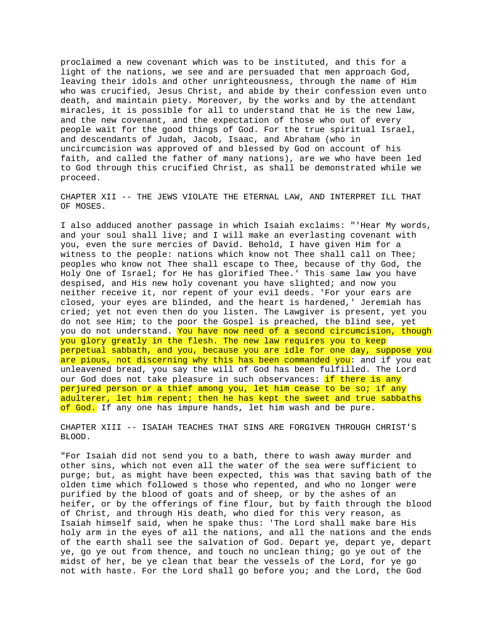proclaimed a new covenant which was to be instituted, and this for a light of the nations, we see and are persuaded that men approach God, leaving their idols and other unrighteousness, through the name of Him who was crucified, Jesus Christ, and abide by their confession even unto death, and maintain piety. Moreover, by the works and by the attendant miracles, it is possible for all to understand that He is the new law, and the new covenant, and the expectation of those who out of every people wait for the good things of God. For the true spiritual Israel, and descendants of Judah, Jacob, Isaac, and Abraham (who in uncircumcision was approved of and blessed by God on account of his faith, and called the father of many nations), are we who have been led to God through this crucified Christ, as shall be demonstrated while we proceed.

CHAPTER XII -- THE JEWS VIOLATE THE ETERNAL LAW, AND INTERPRET ILL THAT OF MOSES.

I also adduced another passage in which Isaiah exclaims: "'Hear My words, and your soul shall live; and I will make an everlasting covenant with you, even the sure mercies of David. Behold, I have given Him for a witness to the people: nations which know not Thee shall call on Thee; peoples who know not Thee shall escape to Thee, because of thy God, the Holy One of Israel; for He has glorified Thee.' This same law you have despised, and His new holy covenant you have slighted; and now you neither receive it, nor repent of your evil deeds. 'For your ears are closed, your eyes are blinded, and the heart is hardened,' Jeremiah has cried; yet not even then do you listen. The Lawgiver is present, yet you do not see Him; to the poor the Gospel is preached, the blind see, yet you do not understand. You have now need of a second circumcision, though you glory greatly in the flesh. The new law requires you to keep perpetual sabbath, and you, because you are idle for one day, suppose you are pious, not discerning why this has been commanded you: and if you eat unleavened bread, you say the will of God has been fulfilled. The Lord our God does not take pleasure in such observances: if there is any perjured person or a thief among you, let him cease to be so; if any adulterer, let him repent; then he has kept the sweet and true sabbaths of God. If any one has impure hands, let him wash and be pure.

CHAPTER XIII -- ISAIAH TEACHES THAT SINS ARE FORGIVEN THROUGH CHRIST'S BLOOD.

"For Isaiah did not send you to a bath, there to wash away murder and other sins, which not even all the water of the sea were sufficient to purge; but, as might have been expected, this was that saving bath of the olden time which followed s those who repented, and who no longer were purified by the blood of goats and of sheep, or by the ashes of an heifer, or by the offerings of fine flour, but by faith through the blood of Christ, and through His death, who died for this very reason, as Isaiah himself said, when he spake thus: 'The Lord shall make bare His holy arm in the eyes of all the nations, and all the nations and the ends of the earth shall see the salvation of God. Depart ye, depart ye, depart ye, go ye out from thence, and touch no unclean thing; go ye out of the midst of her, be ye clean that bear the vessels of the Lord, for ye go not with haste. For the Lord shall go before you; and the Lord, the God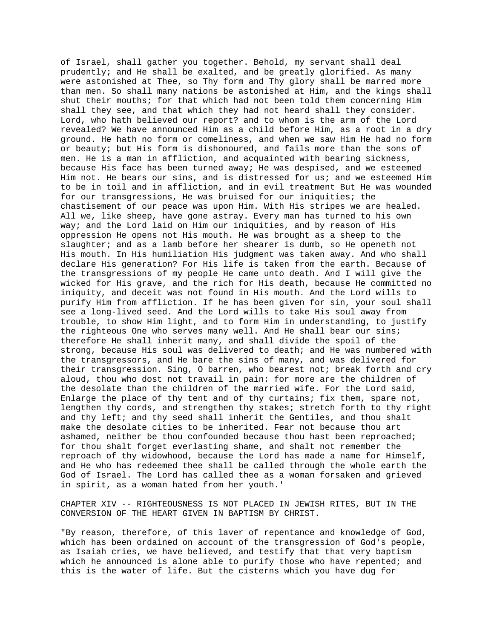of Israel, shall gather you together. Behold, my servant shall deal prudently; and He shall be exalted, and be greatly glorified. As many were astonished at Thee, so Thy form and Thy glory shall be marred more than men. So shall many nations be astonished at Him, and the kings shall shut their mouths; for that which had not been told them concerning Him shall they see, and that which they had not heard shall they consider. Lord, who hath believed our report? and to whom is the arm of the Lord revealed? We have announced Him as a child before Him, as a root in a dry ground. He hath no form or comeliness, and when we saw Him He had no form or beauty; but His form is dishonoured, and fails more than the sons of men. He is a man in affliction, and acquainted with bearing sickness, because His face has been turned away; He was despised, and we esteemed Him not. He bears our sins, and is distressed for us; and we esteemed Him to be in toil and in affliction, and in evil treatment But He was wounded for our transgressions, He was bruised for our iniquities; the chastisement of our peace was upon Him. With His stripes we are healed. All we, like sheep, have gone astray. Every man has turned to his own way; and the Lord laid on Him our iniquities, and by reason of His oppression He opens not His mouth. He was brought as a sheep to the slaughter; and as a lamb before her shearer is dumb, so He openeth not His mouth. In His humiliation His judgment was taken away. And who shall declare His generation? For His life is taken from the earth. Because of the transgressions of my people He came unto death. And I will give the wicked for His grave, and the rich for His death, because He committed no iniquity, and deceit was not found in His mouth. And the Lord wills to purify Him from affliction. If he has been given for sin, your soul shall see a long-lived seed. And the Lord wills to take His soul away from trouble, to show Him light, and to form Him in understanding, to justify the righteous One who serves many well. And He shall bear our sins; therefore He shall inherit many, and shall divide the spoil of the strong, because His soul was delivered to death; and He was numbered with the transgressors, and He bare the sins of many, and was delivered for their transgression. Sing, O barren, who bearest not; break forth and cry aloud, thou who dost not travail in pain: for more are the children of the desolate than the children of the married wife. For the Lord said, Enlarge the place of thy tent and of thy curtains; fix them, spare not, lengthen thy cords, and strengthen thy stakes; stretch forth to thy right and thy left; and thy seed shall inherit the Gentiles, and thou shalt make the desolate cities to be inherited. Fear not because thou art ashamed, neither be thou confounded because thou hast been reproached; for thou shalt forget everlasting shame, and shalt not remember the reproach of thy widowhood, because the Lord has made a name for Himself, and He who has redeemed thee shall be called through the whole earth the God of Israel. The Lord has called thee as a woman forsaken and grieved in spirit, as a woman hated from her youth.'

CHAPTER XIV -- RIGHTEOUSNESS IS NOT PLACED IN JEWISH RITES, BUT IN THE CONVERSION OF THE HEART GIVEN IN BAPTISM BY CHRIST.

"By reason, therefore, of this laver of repentance and knowledge of God, which has been ordained on account of the transgression of God's people, as Isaiah cries, we have believed, and testify that that very baptism which he announced is alone able to purify those who have repented; and this is the water of life. But the cisterns which you have dug for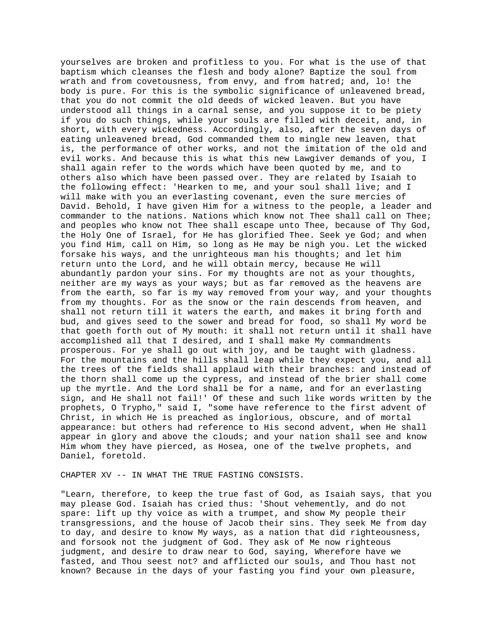yourselves are broken and profitless to you. For what is the use of that baptism which cleanses the flesh and body alone? Baptize the soul from wrath and from covetousness, from envy, and from hatred; and, lo! the body is pure. For this is the symbolic significance of unleavened bread, that you do not commit the old deeds of wicked leaven. But you have understood all things in a carnal sense, and you suppose it to be piety if you do such things, while your souls are filled with deceit, and, in short, with every wickedness. Accordingly, also, after the seven days of eating unleavened bread, God commanded them to mingle new leaven, that is, the performance of other works, and not the imitation of the old and evil works. And because this is what this new Lawgiver demands of you, I shall again refer to the words which have been quoted by me, and to others also which have been passed over. They are related by Isaiah to the following effect: 'Hearken to me, and your soul shall live; and I will make with you an everlasting covenant, even the sure mercies of David. Behold, I have given Him for a witness to the people, a leader and commander to the nations. Nations which know not Thee shall call on Thee; and peoples who know not Thee shall escape unto Thee, because of Thy God, the Holy One of Israel, for He has glorified Thee. Seek ye God; and when you find Him, call on Him, so long as He may be nigh you. Let the wicked forsake his ways, and the unrighteous man his thoughts; and let him return unto the Lord, and he will obtain mercy, because He will abundantly pardon your sins. For my thoughts are not as your thoughts, neither are my ways as your ways; but as far removed as the heavens are from the earth, so far is my way removed from your way, and your thoughts from my thoughts. For as the snow or the rain descends from heaven, and shall not return till it waters the earth, and makes it bring forth and bud, and gives seed to the sower and bread for food, so shall My word be that goeth forth out of My mouth: it shall not return until it shall have accomplished all that I desired, and I shall make My commandments prosperous. For ye shall go out with joy, and be taught with gladness. For the mountains and the hills shall leap while they expect you, and all the trees of the fields shall applaud with their branches: and instead of the thorn shall come up the cypress, and instead of the brier shall come up the myrtle. And the Lord shall be for a name, and for an everlasting sign, and He shall not fail!' Of these and such like words written by the prophets, O Trypho," said I, "some have reference to the first advent of Christ, in which He is preached as inglorious, obscure, and of mortal appearance: but others had reference to His second advent, when He shall appear in glory and above the clouds; and your nation shall see and know Him whom they have pierced, as Hosea, one of the twelve prophets, and Daniel, foretold.

CHAPTER XV -- IN WHAT THE TRUE FASTING CONSISTS.

"Learn, therefore, to keep the true fast of God, as Isaiah says, that you may please God. Isaiah has cried thus: 'Shout vehemently, and do not spare: lift up thy voice as with a trumpet, and show My people their transgressions, and the house of Jacob their sins. They seek Me from day to day, and desire to know My ways, as a nation that did righteousness, and forsook not the judgment of God. They ask of Me now righteous judgment, and desire to draw near to God, saying, Wherefore have we fasted, and Thou seest not? and afflicted our souls, and Thou hast not known? Because in the days of your fasting you find your own pleasure,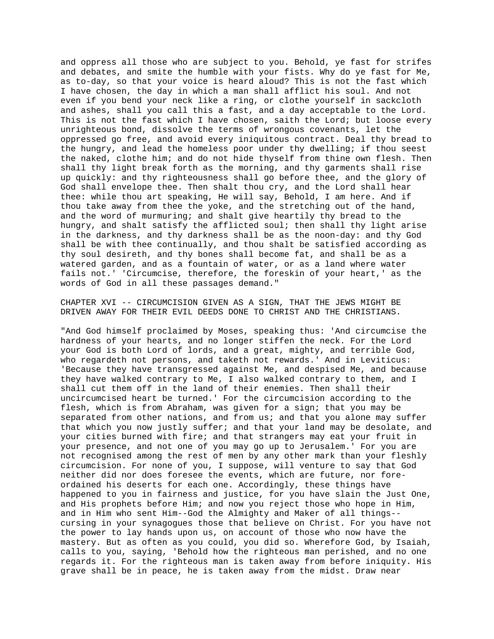and oppress all those who are subject to you. Behold, ye fast for strifes and debates, and smite the humble with your fists. Why do ye fast for Me, as to-day, so that your voice is heard aloud? This is not the fast which I have chosen, the day in which a man shall afflict his soul. And not even if you bend your neck like a ring, or clothe yourself in sackcloth and ashes, shall you call this a fast, and a day acceptable to the Lord. This is not the fast which I have chosen, saith the Lord; but loose every unrighteous bond, dissolve the terms of wrongous covenants, let the oppressed go free, and avoid every iniquitous contract. Deal thy bread to the hungry, and lead the homeless poor under thy dwelling; if thou seest the naked, clothe him; and do not hide thyself from thine own flesh. Then shall thy light break forth as the morning, and thy garments shall rise up quickly: and thy righteousness shall go before thee, and the glory of God shall envelope thee. Then shalt thou cry, and the Lord shall hear thee: while thou art speaking, He will say, Behold, I am here. And if thou take away from thee the yoke, and the stretching out of the hand, and the word of murmuring; and shalt give heartily thy bread to the hungry, and shalt satisfy the afflicted soul; then shall thy light arise in the darkness, and thy darkness shall be as the noon-day: and thy God shall be with thee continually, and thou shalt be satisfied according as thy soul desireth, and thy bones shall become fat, and shall be as a watered garden, and as a fountain of water, or as a land where water fails not.' 'Circumcise, therefore, the foreskin of your heart,' as the words of God in all these passages demand."

CHAPTER XVI -- CIRCUMCISION GIVEN AS A SIGN, THAT THE JEWS MIGHT BE DRIVEN AWAY FOR THEIR EVIL DEEDS DONE TO CHRIST AND THE CHRISTIANS.

"And God himself proclaimed by Moses, speaking thus: 'And circumcise the hardness of your hearts, and no longer stiffen the neck. For the Lord your God is both Lord of lords, and a great, mighty, and terrible God, who regardeth not persons, and taketh not rewards.' And in Leviticus: 'Because they have transgressed against Me, and despised Me, and because they have walked contrary to Me, I also walked contrary to them, and I shall cut them off in the land of their enemies. Then shall their uncircumcised heart be turned.' For the circumcision according to the flesh, which is from Abraham, was given for a sign; that you may be separated from other nations, and from us; and that you alone may suffer that which you now justly suffer; and that your land may be desolate, and your cities burned with fire; and that strangers may eat your fruit in your presence, and not one of you may go up to Jerusalem.' For you are not recognised among the rest of men by any other mark than your fleshly circumcision. For none of you, I suppose, will venture to say that God neither did nor does foresee the events, which are future, nor foreordained his deserts for each one. Accordingly, these things have happened to you in fairness and justice, for you have slain the Just One, and His prophets before Him; and now you reject those who hope in Him, and in Him who sent Him--God the Almighty and Maker of all things- cursing in your synagogues those that believe on Christ. For you have not the power to lay hands upon us, on account of those who now have the mastery. But as often as you could, you did so. Wherefore God, by Isaiah, calls to you, saying, 'Behold how the righteous man perished, and no one regards it. For the righteous man is taken away from before iniquity. His grave shall be in peace, he is taken away from the midst. Draw near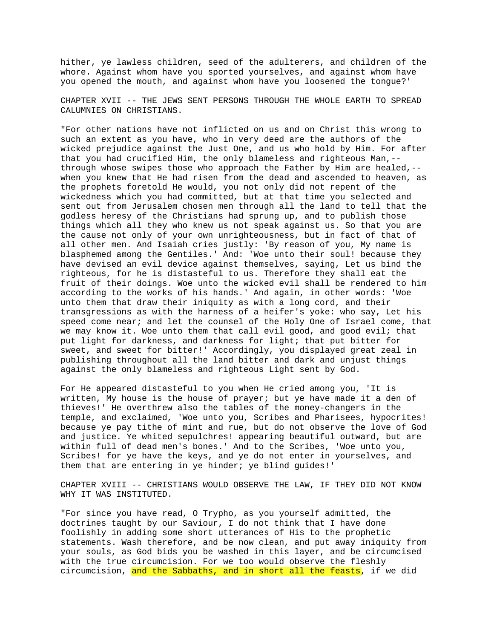hither, ye lawless children, seed of the adulterers, and children of the whore. Against whom have you sported yourselves, and against whom have you opened the mouth, and against whom have you loosened the tongue?'

CHAPTER XVII -- THE JEWS SENT PERSONS THROUGH THE WHOLE EARTH TO SPREAD CALUMNIES ON CHRISTIANS.

"For other nations have not inflicted on us and on Christ this wrong to such an extent as you have, who in very deed are the authors of the wicked prejudice against the Just One, and us who hold by Him. For after that you had crucified Him, the only blameless and righteous Man,- through whose swipes those who approach the Father by Him are healed,- when you knew that He had risen from the dead and ascended to heaven, as the prophets foretold He would, you not only did not repent of the wickedness which you had committed, but at that time you selected and sent out from Jerusalem chosen men through all the land to tell that the godless heresy of the Christians had sprung up, and to publish those things which all they who knew us not speak against us. So that you are the cause not only of your own unrighteousness, but in fact of that of all other men. And Isaiah cries justly: 'By reason of you, My name is blasphemed among the Gentiles.' And: 'Woe unto their soul! because they have devised an evil device against themselves, saying, Let us bind the righteous, for he is distasteful to us. Therefore they shall eat the fruit of their doings. Woe unto the wicked evil shall be rendered to him according to the works of his hands.' And again, in other words: 'Woe unto them that draw their iniquity as with a long cord, and their transgressions as with the harness of a heifer's yoke: who say, Let his speed come near; and let the counsel of the Holy One of Israel come, that we may know it. Woe unto them that call evil good, and good evil; that put light for darkness, and darkness for light; that put bitter for sweet, and sweet for bitter!' Accordingly, you displayed great zeal in publishing throughout all the land bitter and dark and unjust things against the only blameless and righteous Light sent by God.

For He appeared distasteful to you when He cried among you, 'It is written, My house is the house of prayer; but ye have made it a den of thieves!' He overthrew also the tables of the money-changers in the temple, and exclaimed, 'Woe unto you, Scribes and Pharisees, hypocrites! because ye pay tithe of mint and rue, but do not observe the love of God and justice. Ye whited sepulchres! appearing beautiful outward, but are within full of dead men's bones.' And to the Scribes, 'Woe unto you, Scribes! for ye have the keys, and ye do not enter in yourselves, and them that are entering in ye hinder; ye blind guides!'

CHAPTER XVIII -- CHRISTIANS WOULD OBSERVE THE LAW, IF THEY DID NOT KNOW WHY IT WAS INSTITUTED.

"For since you have read, O Trypho, as you yourself admitted, the doctrines taught by our Saviour, I do not think that I have done foolishly in adding some short utterances of His to the prophetic statements. Wash therefore, and be now clean, and put away iniquity from your souls, as God bids you be washed in this layer, and be circumcised with the true circumcision. For we too would observe the fleshly circumcision, and the Sabbaths, and in short all the feasts, if we did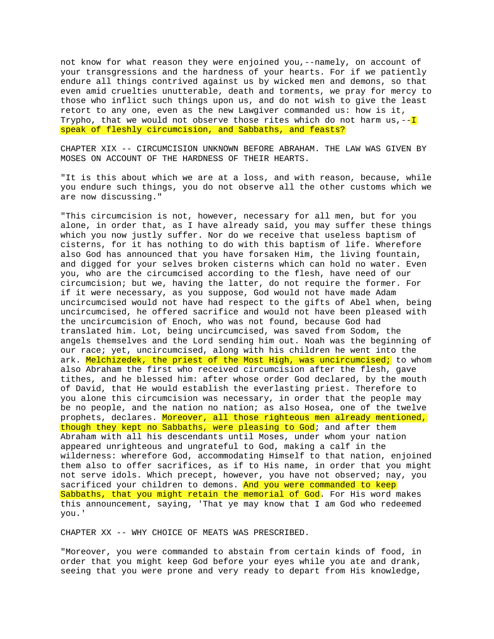not know for what reason they were enjoined you,--namely, on account of your transgressions and the hardness of your hearts. For if we patiently endure all things contrived against us by wicked men and demons, so that even amid cruelties unutterable, death and torments, we pray for mercy to those who inflict such things upon us, and do not wish to give the least retort to any one, even as the new Lawgiver commanded us: how is it, Trypho, that we would not observe those rites which do not harm us, $-\frac{1}{\Gamma}$ speak of fleshly circumcision, and Sabbaths, and feasts?

CHAPTER XIX -- CIRCUMCISION UNKNOWN BEFORE ABRAHAM. THE LAW WAS GIVEN BY MOSES ON ACCOUNT OF THE HARDNESS OF THEIR HEARTS.

"It is this about which we are at a loss, and with reason, because, while you endure such things, you do not observe all the other customs which we are now discussing."

"This circumcision is not, however, necessary for all men, but for you alone, in order that, as I have already said, you may suffer these things which you now justly suffer. Nor do we receive that useless baptism of cisterns, for it has nothing to do with this baptism of life. Wherefore also God has announced that you have forsaken Him, the living fountain, and digged for your selves broken cisterns which can hold no water. Even you, who are the circumcised according to the flesh, have need of our circumcision; but we, having the latter, do not require the former. For if it were necessary, as you suppose, God would not have made Adam uncircumcised would not have had respect to the gifts of Abel when, being uncircumcised, he offered sacrifice and would not have been pleased with the uncircumcision of Enoch, who was not found, because God had translated him. Lot, being uncircumcised, was saved from Sodom, the angels themselves and the Lord sending him out. Noah was the beginning of our race; yet, uncircumcised, along with his children he went into the ark. Melchizedek, the priest of the Most High, was uncircumcised; to whom also Abraham the first who received circumcision after the flesh, gave tithes, and he blessed him: after whose order God declared, by the mouth of David, that He would establish the everlasting priest. Therefore to you alone this circumcision was necessary, in order that the people may be no people, and the nation no nation; as also Hosea, one of the twelve prophets, declares. Moreover, all those righteous men already mentioned, though they kept no Sabbaths, were pleasing to God; and after them Abraham with all his descendants until Moses, under whom your nation appeared unrighteous and ungrateful to God, making a calf in the wilderness: wherefore God, accommodating Himself to that nation, enjoined them also to offer sacrifices, as if to His name, in order that you might not serve idols. Which precept, however, you have not observed; nay, you sacrificed your children to demons. And you were commanded to keep Sabbaths, that you might retain the memorial of God. For His word makes this announcement, saying, 'That ye may know that I am God who redeemed you.'

CHAPTER XX -- WHY CHOICE OF MEATS WAS PRESCRIBED.

"Moreover, you were commanded to abstain from certain kinds of food, in order that you might keep God before your eyes while you ate and drank, seeing that you were prone and very ready to depart from His knowledge,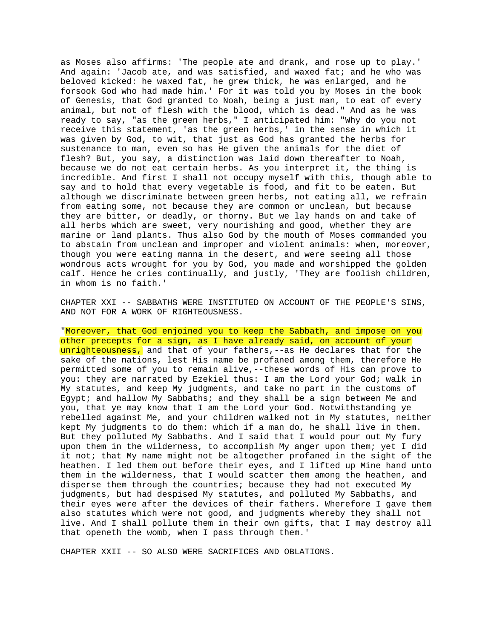as Moses also affirms: 'The people ate and drank, and rose up to play.' And again: 'Jacob ate, and was satisfied, and waxed fat; and he who was beloved kicked: he waxed fat, he grew thick, he was enlarged, and he forsook God who had made him.' For it was told you by Moses in the book of Genesis, that God granted to Noah, being a just man, to eat of every animal, but not of flesh with the blood, which is dead." And as he was ready to say, "as the green herbs," I anticipated him: "Why do you not receive this statement, 'as the green herbs,' in the sense in which it was given by God, to wit, that just as God has granted the herbs for sustenance to man, even so has He given the animals for the diet of flesh? But, you say, a distinction was laid down thereafter to Noah, because we do not eat certain herbs. As you interpret it, the thing is incredible. And first I shall not occupy myself with this, though able to say and to hold that every vegetable is food, and fit to be eaten. But although we discriminate between green herbs, not eating all, we refrain from eating some, not because they are common or unclean, but because they are bitter, or deadly, or thorny. But we lay hands on and take of all herbs which are sweet, very nourishing and good, whether they are marine or land plants. Thus also God by the mouth of Moses commanded you to abstain from unclean and improper and violent animals: when, moreover, though you were eating manna in the desert, and were seeing all those wondrous acts wrought for you by God, you made and worshipped the golden calf. Hence he cries continually, and justly, 'They are foolish children, in whom is no faith.'

CHAPTER XXI -- SABBATHS WERE INSTITUTED ON ACCOUNT OF THE PEOPLE'S SINS, AND NOT FOR A WORK OF RIGHTEOUSNESS.

"Moreover, that God enjoined you to keep the Sabbath, and impose on you other precepts for a sign, as I have already said, on account of your unrighteousness, and that of your fathers,--as He declares that for the sake of the nations, lest His name be profaned among them, therefore He permitted some of you to remain alive,--these words of His can prove to you: they are narrated by Ezekiel thus: I am the Lord your God; walk in My statutes, and keep My judgments, and take no part in the customs of Egypt; and hallow My Sabbaths; and they shall be a sign between Me and you, that ye may know that I am the Lord your God. Notwithstanding ye rebelled against Me, and your children walked not in My statutes, neither kept My judgments to do them: which if a man do, he shall live in them. But they polluted My Sabbaths. And I said that I would pour out My fury upon them in the wilderness, to accomplish My anger upon them; yet I did it not; that My name might not be altogether profaned in the sight of the heathen. I led them out before their eyes, and I lifted up Mine hand unto them in the wilderness, that I would scatter them among the heathen, and disperse them through the countries; because they had not executed My judgments, but had despised My statutes, and polluted My Sabbaths, and their eyes were after the devices of their fathers. Wherefore I gave them also statutes which were not good, and judgments whereby they shall not live. And I shall pollute them in their own gifts, that I may destroy all that openeth the womb, when I pass through them.'

CHAPTER XXII -- SO ALSO WERE SACRIFICES AND OBLATIONS.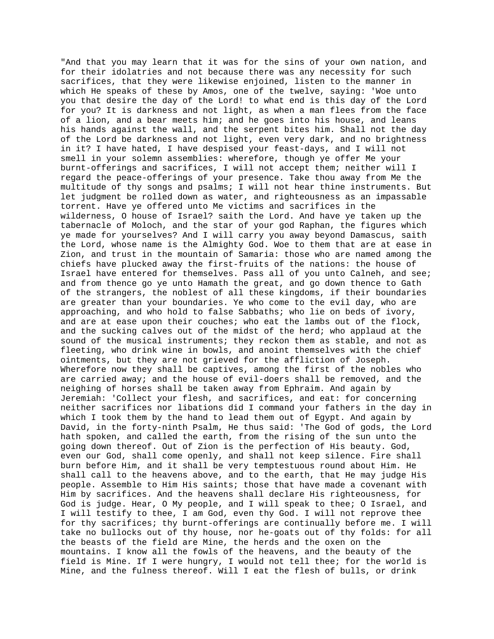"And that you may learn that it was for the sins of your own nation, and for their idolatries and not because there was any necessity for such sacrifices, that they were likewise enjoined, listen to the manner in which He speaks of these by Amos, one of the twelve, saying: 'Woe unto you that desire the day of the Lord! to what end is this day of the Lord for you? It is darkness and not light, as when a man flees from the face of a lion, and a bear meets him; and he goes into his house, and leans his hands against the wall, and the serpent bites him. Shall not the day of the Lord be darkness and not light, even very dark, and no brightness in it? I have hated, I have despised your feast-days, and I will not smell in your solemn assemblies: wherefore, though ye offer Me your burnt-offerings and sacrifices, I will not accept them; neither will I regard the peace-offerings of your presence. Take thou away from Me the multitude of thy songs and psalms; I will not hear thine instruments. But let judgment be rolled down as water, and righteousness as an impassable torrent. Have ye offered unto Me victims and sacrifices in the wilderness, O house of Israel? saith the Lord. And have ye taken up the tabernacle of Moloch, and the star of your god Raphan, the figures which ye made for yourselves? And I will carry you away beyond Damascus, saith the Lord, whose name is the Almighty God. Woe to them that are at ease in Zion, and trust in the mountain of Samaria: those who are named among the chiefs have plucked away the first-fruits of the nations: the house of Israel have entered for themselves. Pass all of you unto Calneh, and see; and from thence go ye unto Hamath the great, and go down thence to Gath of the strangers, the noblest of all these kingdoms, if their boundaries are greater than your boundaries. Ye who come to the evil day, who are approaching, and who hold to false Sabbaths; who lie on beds of ivory, and are at ease upon their couches; who eat the lambs out of the flock, and the sucking calves out of the midst of the herd; who applaud at the sound of the musical instruments; they reckon them as stable, and not as fleeting, who drink wine in bowls, and anoint themselves with the chief ointments, but they are not grieved for the affliction of Joseph. Wherefore now they shall be captives, among the first of the nobles who are carried away; and the house of evil-doers shall be removed, and the neighing of horses shall be taken away from Ephraim. And again by Jeremiah: 'Collect your flesh, and sacrifices, and eat: for concerning neither sacrifices nor libations did I command your fathers in the day in which I took them by the hand to lead them out of Egypt. And again by David, in the forty-ninth Psalm, He thus said: 'The God of gods, the Lord hath spoken, and called the earth, from the rising of the sun unto the going down thereof. Out of Zion is the perfection of His beauty. God, even our God, shall come openly, and shall not keep silence. Fire shall burn before Him, and it shall be very temptestuous round about Him. He shall call to the heavens above, and to the earth, that He may judge His people. Assemble to Him His saints; those that have made a covenant with Him by sacrifices. And the heavens shall declare His righteousness, for God is judge. Hear, O My people, and I will speak to thee; O Israel, and I will testify to thee, I am God, even thy God. I will not reprove thee for thy sacrifices; thy burnt-offerings are continually before me. I will take no bullocks out of thy house, nor he-goats out of thy folds: for all the beasts of the field are Mine, the herds and the oxen on the mountains. I know all the fowls of the heavens, and the beauty of the field is Mine. If I were hungry, I would not tell thee; for the world is Mine, and the fulness thereof. Will I eat the flesh of bulls, or drink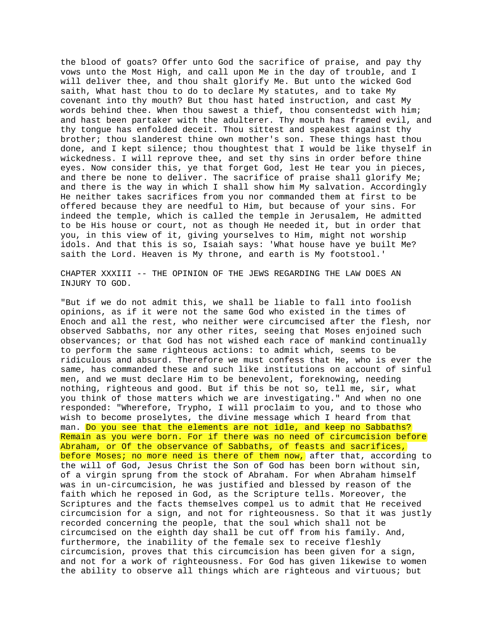the blood of goats? Offer unto God the sacrifice of praise, and pay thy vows unto the Most High, and call upon Me in the day of trouble, and I will deliver thee, and thou shalt glorify Me. But unto the wicked God saith, What hast thou to do to declare My statutes, and to take My covenant into thy mouth? But thou hast hated instruction, and cast My words behind thee. When thou sawest a thief, thou consentedst with him; and hast been partaker with the adulterer. Thy mouth has framed evil, and thy tongue has enfolded deceit. Thou sittest and speakest against thy brother; thou slanderest thine own mother's son. These things hast thou done, and I kept silence; thou thoughtest that I would be like thyself in wickedness. I will reprove thee, and set thy sins in order before thine eyes. Now consider this, ye that forget God, lest He tear you in pieces, and there be none to deliver. The sacrifice of praise shall glorify Me; and there is the way in which I shall show him My salvation. Accordingly He neither takes sacrifices from you nor commanded them at first to be offered because they are needful to Him, but because of your sins. For indeed the temple, which is called the temple in Jerusalem, He admitted to be His house or court, not as though He needed it, but in order that you, in this view of it, giving yourselves to Him, might not worship idols. And that this is so, Isaiah says: 'What house have ye built Me? saith the Lord. Heaven is My throne, and earth is My footstool.'

CHAPTER XXXIII -- THE OPINION OF THE JEWS REGARDING THE LAW DOES AN INJURY TO GOD.

"But if we do not admit this, we shall be liable to fall into foolish opinions, as if it were not the same God who existed in the times of Enoch and all the rest, who neither were circumcised after the flesh, nor observed Sabbaths, nor any other rites, seeing that Moses enjoined such observances; or that God has not wished each race of mankind continually to perform the same righteous actions: to admit which, seems to be ridiculous and absurd. Therefore we must confess that He, who is ever the same, has commanded these and such like institutions on account of sinful men, and we must declare Him to be benevolent, foreknowing, needing nothing, righteous and good. But if this be not so, tell me, sir, what you think of those matters which we are investigating." And when no one responded: "Wherefore, Trypho, I will proclaim to you, and to those who wish to become proselytes, the divine message which I heard from that man. Do you see that the elements are not idle, and keep no Sabbaths? Remain as you were born. For if there was no need of circumcision before Abraham, or Of the observance of Sabbaths, of feasts and sacrifices, before Moses; no more need is there of them now, after that, according to the will of God, Jesus Christ the Son of God has been born without sin, of a virgin sprung from the stock of Abraham. For when Abraham himself was in un-circumcision, he was justified and blessed by reason of the faith which he reposed in God, as the Scripture tells. Moreover, the Scriptures and the facts themselves compel us to admit that He received circumcision for a sign, and not for righteousness. So that it was justly recorded concerning the people, that the soul which shall not be circumcised on the eighth day shall be cut off from his family. And, furthermore, the inability of the female sex to receive fleshly circumcision, proves that this circumcision has been given for a sign, and not for a work of righteousness. For God has given likewise to women the ability to observe all things which are righteous and virtuous; but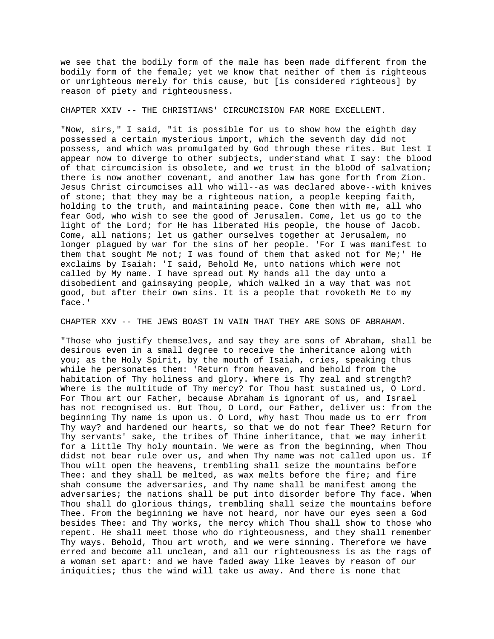we see that the bodily form of the male has been made different from the bodily form of the female; yet we know that neither of them is righteous or unrighteous merely for this cause, but [is considered righteous] by reason of piety and righteousness.

CHAPTER XXIV -- THE CHRISTIANS' CIRCUMCISION FAR MORE EXCELLENT.

"Now, sirs," I said, "it is possible for us to show how the eighth day possessed a certain mysterious import, which the seventh day did not possess, and which was promulgated by God through these rites. But lest I appear now to diverge to other subjects, understand what I say: the blood of that circumcision is obsolete, and we trust in the bloOd of salvation; there is now another covenant, and another law has gone forth from Zion. Jesus Christ circumcises all who will--as was declared above--with knives of stone; that they may be a righteous nation, a people keeping faith, holding to the truth, and maintaining peace. Come then with me, all who fear God, who wish to see the good of Jerusalem. Come, let us go to the light of the Lord; for He has liberated His people, the house of Jacob. Come, all nations; let us gather ourselves together at Jerusalem, no longer plagued by war for the sins of her people. 'For I was manifest to them that sought Me not; I was found of them that asked not for Me;' He exclaims by Isaiah: 'I said, Behold Me, unto nations which were not called by My name. I have spread out My hands all the day unto a disobedient and gainsaying people, which walked in a way that was not good, but after their own sins. It is a people that rovoketh Me to my face.'

CHAPTER XXV -- THE JEWS BOAST IN VAIN THAT THEY ARE SONS OF ABRAHAM.

"Those who justify themselves, and say they are sons of Abraham, shall be desirous even in a small degree to receive the inheritance along with you; as the Holy Spirit, by the mouth of Isaiah, cries, speaking thus while he personates them: 'Return from heaven, and behold from the habitation of Thy holiness and glory. Where is Thy zeal and strength? Where is the multitude of Thy mercy? for Thou hast sustained us, O Lord. For Thou art our Father, because Abraham is ignorant of us, and Israel has not recognised us. But Thou, O Lord, our Father, deliver us: from the beginning Thy name is upon us. O Lord, why hast Thou made us to err from Thy way? and hardened our hearts, so that we do not fear Thee? Return for Thy servants' sake, the tribes of Thine inheritance, that we may inherit for a little Thy holy mountain. We were as from the beginning, when Thou didst not bear rule over us, and when Thy name was not called upon us. If Thou wilt open the heavens, trembling shall seize the mountains before Thee: and they shall be melted, as wax melts before the fire; and fire shah consume the adversaries, and Thy name shall be manifest among the adversaries; the nations shall be put into disorder before Thy face. When Thou shall do glorious things, trembling shall seize the mountains before Thee. From the beginning we have not heard, nor have our eyes seen a God besides Thee: and Thy works, the mercy which Thou shall show to those who repent. He shall meet those who do righteousness, and they shall remember Thy ways. Behold, Thou art wroth, and we were sinning. Therefore we have erred and become all unclean, and all our righteousness is as the rags of a woman set apart: and we have faded away like leaves by reason of our iniquities; thus the wind will take us away. And there is none that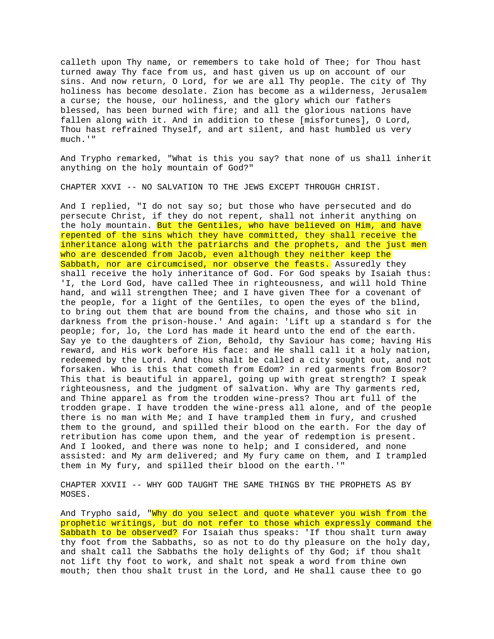calleth upon Thy name, or remembers to take hold of Thee; for Thou hast turned away Thy face from us, and hast given us up on account of our sins. And now return, O Lord, for we are all Thy people. The city of Thy holiness has become desolate. Zion has become as a wilderness, Jerusalem a curse; the house, our holiness, and the glory which our fathers blessed, has been burned with fire; and all the glorious nations have fallen along with it. And in addition to these [misfortunes], O Lord, Thou hast refrained Thyself, and art silent, and hast humbled us very much.'"

And Trypho remarked, "What is this you say? that none of us shall inherit anything on the holy mountain of God?"

CHAPTER XXVI -- NO SALVATION TO THE JEWS EXCEPT THROUGH CHRIST.

And I replied, "I do not say so; but those who have persecuted and do persecute Christ, if they do not repent, shall not inherit anything on the holy mountain. But the Gentiles, who have believed on Him, and have repented of the sins which they have committed, they shall receive the inheritance along with the patriarchs and the prophets, and the just men who are descended from Jacob, even although they neither keep the Sabbath, nor are circumcised, nor observe the feasts. Assuredly they shall receive the holy inheritance of God. For God speaks by Isaiah thus: 'I, the Lord God, have called Thee in righteousness, and will hold Thine hand, and will strengthen Thee; and I have given Thee for a covenant of the people, for a light of the Gentiles, to open the eyes of the blind, to bring out them that are bound from the chains, and those who sit in darkness from the prison-house.' And again: 'Lift up a standard s for the people; for, lo, the Lord has made it heard unto the end of the earth. Say ye to the daughters of Zion, Behold, thy Saviour has come; having His reward, and His work before His face: and He shall call it a holy nation, redeemed by the Lord. And thou shalt be called a city sought out, and not forsaken. Who is this that cometh from Edom? in red garments from Bosor? This that is beautiful in apparel, going up with great strength? I speak righteousness, and the judgment of salvation. Why are Thy garments red, and Thine apparel as from the trodden wine-press? Thou art full of the trodden grape. I have trodden the wine-press all alone, and of the people there is no man with Me; and I have trampled them in fury, and crushed them to the ground, and spilled their blood on the earth. For the day of retribution has come upon them, and the year of redemption is present. And I looked, and there was none to help; and I considered, and none assisted: and My arm delivered; and My fury came on them, and I trampled them in My fury, and spilled their blood on the earth.'"

CHAPTER XXVII -- WHY GOD TAUGHT THE SAME THINGS BY THE PROPHETS AS BY MOSES.

And Trypho said, "Why do you select and quote whatever you wish from the prophetic writings, but do not refer to those which expressly command the Sabbath to be observed? For Isaiah thus speaks: 'If thou shalt turn away thy foot from the Sabbaths, so as not to do thy pleasure on the holy day, and shalt call the Sabbaths the holy delights of thy God; if thou shalt not lift thy foot to work, and shalt not speak a word from thine own mouth; then thou shalt trust in the Lord, and He shall cause thee to go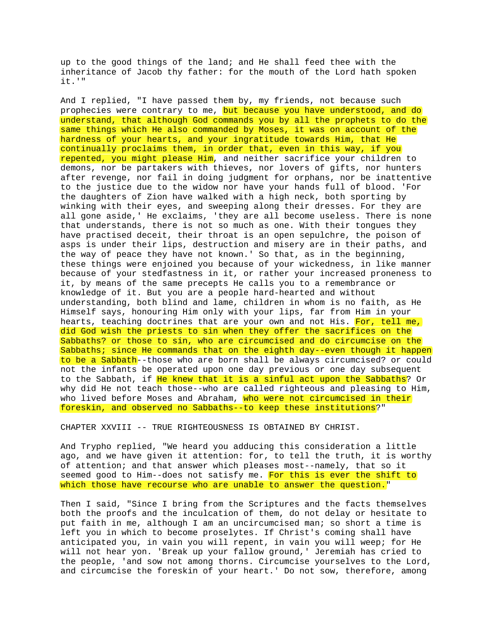up to the good things of the land; and He shall feed thee with the inheritance of Jacob thy father: for the mouth of the Lord hath spoken it.'"

And I replied, "I have passed them by, my friends, not because such prophecies were contrary to me, but because you have understood, and do understand, that although God commands you by all the prophets to do the same things which He also commanded by Moses, it was on account of the hardness of your hearts, and your ingratitude towards Him, that He continually proclaims them, in order that, even in this way, if you repented, you might please Him, and neither sacrifice your children to demons, nor be partakers with thieves, nor lovers of gifts, nor hunters after revenge, nor fail in doing judgment for orphans, nor be inattentive to the justice due to the widow nor have your hands full of blood. 'For the daughters of Zion have walked with a high neck, both sporting by winking with their eyes, and sweeping along their dresses. For they are all gone aside,' He exclaims, 'they are all become useless. There is none that understands, there is not so much as one. With their tongues they have practised deceit, their throat is an open sepulchre, the poison of asps is under their lips, destruction and misery are in their paths, and the way of peace they have not known.' So that, as in the beginning, these things were enjoined you because of your wickedness, in like manner because of your stedfastness in it, or rather your increased proneness to it, by means of the same precepts He calls you to a remembrance or knowledge of it. But you are a people hard-hearted and without understanding, both blind and lame, children in whom is no faith, as He Himself says, honouring Him only with your lips, far from Him in your hearts, teaching doctrines that are your own and not His. For, tell me, did God wish the priests to sin when they offer the sacrifices on the Sabbaths? or those to sin, who are circumcised and do circumcise on the Sabbaths; since He commands that on the eighth day--even though it happen to be a Sabbath--those who are born shall be always circumcised? or could not the infants be operated upon one day previous or one day subsequent to the Sabbath, if He knew that it is a sinful act upon the Sabbaths? Or why did He not teach those--who are called righteous and pleasing to Him, who lived before Moses and Abraham, who were not circumcised in their foreskin, and observed no Sabbaths--to keep these institutions?"

CHAPTER XXVIII -- TRUE RIGHTEOUSNESS IS OBTAINED BY CHRIST.

And Trypho replied, "We heard you adducing this consideration a little ago, and we have given it attention: for, to tell the truth, it is worthy of attention; and that answer which pleases most--namely, that so it seemed good to Him--does not satisfy me. For this is ever the shift to which those have recourse who are unable to answer the question."

Then I said, "Since I bring from the Scriptures and the facts themselves both the proofs and the inculcation of them, do not delay or hesitate to put faith in me, although I am an uncircumcised man; so short a time is left you in which to become proselytes. If Christ's coming shall have anticipated you, in vain you will repent, in vain you will weep; for He will not hear yon. 'Break up your fallow ground,' Jeremiah has cried to the people, 'and sow not among thorns. Circumcise yourselves to the Lord, and circumcise the foreskin of your heart.' Do not sow, therefore, among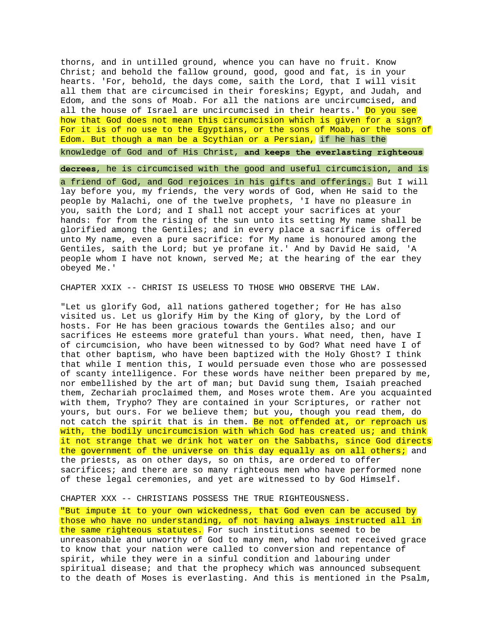thorns, and in untilled ground, whence you can have no fruit. Know Christ; and behold the fallow ground, good, good and fat, is in your hearts. 'For, behold, the days come, saith the Lord, that I will visit all them that are circumcised in their foreskins; Egypt, and Judah, and Edom, and the sons of Moab. For all the nations are uncircumcised, and all the house of Israel are uncircumcised in their hearts.' Do you see how that God does not mean this circumcision which is given for a sign? For it is of no use to the Egyptians, or the sons of Moab, or the sons of Edom. But though a man be a Scythian or a Persian, if he has the

knowledge of God and of His Christ, **and keeps the everlasting righteous** 

**decrees**, he is circumcised with the good and useful circumcision, and is

a friend of God, and God rejoices in his gifts and offerings. But I will lay before you, my friends, the very words of God, when He said to the people by Malachi, one of the twelve prophets, 'I have no pleasure in you, saith the Lord; and I shall not accept your sacrifices at your hands: for from the rising of the sun unto its setting My name shall be glorified among the Gentiles; and in every place a sacrifice is offered unto My name, even a pure sacrifice: for My name is honoured among the Gentiles, saith the Lord; but ye profane it.' And by David He said, 'A people whom I have not known, served Me; at the hearing of the ear they obeyed Me.'

CHAPTER XXIX -- CHRIST IS USELESS TO THOSE WHO OBSERVE THE LAW.

"Let us glorify God, all nations gathered together; for He has also visited us. Let us glorify Him by the King of glory, by the Lord of hosts. For He has been gracious towards the Gentiles also; and our sacrifices He esteems more grateful than yours. What need, then, have I of circumcision, who have been witnessed to by God? What need have I of that other baptism, who have been baptized with the Holy Ghost? I think that while I mention this, I would persuade even those who are possessed of scanty intelligence. For these words have neither been prepared by me, nor embellished by the art of man; but David sung them, Isaiah preached them, Zechariah proclaimed them, and Moses wrote them. Are you acquainted with them, Trypho? They are contained in your Scriptures, or rather not yours, but ours. For we believe them; but you, though you read them, do not catch the spirit that is in them. Be not offended at, or reproach us with, the bodily uncircumcision with which God has created us; and think it not strange that we drink hot water on the Sabbaths, since God directs the government of the universe on this day equally as on all others; and the priests, as on other days, so on this, are ordered to offer sacrifices; and there are so many righteous men who have performed none of these legal ceremonies, and yet are witnessed to by God Himself.

CHAPTER XXX -- CHRISTIANS POSSESS THE TRUE RIGHTEOUSNESS.

"But impute it to your own wickedness, that God even can be accused by those who have no understanding, of not having always instructed all in the same righteous statutes. For such institutions seemed to be unreasonable and unworthy of God to many men, who had not received grace to know that your nation were called to conversion and repentance of spirit, while they were in a sinful condition and labouring under spiritual disease; and that the prophecy which was announced subsequent to the death of Moses is everlasting. And this is mentioned in the Psalm,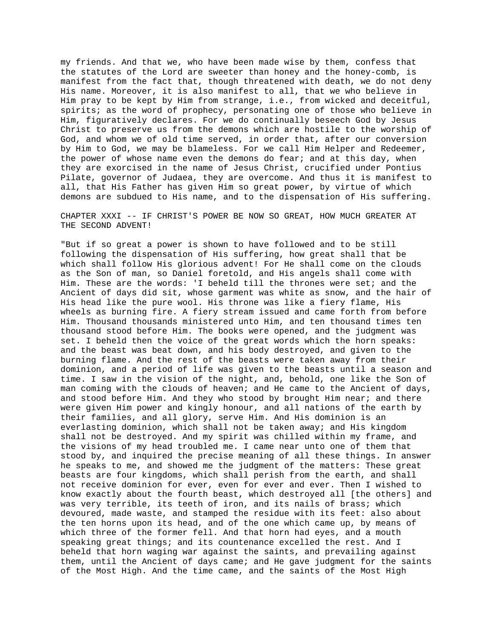my friends. And that we, who have been made wise by them, confess that the statutes of the Lord are sweeter than honey and the honey-comb, is manifest from the fact that, though threatened with death, we do not deny His name. Moreover, it is also manifest to all, that we who believe in Him pray to be kept by Him from strange, i.e., from wicked and deceitful, spirits; as the word of prophecy, personating one of those who believe in Him, figuratively declares. For we do continually beseech God by Jesus Christ to preserve us from the demons which are hostile to the worship of God, and whom we of old time served, in order that, after our conversion by Him to God, we may be blameless. For we call Him Helper and Redeemer, the power of whose name even the demons do fear; and at this day, when they are exorcised in the name of Jesus Christ, crucified under Pontius Pilate, governor of Judaea, they are overcome. And thus it is manifest to all, that His Father has given Him so great power, by virtue of which demons are subdued to His name, and to the dispensation of His suffering.

CHAPTER XXXI -- IF CHRIST'S POWER BE NOW SO GREAT, HOW MUCH GREATER AT THE SECOND ADVENT!

"But if so great a power is shown to have followed and to be still following the dispensation of His suffering, how great shall that be which shall follow His glorious advent! For He shall come on the clouds as the Son of man, so Daniel foretold, and His angels shall come with Him. These are the words: 'I beheld till the thrones were set; and the Ancient of days did sit, whose garment was white as snow, and the hair of His head like the pure wool. His throne was like a fiery flame, His wheels as burning fire. A fiery stream issued and came forth from before Him. Thousand thousands ministered unto Him, and ten thousand times ten thousand stood before Him. The books were opened, and the judgment was set. I beheld then the voice of the great words which the horn speaks: and the beast was beat down, and his body destroyed, and given to the burning flame. And the rest of the beasts were taken away from their dominion, and a period of life was given to the beasts until a season and time. I saw in the vision of the night, and, behold, one like the Son of man coming with the clouds of heaven; and He came to the Ancient of days, and stood before Him. And they who stood by brought Him near; and there were given Him power and kingly honour, and all nations of the earth by their families, and all glory, serve Him. And His dominion is an everlasting dominion, which shall not be taken away; and His kingdom shall not be destroyed. And my spirit was chilled within my frame, and the visions of my head troubled me. I came near unto one of them that stood by, and inquired the precise meaning of all these things. In answer he speaks to me, and showed me the judgment of the matters: These great beasts are four kingdoms, which shall perish from the earth, and shall not receive dominion for ever, even for ever and ever. Then I wished to know exactly about the fourth beast, which destroyed all [the others] and was very terrible, its teeth of iron, and its nails of brass; which devoured, made waste, and stamped the residue with its feet: also about the ten horns upon its head, and of the one which came up, by means of which three of the former fell. And that horn had eyes, and a mouth speaking great things; and its countenance excelled the rest. And I beheld that horn waging war against the saints, and prevailing against them, until the Ancient of days came; and He gave judgment for the saints of the Most High. And the time came, and the saints of the Most High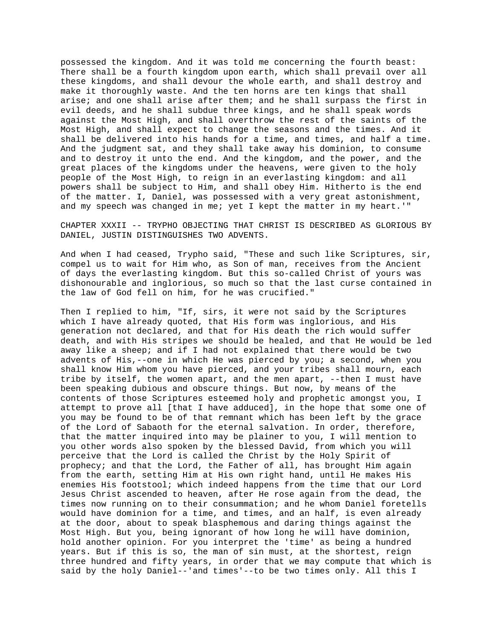possessed the kingdom. And it was told me concerning the fourth beast: There shall be a fourth kingdom upon earth, which shall prevail over all these kingdoms, and shall devour the whole earth, and shall destroy and make it thoroughly waste. And the ten horns are ten kings that shall arise; and one shall arise after them; and he shall surpass the first in evil deeds, and he shall subdue three kings, and he shall speak words against the Most High, and shall overthrow the rest of the saints of the Most High, and shall expect to change the seasons and the times. And it shall be delivered into his hands for a time, and times, and half a time. And the judgment sat, and they shall take away his dominion, to consume and to destroy it unto the end. And the kingdom, and the power, and the great places of the kingdoms under the heavens, were given to the holy people of the Most High, to reign in an everlasting kingdom: and all powers shall be subject to Him, and shall obey Him. Hitherto is the end of the matter. I, Daniel, was possessed with a very great astonishment, and my speech was changed in me; yet I kept the matter in my heart.'"

CHAPTER XXXII -- TRYPHO OBJECTING THAT CHRIST IS DESCRIBED AS GLORIOUS BY DANIEL, JUSTIN DISTINGUISHES TWO ADVENTS.

And when I had ceased, Trypho said, "These and such like Scriptures, sir, compel us to wait for Him who, as Son of man, receives from the Ancient of days the everlasting kingdom. But this so-called Christ of yours was dishonourable and inglorious, so much so that the last curse contained in the law of God fell on him, for he was crucified."

Then I replied to him, "If, sirs, it were not said by the Scriptures which I have already quoted, that His form was inglorious, and His generation not declared, and that for His death the rich would suffer death, and with His stripes we should be healed, and that He would be led away like a sheep; and if I had not explained that there would be two advents of His,--one in which He was pierced by you; a second, when you shall know Him whom you have pierced, and your tribes shall mourn, each tribe by itself, the women apart, and the men apart, --then I must have been speaking dubious and obscure things. But now, by means of the contents of those Scriptures esteemed holy and prophetic amongst you, I attempt to prove all [that I have adduced], in the hope that some one of you may be found to be of that remnant which has been left by the grace of the Lord of Sabaoth for the eternal salvation. In order, therefore, that the matter inquired into may be plainer to you, I will mention to you other words also spoken by the blessed David, from which you will perceive that the Lord is called the Christ by the Holy Spirit of prophecy; and that the Lord, the Father of all, has brought Him again from the earth, setting Him at His own right hand, until He makes His enemies His footstool; which indeed happens from the time that our Lord Jesus Christ ascended to heaven, after He rose again from the dead, the times now running on to their consummation; and he whom Daniel foretells would have dominion for a time, and times, and an half, is even already at the door, about to speak blasphemous and daring things against the Most High. But you, being ignorant of how long he will have dominion, hold another opinion. For you interpret the 'time' as being a hundred years. But if this is so, the man of sin must, at the shortest, reign three hundred and fifty years, in order that we may compute that which is said by the holy Daniel--'and times'--to be two times only. All this I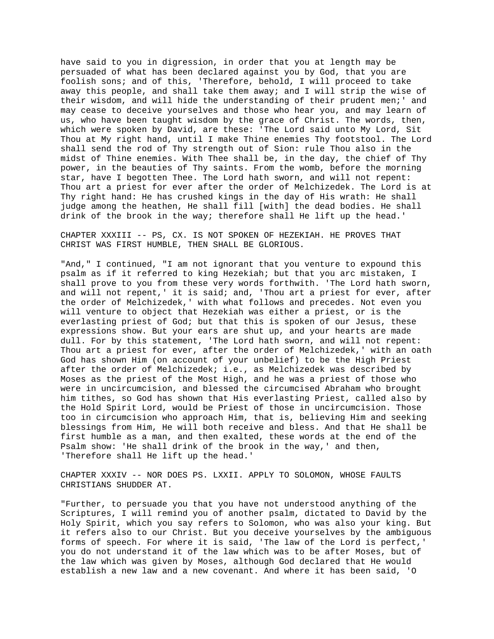have said to you in digression, in order that you at length may be persuaded of what has been declared against you by God, that you are foolish sons; and of this, 'Therefore, behold, I will proceed to take away this people, and shall take them away; and I will strip the wise of their wisdom, and will hide the understanding of their prudent men;' and may cease to deceive yourselves and those who hear you, and may learn of us, who have been taught wisdom by the grace of Christ. The words, then, which were spoken by David, are these: 'The Lord said unto My Lord, Sit Thou at My right hand, until I make Thine enemies Thy footstool. The Lord shall send the rod of Thy strength out of Sion: rule Thou also in the midst of Thine enemies. With Thee shall be, in the day, the chief of Thy power, in the beauties of Thy saints. From the womb, before the morning star, have I begotten Thee. The Lord hath sworn, and will not repent: Thou art a priest for ever after the order of Melchizedek. The Lord is at Thy right hand: He has crushed kings in the day of His wrath: He shall judge among the heathen, He shall fill [with] the dead bodies. He shall drink of the brook in the way; therefore shall He lift up the head.'

CHAPTER XXXIII -- PS, CX. IS NOT SPOKEN OF HEZEKIAH. HE PROVES THAT CHRIST WAS FIRST HUMBLE, THEN SHALL BE GLORIOUS.

"And," I continued, "I am not ignorant that you venture to expound this psalm as if it referred to king Hezekiah; but that you arc mistaken, I shall prove to you from these very words forthwith. 'The Lord hath sworn, and will not repent,' it is said; and, 'Thou art a priest for ever, after the order of Melchizedek,' with what follows and precedes. Not even you will venture to object that Hezekiah was either a priest, or is the everlasting priest of God; but that this is spoken of our Jesus, these expressions show. But your ears are shut up, and your hearts are made dull. For by this statement, 'The Lord hath sworn, and will not repent: Thou art a priest for ever, after the order of Melchizedek,' with an oath God has shown Him (on account of your unbelief) to be the High Priest after the order of Melchizedek; i.e., as Melchizedek was described by Moses as the priest of the Most High, and he was a priest of those who were in uncircumcision, and blessed the circumcised Abraham who brought him tithes, so God has shown that His everlasting Priest, called also by the Hold Spirit Lord, would be Priest of those in uncircumcision. Those too in circumcision who approach Him, that is, believing Him and seeking blessings from Him, He will both receive and bless. And that He shall be first humble as a man, and then exalted, these words at the end of the Psalm show: 'He shall drink of the brook in the way,' and then, 'Therefore shall He lift up the head.'

CHAPTER XXXIV -- NOR DOES PS. LXXII. APPLY TO SOLOMON, WHOSE FAULTS CHRISTIANS SHUDDER AT.

"Further, to persuade you that you have not understood anything of the Scriptures, I will remind you of another psalm, dictated to David by the Holy Spirit, which you say refers to Solomon, who was also your king. But it refers also to our Christ. But you deceive yourselves by the ambiguous forms of speech. For where it is said, 'The law of the Lord is perfect,' you do not understand it of the law which was to be after Moses, but of the law which was given by Moses, although God declared that He would establish a new law and a new covenant. And where it has been said, 'O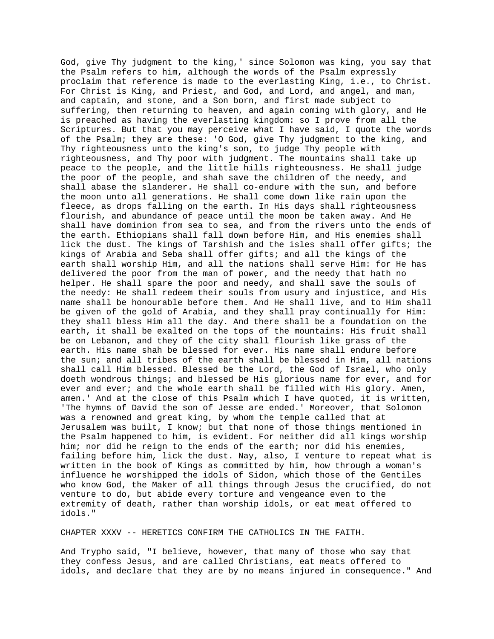God, give Thy judgment to the king,' since Solomon was king, you say that the Psalm refers to him, although the words of the Psalm expressly proclaim that reference is made to the everlasting King, i.e., to Christ. For Christ is King, and Priest, and God, and Lord, and angel, and man, and captain, and stone, and a Son born, and first made subject to suffering, then returning to heaven, and again coming with glory, and He is preached as having the everlasting kingdom: so I prove from all the Scriptures. But that you may perceive what I have said, I quote the words of the Psalm; they are these: 'O God, give Thy judgment to the king, and Thy righteousness unto the king's son, to judge Thy people with righteousness, and Thy poor with judgment. The mountains shall take up peace to the people, and the little hills righteousness. He shall judge the poor of the people, and shah save the children of the needy, and shall abase the slanderer. He shall co-endure with the sun, and before the moon unto all generations. He shall come down like rain upon the fleece, as drops falling on the earth. In His days shall righteousness flourish, and abundance of peace until the moon be taken away. And He shall have dominion from sea to sea, and from the rivers unto the ends of the earth. Ethiopians shall fall down before Him, and His enemies shall lick the dust. The kings of Tarshish and the isles shall offer gifts; the kings of Arabia and Seba shall offer gifts; and all the kings of the earth shall worship Him, and all the nations shall serve Him: for He has delivered the poor from the man of power, and the needy that hath no helper. He shall spare the poor and needy, and shall save the souls of the needy: He shall redeem their souls from usury and injustice, and His name shall be honourable before them. And He shall live, and to Him shall be given of the gold of Arabia, and they shall pray continually for Him: they shall bless Him all the day. And there shall be a foundation on the earth, it shall be exalted on the tops of the mountains: His fruit shall be on Lebanon, and they of the city shall flourish like grass of the earth. His name shah be blessed for ever. His name shall endure before the sun; and all tribes of the earth shall be blessed in Him, all nations shall call Him blessed. Blessed be the Lord, the God of Israel, who only doeth wondrous things; and blessed be His glorious name for ever, and for ever and ever; and the whole earth shall be filled with His glory. Amen, amen.' And at the close of this Psalm which I have quoted, it is written, 'The hymns of David the son of Jesse are ended.' Moreover, that Solomon was a renowned and great king, by whom the temple called that at Jerusalem was built, I know; but that none of those things mentioned in the Psalm happened to him, is evident. For neither did all kings worship him; nor did he reign to the ends of the earth; nor did his enemies, failing before him, lick the dust. Nay, also, I venture to repeat what is written in the book of Kings as committed by him, how through a woman's influence he worshipped the idols of Sidon, which those of the Gentiles who know God, the Maker of all things through Jesus the crucified, do not venture to do, but abide every torture and vengeance even to the extremity of death, rather than worship idols, or eat meat offered to idols."

CHAPTER XXXV -- HERETICS CONFIRM THE CATHOLICS IN THE FAITH.

And Trypho said, "I believe, however, that many of those who say that they confess Jesus, and are called Christians, eat meats offered to idols, and declare that they are by no means injured in consequence." And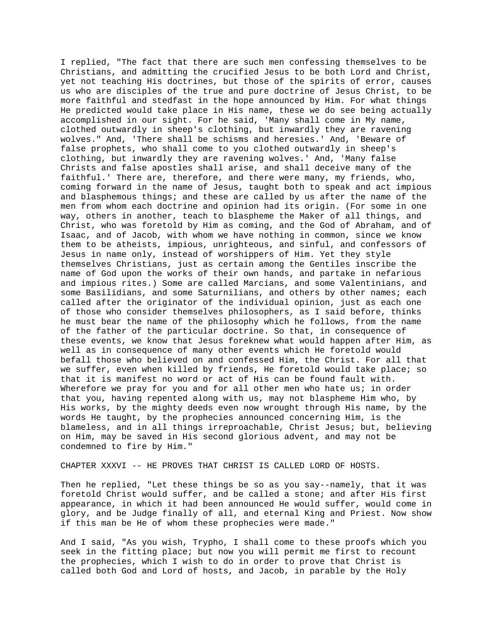I replied, "The fact that there are such men confessing themselves to be Christians, and admitting the crucified Jesus to be both Lord and Christ, yet not teaching His doctrines, but those of the spirits of error, causes us who are disciples of the true and pure doctrine of Jesus Christ, to be more faithful and stedfast in the hope announced by Him. For what things He predicted would take place in His name, these we do see being actually accomplished in our sight. For he said, 'Many shall come in My name, clothed outwardly in sheep's clothing, but inwardly they are ravening wolves." And, 'There shall be schisms and heresies.' And, 'Beware of false prophets, who shall come to you clothed outwardly in sheep's clothing, but inwardly they are ravening wolves.' And, 'Many false Christs and false apostles shall arise, and shall deceive many of the faithful.' There are, therefore, and there were many, my friends, who, coming forward in the name of Jesus, taught both to speak and act impious and blasphemous things; and these are called by us after the name of the men from whom each doctrine and opinion had its origin. (For some in one way, others in another, teach to blaspheme the Maker of all things, and Christ, who was foretold by Him as coming, and the God of Abraham, and of Isaac, and of Jacob, with whom we have nothing in common, since we know them to be atheists, impious, unrighteous, and sinful, and confessors of Jesus in name only, instead of worshippers of Him. Yet they style themselves Christians, just as certain among the Gentiles inscribe the name of God upon the works of their own hands, and partake in nefarious and impious rites.) Some are called Marcians, and some Valentinians, and some Basilidians, and some Saturnilians, and others by other names; each called after the originator of the individual opinion, just as each one of those who consider themselves philosophers, as I said before, thinks he must bear the name of the philosophy which he follows, from the name of the father of the particular doctrine. So that, in consequence of these events, we know that Jesus foreknew what would happen after Him, as well as in consequence of many other events which He foretold would befall those who believed on and confessed Him, the Christ. For all that we suffer, even when killed by friends, He foretold would take place; so that it is manifest no word or act of His can be found fault with. Wherefore we pray for you and for all other men who hate us; in order that you, having repented along with us, may not blaspheme Him who, by His works, by the mighty deeds even now wrought through His name, by the words He taught, by the prophecies announced concerning Him, is the blameless, and in all things irreproachable, Christ Jesus; but, believing on Him, may be saved in His second glorious advent, and may not be condemned to fire by Him."

CHAPTER XXXVI -- HE PROVES THAT CHRIST IS CALLED LORD OF HOSTS.

Then he replied, "Let these things be so as you say--namely, that it was foretold Christ would suffer, and be called a stone; and after His first appearance, in which it had been announced He would suffer, would come in glory, and be Judge finally of all, and eternal King and Priest. Now show if this man be He of whom these prophecies were made."

And I said, "As you wish, Trypho, I shall come to these proofs which you seek in the fitting place; but now you will permit me first to recount the prophecies, which I wish to do in order to prove that Christ is called both God and Lord of hosts, and Jacob, in parable by the Holy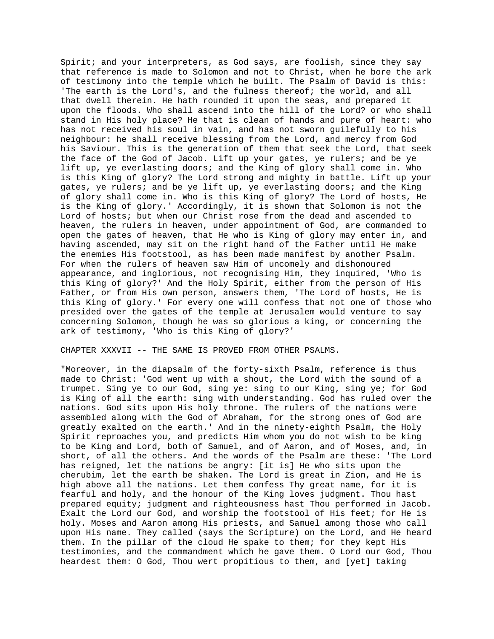Spirit; and your interpreters, as God says, are foolish, since they say that reference is made to Solomon and not to Christ, when he bore the ark of testimony into the temple which he built. The Psalm of David is this: 'The earth is the Lord's, and the fulness thereof; the world, and all that dwell therein. He hath rounded it upon the seas, and prepared it upon the floods. Who shall ascend into the hill of the Lord? or who shall stand in His holy place? He that is clean of hands and pure of heart: who has not received his soul in vain, and has not sworn guilefully to his neighbour: he shall receive blessing from the Lord, and mercy from God his Saviour. This is the generation of them that seek the Lord, that seek the face of the God of Jacob. Lift up your gates, ye rulers; and be ye lift up, ye everlasting doors; and the King of glory shall come in. Who is this King of glory? The Lord strong and mighty in battle. Lift up your gates, ye rulers; and be ye lift up, ye everlasting doors; and the King of glory shall come in. Who is this King of glory? The Lord of hosts, He is the King of glory.' Accordingly, it is shown that Solomon is not the Lord of hosts; but when our Christ rose from the dead and ascended to heaven, the rulers in heaven, under appointment of God, are commanded to open the gates of heaven, that He who is King of glory may enter in, and having ascended, may sit on the right hand of the Father until He make the enemies His footstool, as has been made manifest by another Psalm. For when the rulers of heaven saw Him of uncomely and dishonoured appearance, and inglorious, not recognising Him, they inquired, 'Who is this King of glory?' And the Holy Spirit, either from the person of His Father, or from His own person, answers them, 'The Lord of hosts, He is this King of glory.' For every one will confess that not one of those who presided over the gates of the temple at Jerusalem would venture to say concerning Solomon, though he was so glorious a king, or concerning the ark of testimony, 'Who is this King of glory?'

CHAPTER XXXVII -- THE SAME IS PROVED FROM OTHER PSALMS.

"Moreover, in the diapsalm of the forty-sixth Psalm, reference is thus made to Christ: 'God went up with a shout, the Lord with the sound of a trumpet. Sing ye to our God, sing ye: sing to our King, sing ye; for God is King of all the earth: sing with understanding. God has ruled over the nations. God sits upon His holy throne. The rulers of the nations were assembled along with the God of Abraham, for the strong ones of God are greatly exalted on the earth.' And in the ninety-eighth Psalm, the Holy Spirit reproaches you, and predicts Him whom you do not wish to be king to be King and Lord, both of Samuel, and of Aaron, and of Moses, and, in short, of all the others. And the words of the Psalm are these: 'The Lord has reigned, let the nations be angry: [it is] He who sits upon the cherubim, let the earth be shaken. The Lord is great in Zion, and He is high above all the nations. Let them confess Thy great name, for it is fearful and holy, and the honour of the King loves judgment. Thou hast prepared equity; judgment and righteousness hast Thou performed in Jacob. Exalt the Lord our God, and worship the footstool of His feet; for He is holy. Moses and Aaron among His priests, and Samuel among those who call upon His name. They called (says the Scripture) on the Lord, and He heard them. In the pillar of the cloud He spake to them; for they kept His testimonies, and the commandment which he gave them. O Lord our God, Thou heardest them: O God, Thou wert propitious to them, and [yet] taking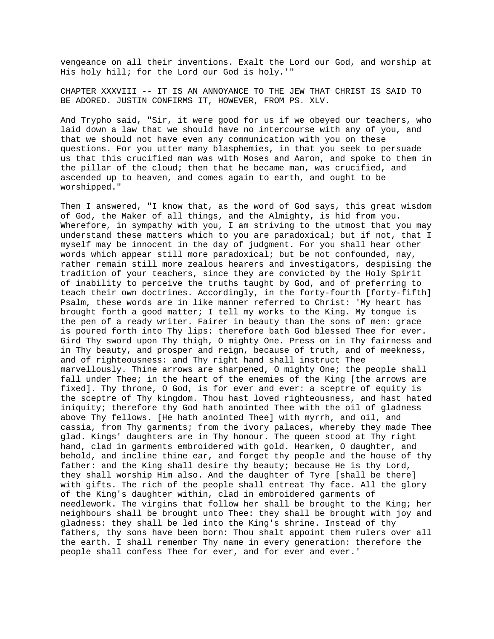vengeance on all their inventions. Exalt the Lord our God, and worship at His holy hill; for the Lord our God is holy.'"

CHAPTER XXXVIII -- IT IS AN ANNOYANCE TO THE JEW THAT CHRIST IS SAID TO BE ADORED. JUSTIN CONFIRMS IT, HOWEVER, FROM PS. XLV.

And Trypho said, "Sir, it were good for us if we obeyed our teachers, who laid down a law that we should have no intercourse with any of you, and that we should not have even any communication with you on these questions. For you utter many blasphemies, in that you seek to persuade us that this crucified man was with Moses and Aaron, and spoke to them in the pillar of the cloud; then that he became man, was crucified, and ascended up to heaven, and comes again to earth, and ought to be worshipped."

Then I answered, "I know that, as the word of God says, this great wisdom of God, the Maker of all things, and the Almighty, is hid from you. Wherefore, in sympathy with you, I am striving to the utmost that you may understand these matters which to you are paradoxical; but if not, that I myself may be innocent in the day of judgment. For you shall hear other words which appear still more paradoxical; but be not confounded, nay, rather remain still more zealous hearers and investigators, despising the tradition of your teachers, since they are convicted by the Holy Spirit of inability to perceive the truths taught by God, and of preferring to teach their own doctrines. Accordingly, in the forty-fourth [forty-fifth] Psalm, these words are in like manner referred to Christ: 'My heart has brought forth a good matter; I tell my works to the King. My tongue is the pen of a ready writer. Fairer in beauty than the sons of men: grace is poured forth into Thy lips: therefore bath God blessed Thee for ever. Gird Thy sword upon Thy thigh, O mighty One. Press on in Thy fairness and in Thy beauty, and prosper and reign, because of truth, and of meekness, and of righteousness: and Thy right hand shall instruct Thee marvellously. Thine arrows are sharpened, O mighty One; the people shall fall under Thee; in the heart of the enemies of the King [the arrows are fixed]. Thy throne, O God, is for ever and ever: a sceptre of equity is the sceptre of Thy kingdom. Thou hast loved righteousness, and hast hated iniquity; therefore thy God hath anointed Thee with the oil of gladness above Thy fellows. [He hath anointed Thee] with myrrh, and oil, and cassia, from Thy garments; from the ivory palaces, whereby they made Thee glad. Kings' daughters are in Thy honour. The queen stood at Thy right hand, clad in garments embroidered with gold. Hearken, O daughter, and behold, and incline thine ear, and forget thy people and the house of thy father: and the King shall desire thy beauty; because He is thy Lord, they shall worship Him also. And the daughter of Tyre [shall be there] with gifts. The rich of the people shall entreat Thy face. All the glory of the King's daughter within, clad in embroidered garments of needlework. The virgins that follow her shall be brought to the King; her neighbours shall be brought unto Thee: they shall be brought with joy and gladness: they shall be led into the King's shrine. Instead of thy fathers, thy sons have been born: Thou shalt appoint them rulers over all the earth. I shall remember Thy name in every generation: therefore the people shall confess Thee for ever, and for ever and ever.'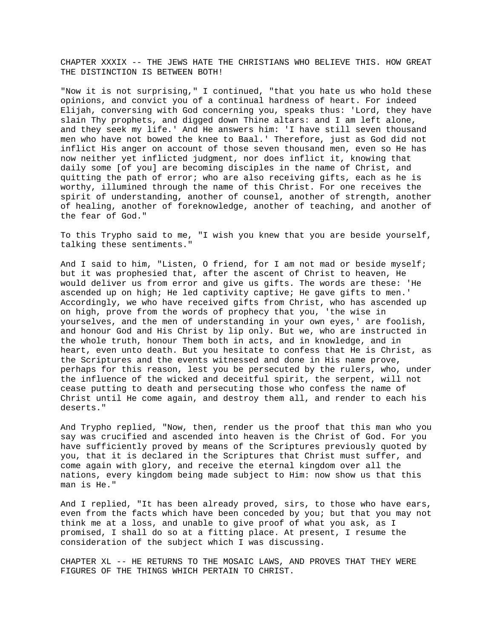CHAPTER XXXIX -- THE JEWS HATE THE CHRISTIANS WHO BELIEVE THIS. HOW GREAT THE DISTINCTION IS BETWEEN BOTH!

"Now it is not surprising," I continued, "that you hate us who hold these opinions, and convict you of a continual hardness of heart. For indeed Elijah, conversing with God concerning you, speaks thus: 'Lord, they have slain Thy prophets, and digged down Thine altars: and I am left alone, and they seek my life.' And He answers him: 'I have still seven thousand men who have not bowed the knee to Baal.' Therefore, just as God did not inflict His anger on account of those seven thousand men, even so He has now neither yet inflicted judgment, nor does inflict it, knowing that daily some [of you] are becoming disciples in the name of Christ, and quitting the path of error; who are also receiving gifts, each as he is worthy, illumined through the name of this Christ. For one receives the spirit of understanding, another of counsel, another of strength, another of healing, another of foreknowledge, another of teaching, and another of the fear of God."

To this Trypho said to me, "I wish you knew that you are beside yourself, talking these sentiments."

And I said to him, "Listen, O friend, for I am not mad or beside myself; but it was prophesied that, after the ascent of Christ to heaven, He would deliver us from error and give us gifts. The words are these: 'He ascended up on high; He led captivity captive; He gave gifts to men.' Accordingly, we who have received gifts from Christ, who has ascended up on high, prove from the words of prophecy that you, 'the wise in yourselves, and the men of understanding in your own eyes,' are foolish, and honour God and His Christ by lip only. But we, who are instructed in the whole truth, honour Them both in acts, and in knowledge, and in heart, even unto death. But you hesitate to confess that He is Christ, as the Scriptures and the events witnessed and done in His name prove, perhaps for this reason, lest you be persecuted by the rulers, who, under the influence of the wicked and deceitful spirit, the serpent, will not cease putting to death and persecuting those who confess the name of Christ until He come again, and destroy them all, and render to each his deserts."

And Trypho replied, "Now, then, render us the proof that this man who you say was crucified and ascended into heaven is the Christ of God. For you have sufficiently proved by means of the Scriptures previously quoted by you, that it is declared in the Scriptures that Christ must suffer, and come again with glory, and receive the eternal kingdom over all the nations, every kingdom being made subject to Him: now show us that this man is He."

And I replied, "It has been already proved, sirs, to those who have ears, even from the facts which have been conceded by you; but that you may not think me at a loss, and unable to give proof of what you ask, as I promised, I shall do so at a fitting place. At present, I resume the consideration of the subject which I was discussing.

CHAPTER XL -- HE RETURNS TO THE MOSAIC LAWS, AND PROVES THAT THEY WERE FIGURES OF THE THINGS WHICH PERTAIN TO CHRIST.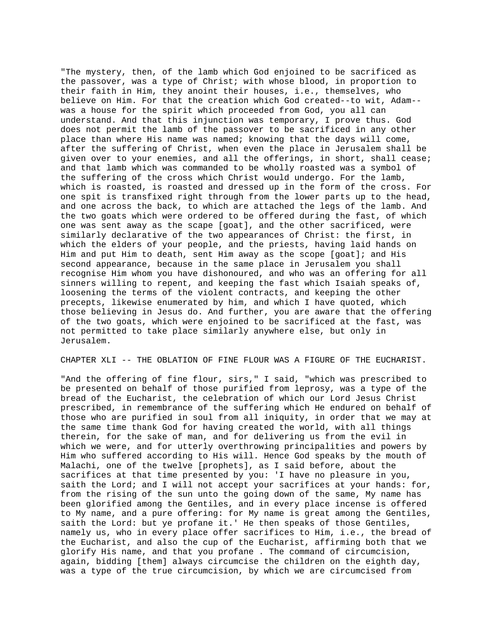"The mystery, then, of the lamb which God enjoined to be sacrificed as the passover, was a type of Christ; with whose blood, in proportion to their faith in Him, they anoint their houses, i.e., themselves, who believe on Him. For that the creation which God created--to wit, Adam- was a house for the spirit which proceeded from God, you all can understand. And that this injunction was temporary, I prove thus. God does not permit the lamb of the passover to be sacrificed in any other place than where His name was named; knowing that the days will come, after the suffering of Christ, when even the place in Jerusalem shall be given over to your enemies, and all the offerings, in short, shall cease; and that lamb which was commanded to be wholly roasted was a symbol of the suffering of the cross which Christ would undergo. For the lamb, which is roasted, is roasted and dressed up in the form of the cross. For one spit is transfixed right through from the lower parts up to the head, and one across the back, to which are attached the legs of the lamb. And the two goats which were ordered to be offered during the fast, of which one was sent away as the scape [goat], and the other sacrificed, were similarly declarative of the two appearances of Christ: the first, in which the elders of your people, and the priests, having laid hands on Him and put Him to death, sent Him away as the scope [goat]; and His second appearance, because in the same place in Jerusalem you shall recognise Him whom you have dishonoured, and who was an offering for all sinners willing to repent, and keeping the fast which Isaiah speaks of, loosening the terms of the violent contracts, and keeping the other precepts, likewise enumerated by him, and which I have quoted, which those believing in Jesus do. And further, you are aware that the offering of the two goats, which were enjoined to be sacrificed at the fast, was not permitted to take place similarly anywhere else, but only in Jerusalem.

CHAPTER XLI -- THE OBLATION OF FINE FLOUR WAS A FIGURE OF THE EUCHARIST.

"And the offering of fine flour, sirs," I said, "which was prescribed to be presented on behalf of those purified from leprosy, was a type of the bread of the Eucharist, the celebration of which our Lord Jesus Christ prescribed, in remembrance of the suffering which He endured on behalf of those who are purified in soul from all iniquity, in order that we may at the same time thank God for having created the world, with all things therein, for the sake of man, and for delivering us from the evil in which we were, and for utterly overthrowing principalities and powers by Him who suffered according to His will. Hence God speaks by the mouth of Malachi, one of the twelve [prophets], as I said before, about the sacrifices at that time presented by you: 'I have no pleasure in you, saith the Lord; and I will not accept your sacrifices at your hands: for, from the rising of the sun unto the going down of the same, My name has been glorified among the Gentiles, and in every place incense is offered to My name, and a pure offering: for My name is great among the Gentiles, saith the Lord: but ye profane it.' He then speaks of those Gentiles, namely us, who in every place offer sacrifices to Him, i.e., the bread of the Eucharist, and also the cup of the Eucharist, affirming both that we glorify His name, and that you profane . The command of circumcision, again, bidding [them] always circumcise the children on the eighth day, was a type of the true circumcision, by which we are circumcised from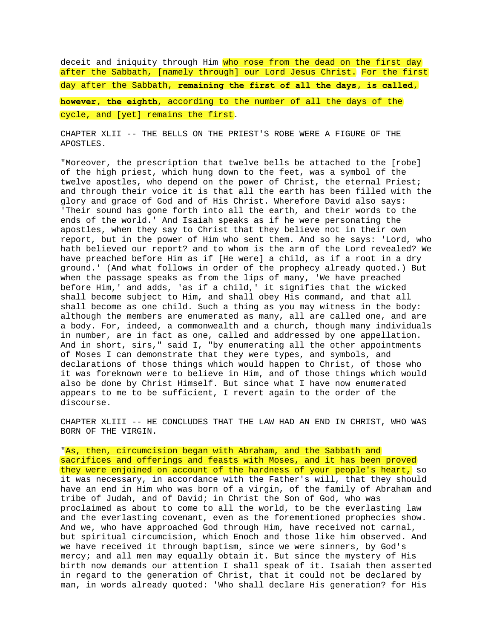deceit and iniquity through Him who rose from the dead on the first day after the Sabbath, [namely through] our Lord Jesus Christ. For the first day after the Sabbath, **remaining the first of all the days, is called, however, the eighth**, according to the number of all the days of the cycle, and [yet] remains the first.

CHAPTER XLII -- THE BELLS ON THE PRIEST'S ROBE WERE A FIGURE OF THE APOSTLES.

"Moreover, the prescription that twelve bells be attached to the [robe] of the high priest, which hung down to the feet, was a symbol of the twelve apostles, who depend on the power of Christ, the eternal Priest; and through their voice it is that all the earth has been filled with the glory and grace of God and of His Christ. Wherefore David also says: 'Their sound has gone forth into all the earth, and their words to the ends of the world.' And Isaiah speaks as if he were personating the apostles, when they say to Christ that they believe not in their own report, but in the power of Him who sent them. And so he says: 'Lord, who hath believed our report? and to whom is the arm of the Lord revealed? We have preached before Him as if [He were] a child, as if a root in a dry ground.' (And what follows in order of the prophecy already quoted.) But when the passage speaks as from the lips of many, 'We have preached before Him,' and adds, 'as if a child,' it signifies that the wicked shall become subject to Him, and shall obey His command, and that all shall become as one child. Such a thing as you may witness in the body: although the members are enumerated as many, all are called one, and are a body. For, indeed, a commonwealth and a church, though many individuals in number, are in fact as one, called and addressed by one appellation. And in short, sirs," said I, "by enumerating all the other appointments of Moses I can demonstrate that they were types, and symbols, and declarations of those things which would happen to Christ, of those who it was foreknown were to believe in Him, and of those things which would also be done by Christ Himself. But since what I have now enumerated appears to me to be sufficient, I revert again to the order of the discourse.

CHAPTER XLIII -- HE CONCLUDES THAT THE LAW HAD AN END IN CHRIST, WHO WAS BORN OF THE VIRGIN.

"As, then, circumcision began with Abraham, and the Sabbath and sacrifices and offerings and feasts with Moses, and it has been proved they were enjoined on account of the hardness of your people's heart, so it was necessary, in accordance with the Father's will, that they should have an end in Him who was born of a virgin, of the family of Abraham and tribe of Judah, and of David; in Christ the Son of God, who was proclaimed as about to come to all the world, to be the everlasting law and the everlasting covenant, even as the forementioned prophecies show. And we, who have approached God through Him, have received not carnal, but spiritual circumcision, which Enoch and those like him observed. And we have received it through baptism, since we were sinners, by God's mercy; and all men may equally obtain it. But since the mystery of His birth now demands our attention I shall speak of it. Isaiah then asserted in regard to the generation of Christ, that it could not be declared by man, in words already quoted: 'Who shall declare His generation? for His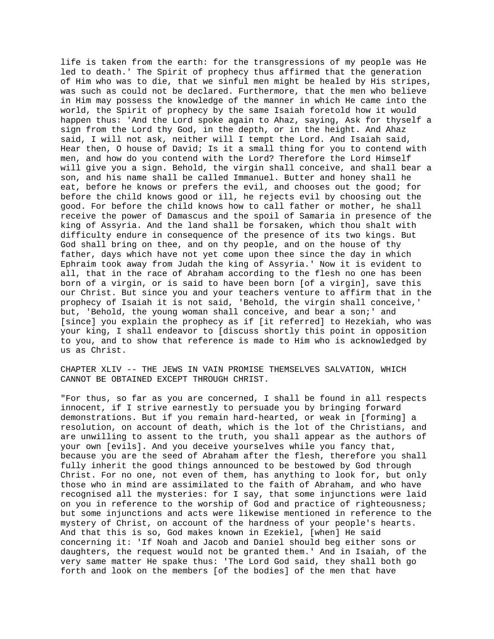life is taken from the earth: for the transgressions of my people was He led to death.' The Spirit of prophecy thus affirmed that the generation of Him who was to die, that we sinful men might be healed by His stripes, was such as could not be declared. Furthermore, that the men who believe in Him may possess the knowledge of the manner in which He came into the world, the Spirit of prophecy by the same Isaiah foretold how it would happen thus: 'And the Lord spoke again to Ahaz, saying, Ask for thyself a sign from the Lord thy God, in the depth, or in the height. And Ahaz said, I will not ask, neither will I tempt the Lord. And Isaiah said, Hear then, O house of David; Is it a small thing for you to contend with men, and how do you contend with the Lord? Therefore the Lord Himself will give you a sign. Behold, the virgin shall conceive, and shall bear a son, and his name shall be called Immanuel. Butter and honey shall he eat, before he knows or prefers the evil, and chooses out the good; for before the child knows good or ill, he rejects evil by choosing out the good. For before the child knows how to call father or mother, he shall receive the power of Damascus and the spoil of Samaria in presence of the king of Assyria. And the land shall be forsaken, which thou shalt with difficulty endure in consequence of the presence of its two kings. But God shall bring on thee, and on thy people, and on the house of thy father, days which have not yet come upon thee since the day in which Ephraim took away from Judah the king of Assyria.' Now it is evident to all, that in the race of Abraham according to the flesh no one has been born of a virgin, or is said to have been born [of a virgin], save this our Christ. But since you and your teachers venture to affirm that in the prophecy of Isaiah it is not said, 'Behold, the virgin shall conceive,' but, 'Behold, the young woman shall conceive, and bear a son;' and [since] you explain the prophecy as if [it referred] to Hezekiah, who was your king, I shall endeavor to [discuss shortly this point in opposition to you, and to show that reference is made to Him who is acknowledged by us as Christ.

CHAPTER XLIV -- THE JEWS IN VAIN PROMISE THEMSELVES SALVATION, WHICH CANNOT BE OBTAINED EXCEPT THROUGH CHRIST.

"For thus, so far as you are concerned, I shall be found in all respects innocent, if I strive earnestly to persuade you by bringing forward demonstrations. But if you remain hard-hearted, or weak in [forming] a resolution, on account of death, which is the lot of the Christians, and are unwilling to assent to the truth, you shall appear as the authors of your own [evils]. And you deceive yourselves while you fancy that, because you are the seed of Abraham after the flesh, therefore you shall fully inherit the good things announced to be bestowed by God through Christ. For no one, not even of them, has anything to look for, but only those who in mind are assimilated to the faith of Abraham, and who have recognised all the mysteries: for I say, that some injunctions were laid on you in reference to the worship of God and practice of righteousness; but some injunctions and acts were likewise mentioned in reference to the mystery of Christ, on account of the hardness of your people's hearts. And that this is so, God makes known in Ezekiel, [when] He said concerning it: 'If Noah and Jacob and Daniel should beg either sons or daughters, the request would not be granted them.' And in Isaiah, of the very same matter He spake thus: 'The Lord God said, they shall both go forth and look on the members [of the bodies] of the men that have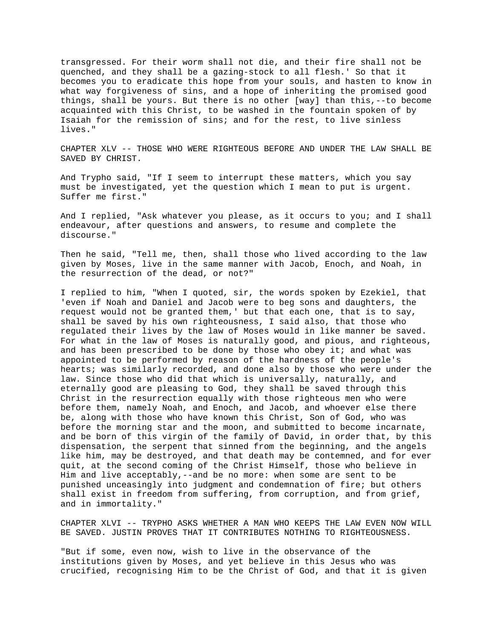transgressed. For their worm shall not die, and their fire shall not be quenched, and they shall be a gazing-stock to all flesh.' So that it becomes you to eradicate this hope from your souls, and hasten to know in what way forgiveness of sins, and a hope of inheriting the promised good things, shall be yours. But there is no other [way] than this,--to become acquainted with this Christ, to be washed in the fountain spoken of by Isaiah for the remission of sins; and for the rest, to live sinless lives."

CHAPTER XLV -- THOSE WHO WERE RIGHTEOUS BEFORE AND UNDER THE LAW SHALL BE SAVED BY CHRIST.

And Trypho said, "If I seem to interrupt these matters, which you say must be investigated, yet the question which I mean to put is urgent. Suffer me first."

And I replied, "Ask whatever you please, as it occurs to you; and I shall endeavour, after questions and answers, to resume and complete the discourse."

Then he said, "Tell me, then, shall those who lived according to the law given by Moses, live in the same manner with Jacob, Enoch, and Noah, in the resurrection of the dead, or not?"

I replied to him, "When I quoted, sir, the words spoken by Ezekiel, that 'even if Noah and Daniel and Jacob were to beg sons and daughters, the request would not be granted them,' but that each one, that is to say, shall be saved by his own righteousness, I said also, that those who regulated their lives by the law of Moses would in like manner be saved. For what in the law of Moses is naturally good, and pious, and righteous, and has been prescribed to be done by those who obey it; and what was appointed to be performed by reason of the hardness of the people's hearts; was similarly recorded, and done also by those who were under the law. Since those who did that which is universally, naturally, and eternally good are pleasing to God, they shall be saved through this Christ in the resurrection equally with those righteous men who were before them, namely Noah, and Enoch, and Jacob, and whoever else there be, along with those who have known this Christ, Son of God, who was before the morning star and the moon, and submitted to become incarnate, and be born of this virgin of the family of David, in order that, by this dispensation, the serpent that sinned from the beginning, and the angels like him, may be destroyed, and that death may be contemned, and for ever quit, at the second coming of the Christ Himself, those who believe in Him and live acceptably,--and be no more: when some are sent to be punished unceasingly into judgment and condemnation of fire; but others shall exist in freedom from suffering, from corruption, and from grief, and in immortality."

CHAPTER XLVI -- TRYPHO ASKS WHETHER A MAN WHO KEEPS THE LAW EVEN NOW WILL BE SAVED. JUSTIN PROVES THAT IT CONTRIBUTES NOTHING TO RIGHTEOUSNESS.

"But if some, even now, wish to live in the observance of the institutions given by Moses, and yet believe in this Jesus who was crucified, recognising Him to be the Christ of God, and that it is given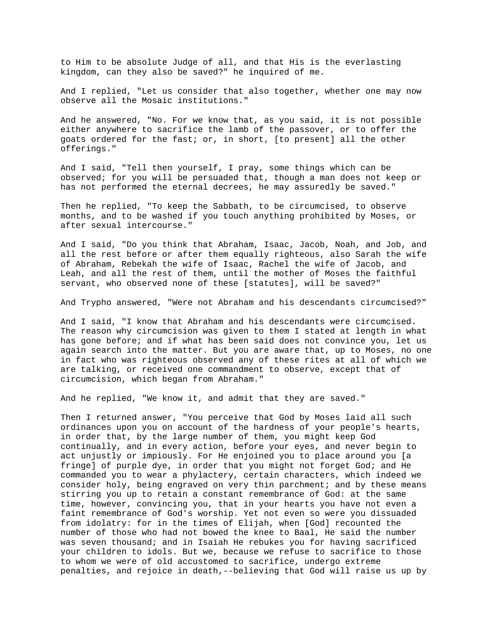to Him to be absolute Judge of all, and that His is the everlasting kingdom, can they also be saved?" he inquired of me.

And I replied, "Let us consider that also together, whether one may now observe all the Mosaic institutions."

And he answered, "No. For we know that, as you said, it is not possible either anywhere to sacrifice the lamb of the passover, or to offer the goats ordered for the fast; or, in short, [to present] all the other offerings."

And I said, "Tell then yourself, I pray, some things which can be observed; for you will be persuaded that, though a man does not keep or has not performed the eternal decrees, he may assuredly be saved."

Then he replied, "To keep the Sabbath, to be circumcised, to observe months, and to be washed if you touch anything prohibited by Moses, or after sexual intercourse."

And I said, "Do you think that Abraham, Isaac, Jacob, Noah, and Job, and all the rest before or after them equally righteous, also Sarah the wife of Abraham, Rebekah the wife of Isaac, Rachel the wife of Jacob, and Leah, and all the rest of them, until the mother of Moses the faithful servant, who observed none of these [statutes], will be saved?"

And Trypho answered, "Were not Abraham and his descendants circumcised?"

And I said, "I know that Abraham and his descendants were circumcised. The reason why circumcision was given to them I stated at length in what has gone before; and if what has been said does not convince you, let us again search into the matter. But you are aware that, up to Moses, no one in fact who was righteous observed any of these rites at all of which we are talking, or received one commandment to observe, except that of circumcision, which began from Abraham."

And he replied, "We know it, and admit that they are saved."

Then I returned answer, "You perceive that God by Moses laid all such ordinances upon you on account of the hardness of your people's hearts, in order that, by the large number of them, you might keep God continually, and in every action, before your eyes, and never begin to act unjustly or impiously. For He enjoined you to place around you [a fringe] of purple dye, in order that you might not forget God; and He commanded you to wear a phylactery, certain characters, which indeed we consider holy, being engraved on very thin parchment; and by these means stirring you up to retain a constant remembrance of God: at the same time, however, convincing you, that in your hearts you have not even a faint remembrance of God's worship. Yet not even so were you dissuaded from idolatry: for in the times of Elijah, when [God] recounted the number of those who had not bowed the knee to Baal, He said the number was seven thousand; and in Isaiah He rebukes you for having sacrificed your children to idols. But we, because we refuse to sacrifice to those to whom we were of old accustomed to sacrifice, undergo extreme penalties, and rejoice in death,--believing that God will raise us up by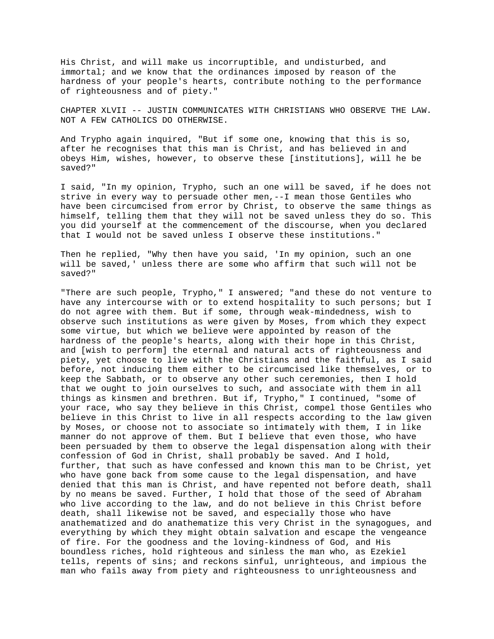His Christ, and will make us incorruptible, and undisturbed, and immortal; and we know that the ordinances imposed by reason of the hardness of your people's hearts, contribute nothing to the performance of righteousness and of piety."

CHAPTER XLVII -- JUSTIN COMMUNICATES WITH CHRISTIANS WHO OBSERVE THE LAW. NOT A FEW CATHOLICS DO OTHERWISE.

And Trypho again inquired, "But if some one, knowing that this is so, after he recognises that this man is Christ, and has believed in and obeys Him, wishes, however, to observe these [institutions], will he be saved?"

I said, "In my opinion, Trypho, such an one will be saved, if he does not strive in every way to persuade other men,--I mean those Gentiles who have been circumcised from error by Christ, to observe the same things as himself, telling them that they will not be saved unless they do so. This you did yourself at the commencement of the discourse, when you declared that I would not be saved unless I observe these institutions."

Then he replied, "Why then have you said, 'In my opinion, such an one will be saved,' unless there are some who affirm that such will not be saved?"

"There are such people, Trypho," I answered; "and these do not venture to have any intercourse with or to extend hospitality to such persons; but I do not agree with them. But if some, through weak-mindedness, wish to observe such institutions as were given by Moses, from which they expect some virtue, but which we believe were appointed by reason of the hardness of the people's hearts, along with their hope in this Christ, and [wish to perform] the eternal and natural acts of righteousness and piety, yet choose to live with the Christians and the faithful, as I said before, not inducing them either to be circumcised like themselves, or to keep the Sabbath, or to observe any other such ceremonies, then I hold that we ought to join ourselves to such, and associate with them in all things as kinsmen and brethren. But if, Trypho," I continued, "some of your race, who say they believe in this Christ, compel those Gentiles who believe in this Christ to live in all respects according to the law given by Moses, or choose not to associate so intimately with them, I in like manner do not approve of them. But I believe that even those, who have been persuaded by them to observe the legal dispensation along with their confession of God in Christ, shall probably be saved. And I hold, further, that such as have confessed and known this man to be Christ, yet who have gone back from some cause to the legal dispensation, and have denied that this man is Christ, and have repented not before death, shall by no means be saved. Further, I hold that those of the seed of Abraham who live according to the law, and do not believe in this Christ before death, shall likewise not be saved, and especially those who have anathematized and do anathematize this very Christ in the synagogues, and everything by which they might obtain salvation and escape the vengeance of fire. For the goodness and the loving-kindness of God, and His boundless riches, hold righteous and sinless the man who, as Ezekiel tells, repents of sins; and reckons sinful, unrighteous, and impious the man who fails away from piety and righteousness to unrighteousness and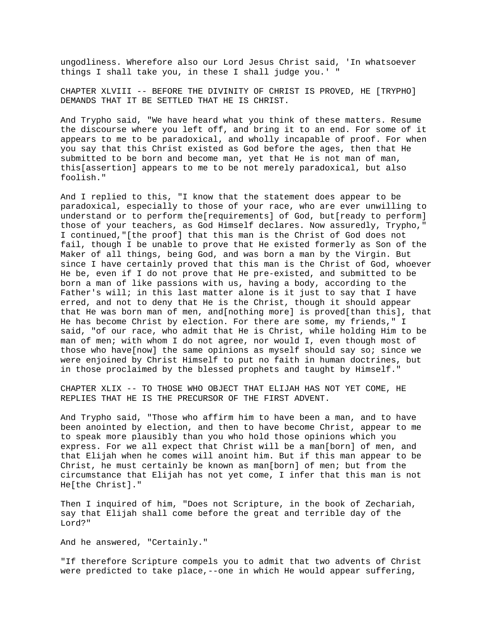ungodliness. Wherefore also our Lord Jesus Christ said, 'In whatsoever things I shall take you, in these I shall judge you.' "

CHAPTER XLVIII -- BEFORE THE DIVINITY OF CHRIST IS PROVED, HE [TRYPHO] DEMANDS THAT IT BE SETTLED THAT HE IS CHRIST.

And Trypho said, "We have heard what you think of these matters. Resume the discourse where you left off, and bring it to an end. For some of it appears to me to be paradoxical, and wholly incapable of proof. For when you say that this Christ existed as God before the ages, then that He submitted to be born and become man, yet that He is not man of man, this[assertion] appears to me to be not merely paradoxical, but also foolish."

And I replied to this, "I know that the statement does appear to be paradoxical, especially to those of your race, who are ever unwilling to understand or to perform the[requirements] of God, but[ready to perform] those of your teachers, as God Himself declares. Now assuredly, Trypho," I continued,"[the proof] that this man is the Christ of God does not fail, though I be unable to prove that He existed formerly as Son of the Maker of all things, being God, and was born a man by the Virgin. But since I have certainly proved that this man is the Christ of God, whoever He be, even if I do not prove that He pre-existed, and submitted to be born a man of like passions with us, having a body, according to the Father's will; in this last matter alone is it just to say that I have erred, and not to deny that He is the Christ, though it should appear that He was born man of men, and[nothing more] is proved[than this], that He has become Christ by election. For there are some, my friends," I said, "of our race, who admit that He is Christ, while holding Him to be man of men; with whom I do not agree, nor would I, even though most of those who have[now] the same opinions as myself should say so; since we were enjoined by Christ Himself to put no faith in human doctrines, but in those proclaimed by the blessed prophets and taught by Himself."

CHAPTER XLIX -- TO THOSE WHO OBJECT THAT ELIJAH HAS NOT YET COME, HE REPLIES THAT HE IS THE PRECURSOR OF THE FIRST ADVENT.

And Trypho said, "Those who affirm him to have been a man, and to have been anointed by election, and then to have become Christ, appear to me to speak more plausibly than you who hold those opinions which you express. For we all expect that Christ will be a man[born] of men, and that Elijah when he comes will anoint him. But if this man appear to be Christ, he must certainly be known as man[born] of men; but from the circumstance that Elijah has not yet come, I infer that this man is not He[the Christ]."

Then I inquired of him, "Does not Scripture, in the book of Zechariah, say that Elijah shall come before the great and terrible day of the Lord?"

And he answered, "Certainly."

"If therefore Scripture compels you to admit that two advents of Christ were predicted to take place,--one in which He would appear suffering,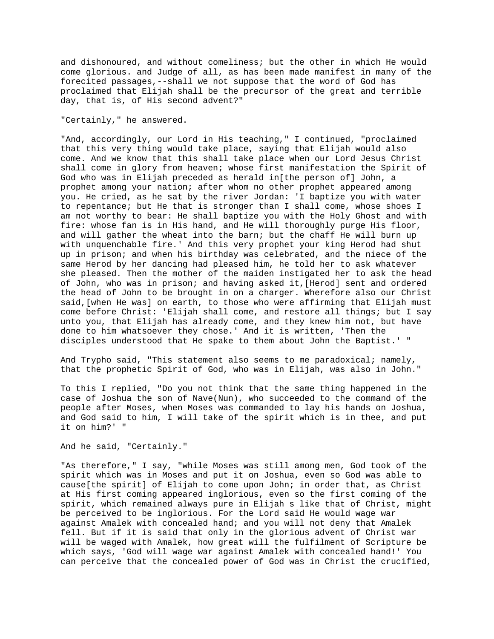and dishonoured, and without comeliness; but the other in which He would come glorious. and Judge of all, as has been made manifest in many of the forecited passages,--shall we not suppose that the word of God has proclaimed that Elijah shall be the precursor of the great and terrible day, that is, of His second advent?"

"Certainly," he answered.

"And, accordingly, our Lord in His teaching," I continued, "proclaimed that this very thing would take place, saying that Elijah would also come. And we know that this shall take place when our Lord Jesus Christ shall come in glory from heaven; whose first manifestation the Spirit of God who was in Elijah preceded as herald in[the person of] John, a prophet among your nation; after whom no other prophet appeared among you. He cried, as he sat by the river Jordan: 'I baptize you with water to repentance; but He that is stronger than I shall come, whose shoes I am not worthy to bear: He shall baptize you with the Holy Ghost and with fire: whose fan is in His hand, and He will thoroughly purge His floor, and will gather the wheat into the barn; but the chaff He will burn up with unquenchable fire.' And this very prophet your king Herod had shut up in prison; and when his birthday was celebrated, and the niece of the same Herod by her dancing had pleased him, he told her to ask whatever she pleased. Then the mother of the maiden instigated her to ask the head of John, who was in prison; and having asked it,[Herod] sent and ordered the head of John to be brought in on a charger. Wherefore also our Christ said,[when He was] on earth, to those who were affirming that Elijah must come before Christ: 'Elijah shall come, and restore all things; but I say unto you, that Elijah has already come, and they knew him not, but have done to him whatsoever they chose.' And it is written, 'Then the disciples understood that He spake to them about John the Baptist.' "

And Trypho said, "This statement also seems to me paradoxical; namely, that the prophetic Spirit of God, who was in Elijah, was also in John."

To this I replied, "Do you not think that the same thing happened in the case of Joshua the son of Nave(Nun), who succeeded to the command of the people after Moses, when Moses was commanded to lay his hands on Joshua, and God said to him, I will take of the spirit which is in thee, and put it on him?' "

And he said, "Certainly."

"As therefore," I say, "while Moses was still among men, God took of the spirit which was in Moses and put it on Joshua, even so God was able to cause[the spirit] of Elijah to come upon John; in order that, as Christ at His first coming appeared inglorious, even so the first coming of the spirit, which remained always pure in Elijah s like that of Christ, might be perceived to be inglorious. For the Lord said He would wage war against Amalek with concealed hand; and you will not deny that Amalek fell. But if it is said that only in the glorious advent of Christ war will be waged with Amalek, how great will the fulfilment of Scripture be which says, 'God will wage war against Amalek with concealed hand!' You can perceive that the concealed power of God was in Christ the crucified,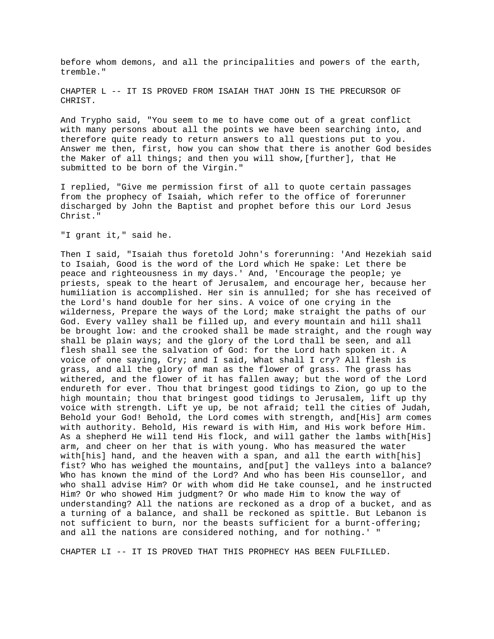before whom demons, and all the principalities and powers of the earth, tremble."

CHAPTER L -- IT IS PROVED FROM ISAIAH THAT JOHN IS THE PRECURSOR OF CHRIST.

And Trypho said, "You seem to me to have come out of a great conflict with many persons about all the points we have been searching into, and therefore quite ready to return answers to all questions put to you. Answer me then, first, how you can show that there is another God besides the Maker of all things; and then you will show,[further], that He submitted to be born of the Virgin."

I replied, "Give me permission first of all to quote certain passages from the prophecy of Isaiah, which refer to the office of forerunner discharged by John the Baptist and prophet before this our Lord Jesus Christ."

"I grant it," said he.

Then I said, "Isaiah thus foretold John's forerunning: 'And Hezekiah said to Isaiah, Good is the word of the Lord which He spake: Let there be peace and righteousness in my days.' And, 'Encourage the people; ye priests, speak to the heart of Jerusalem, and encourage her, because her humiliation is accomplished. Her sin is annulled; for she has received of the Lord's hand double for her sins. A voice of one crying in the wilderness, Prepare the ways of the Lord; make straight the paths of our God. Every valley shall be filled up, and every mountain and hill shall be brought low: and the crooked shall be made straight, and the rough way shall be plain ways; and the glory of the Lord thall be seen, and all flesh shall see the salvation of God: for the Lord hath spoken it. A voice of one saying, Cry; and I said, What shall I cry? All flesh is grass, and all the glory of man as the flower of grass. The grass has withered, and the flower of it has fallen away; but the word of the Lord endureth for ever. Thou that bringest good tidings to Zion, go up to the high mountain; thou that bringest good tidings to Jerusalem, lift up thy voice with strength. Lift ye up, be not afraid; tell the cities of Judah, Behold your God! Behold, the Lord comes with strength, and[His] arm comes with authority. Behold, His reward is with Him, and His work before Him. As a shepherd He will tend His flock, and will gather the lambs with[His] arm, and cheer on her that is with young. Who has measured the water with[his] hand, and the heaven with a span, and all the earth with[his] fist? Who has weighed the mountains, and[put] the valleys into a balance? Who has known the mind of the Lord? And who has been His counsellor, and who shall advise Him? Or with whom did He take counsel, and he instructed Him? Or who showed Him judgment? Or who made Him to know the way of understanding? All the nations are reckoned as a drop of a bucket, and as a turning of a balance, and shall be reckoned as spittle. But Lebanon is not sufficient to burn, nor the beasts sufficient for a burnt-offering; and all the nations are considered nothing, and for nothing.' "

CHAPTER LI -- IT IS PROVED THAT THIS PROPHECY HAS BEEN FULFILLED.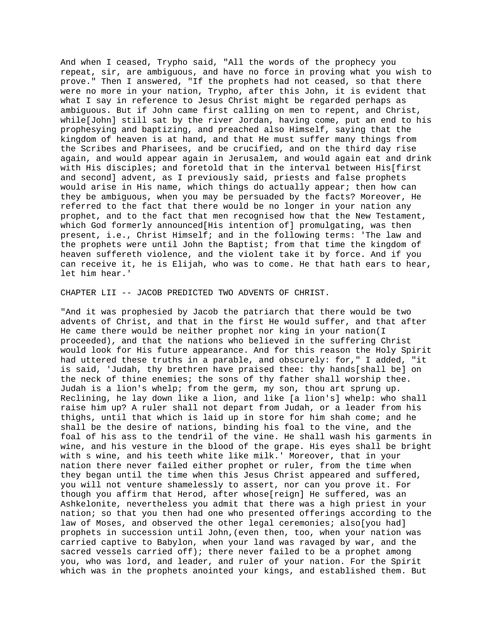And when I ceased, Trypho said, "All the words of the prophecy you repeat, sir, are ambiguous, and have no force in proving what you wish to prove." Then I answered, "If the prophets had not ceased, so that there were no more in your nation, Trypho, after this John, it is evident that what I say in reference to Jesus Christ might be regarded perhaps as ambiguous. But if John came first calling on men to repent, and Christ, while[John] still sat by the river Jordan, having come, put an end to his prophesying and baptizing, and preached also Himself, saying that the kingdom of heaven is at hand, and that He must suffer many things from the Scribes and Pharisees, and be crucified, and on the third day rise again, and would appear again in Jerusalem, and would again eat and drink with His disciples; and foretold that in the interval between His[first and second] advent, as I previously said, priests and false prophets would arise in His name, which things do actually appear; then how can they be ambiguous, when you may be persuaded by the facts? Moreover, He referred to the fact that there would be no longer in your nation any prophet, and to the fact that men recognised how that the New Testament, which God formerly announced[His intention of] promulgating, was then present, i.e., Christ Himself; and in the following terms: 'The law and the prophets were until John the Baptist; from that time the kingdom of heaven suffereth violence, and the violent take it by force. And if you can receive it, he is Elijah, who was to come. He that hath ears to hear, let him hear.'

CHAPTER LII -- JACOB PREDICTED TWO ADVENTS OF CHRIST.

"And it was prophesied by Jacob the patriarch that there would be two advents of Christ, and that in the first He would suffer, and that after He came there would be neither prophet nor king in your nation(I proceeded), and that the nations who believed in the suffering Christ would look for His future appearance. And for this reason the Holy Spirit had uttered these truths in a parable, and obscurely: for," I added, "it is said, 'Judah, thy brethren have praised thee: thy hands[shall be] on the neck of thine enemies; the sons of thy father shall worship thee. Judah is a lion's whelp; from the germ, my son, thou art sprung up. Reclining, he lay down like a lion, and like [a lion's] whelp: who shall raise him up? A ruler shall not depart from Judah, or a leader from his thighs, until that which is laid up in store for him shah come; and he shall be the desire of nations, binding his foal to the vine, and the foal of his ass to the tendril of the vine. He shall wash his garments in wine, and his vesture in the blood of the grape. His eyes shall be bright with s wine, and his teeth white like milk.' Moreover, that in your nation there never failed either prophet or ruler, from the time when they began until the time when this Jesus Christ appeared and suffered, you will not venture shamelessly to assert, nor can you prove it. For though you affirm that Herod, after whose[reign] He suffered, was an Ashkelonite, nevertheless you admit that there was a high priest in your nation; so that you then had one who presented offerings according to the law of Moses, and observed the other legal ceremonies; also[you had] prophets in succession until John,(even then, too, when your nation was carried captive to Babylon, when your land was ravaged by war, and the sacred vessels carried off); there never failed to be a prophet among you, who was lord, and leader, and ruler of your nation. For the Spirit which was in the prophets anointed your kings, and established them. But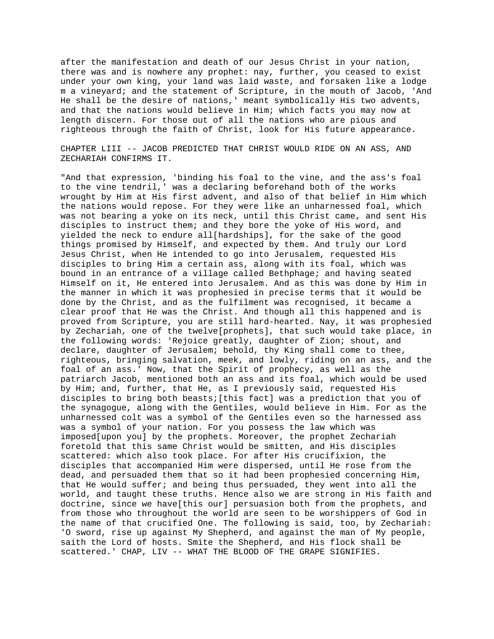after the manifestation and death of our Jesus Christ in your nation, there was and is nowhere any prophet: nay, further, you ceased to exist under your own king, your land was laid waste, and forsaken like a lodge m a vineyard; and the statement of Scripture, in the mouth of Jacob, 'And He shall be the desire of nations,' meant symbolically His two advents, and that the nations would believe in Him; which facts you may now at length discern. For those out of all the nations who are pious and righteous through the faith of Christ, look for His future appearance.

CHAPTER LIII -- JACOB PREDICTED THAT CHRIST WOULD RIDE ON AN ASS, AND ZECHARIAH CONFIRMS IT.

"And that expression, 'binding his foal to the vine, and the ass's foal to the vine tendril,' was a declaring beforehand both of the works wrought by Him at His first advent, and also of that belief in Him which the nations would repose. For they were like an unharnessed foal, which was not bearing a yoke on its neck, until this Christ came, and sent His disciples to instruct them; and they bore the yoke of His word, and yielded the neck to endure all[hardships], for the sake of the good things promised by Himself, and expected by them. And truly our Lord Jesus Christ, when He intended to go into Jerusalem, requested His disciples to bring Him a certain ass, along with its foal, which was bound in an entrance of a village called Bethphage; and having seated Himself on it, He entered into Jerusalem. And as this was done by Him in the manner in which it was prophesied in precise terms that it would be done by the Christ, and as the fulfilment was recognised, it became a clear proof that He was the Christ. And though all this happened and is proved from Scripture, you are still hard-hearted. Nay, it was prophesied by Zechariah, one of the twelve[prophets], that such would take place, in the following words: 'Rejoice greatly, daughter of Zion; shout, and declare, daughter of Jerusalem; behold, thy King shall come to thee, righteous, bringing salvation, meek, and lowly, riding on an ass, and the foal of an ass.' Now, that the Spirit of prophecy, as well as the patriarch Jacob, mentioned both an ass and its foal, which would be used by Him; and, further, that He, as I previously said, requested His disciples to bring both beasts;[this fact] was a prediction that you of the synagogue, along with the Gentiles, would believe in Him. For as the unharnessed colt was a symbol of the Gentiles even so the harnessed ass was a symbol of your nation. For you possess the law which was imposed[upon you] by the prophets. Moreover, the prophet Zechariah foretold that this same Christ would be smitten, and His disciples scattered: which also took place. For after His crucifixion, the disciples that accompanied Him were dispersed, until He rose from the dead, and persuaded them that so it had been prophesied concerning Him, that He would suffer; and being thus persuaded, they went into all the world, and taught these truths. Hence also we are strong in His faith and doctrine, since we have[this our] persuasion both from the prophets, and from those who throughout the world are seen to be worshippers of God in the name of that crucified One. The following is said, too, by Zechariah: 'O sword, rise up against My Shepherd, and against the man of My people, saith the Lord of hosts. Smite the Shepherd, and His flock shall be scattered.' CHAP, LIV -- WHAT THE BLOOD OF THE GRAPE SIGNIFIES.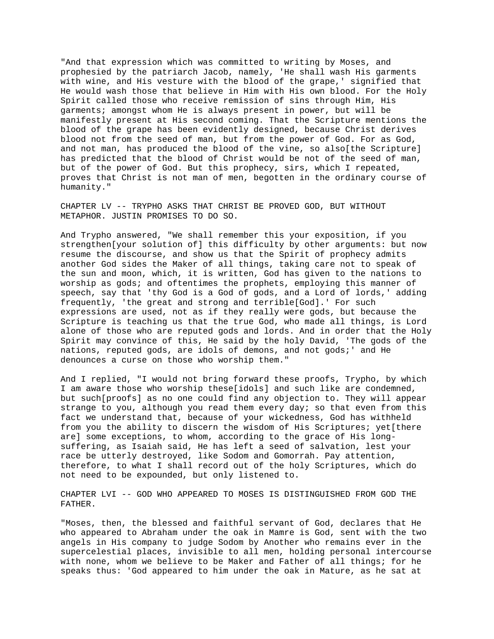"And that expression which was committed to writing by Moses, and prophesied by the patriarch Jacob, namely, 'He shall wash His garments with wine, and His vesture with the blood of the grape,' signified that He would wash those that believe in Him with His own blood. For the Holy Spirit called those who receive remission of sins through Him, His garments; amongst whom He is always present in power, but will be manifestly present at His second coming. That the Scripture mentions the blood of the grape has been evidently designed, because Christ derives blood not from the seed of man, but from the power of God. For as God, and not man, has produced the blood of the vine, so also[the Scripture] has predicted that the blood of Christ would be not of the seed of man, but of the power of God. But this prophecy, sirs, which I repeated, proves that Christ is not man of men, begotten in the ordinary course of humanity."

CHAPTER LV -- TRYPHO ASKS THAT CHRIST BE PROVED GOD, BUT WITHOUT METAPHOR. JUSTIN PROMISES TO DO SO.

And Trypho answered, "We shall remember this your exposition, if you strengthen[your solution of] this difficulty by other arguments: but now resume the discourse, and show us that the Spirit of prophecy admits another God sides the Maker of all things, taking care not to speak of the sun and moon, which, it is written, God has given to the nations to worship as gods; and oftentimes the prophets, employing this manner of speech, say that 'thy God is a God of gods, and a Lord of lords,' adding frequently, 'the great and strong and terrible[God].' For such expressions are used, not as if they really were gods, but because the Scripture is teaching us that the true God, who made all things, is Lord alone of those who are reputed gods and lords. And in order that the Holy Spirit may convince of this, He said by the holy David, 'The gods of the nations, reputed gods, are idols of demons, and not gods;' and He denounces a curse on those who worship them."

And I replied, "I would not bring forward these proofs, Trypho, by which I am aware those who worship these[idols] and such like are condemned, but such[proofs] as no one could find any objection to. They will appear strange to you, although you read them every day; so that even from this fact we understand that, because of your wickedness, God has withheld from you the ability to discern the wisdom of His Scriptures; yet[there are] some exceptions, to whom, according to the grace of His longsuffering, as Isaiah said, He has left a seed of salvation, lest your race be utterly destroyed, like Sodom and Gomorrah. Pay attention, therefore, to what I shall record out of the holy Scriptures, which do not need to be expounded, but only listened to.

CHAPTER LVI -- GOD WHO APPEARED TO MOSES IS DISTINGUISHED FROM GOD THE FATHER.

"Moses, then, the blessed and faithful servant of God, declares that He who appeared to Abraham under the oak in Mamre is God, sent with the two angels in His company to judge Sodom by Another who remains ever in the supercelestial places, invisible to all men, holding personal intercourse with none, whom we believe to be Maker and Father of all things; for he speaks thus: 'God appeared to him under the oak in Mature, as he sat at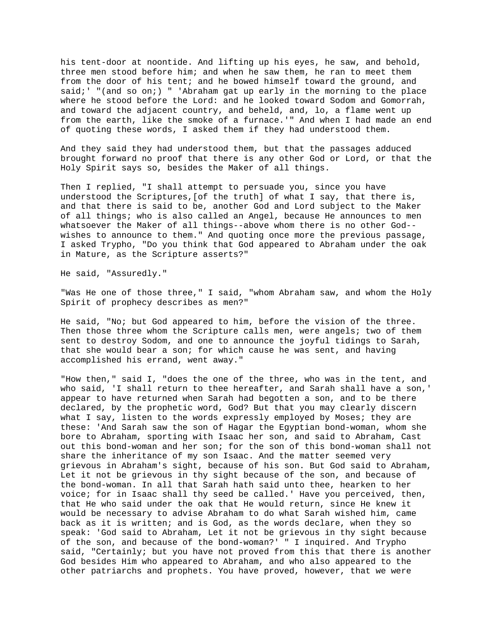his tent-door at noontide. And lifting up his eyes, he saw, and behold, three men stood before him; and when he saw them, he ran to meet them from the door of his tent; and he bowed himself toward the ground, and said;' "(and so on;) " 'Abraham gat up early in the morning to the place where he stood before the Lord: and he looked toward Sodom and Gomorrah, and toward the adjacent country, and beheld, and, lo, a flame went up from the earth, like the smoke of a furnace.'" And when I had made an end of quoting these words, I asked them if they had understood them.

And they said they had understood them, but that the passages adduced brought forward no proof that there is any other God or Lord, or that the Holy Spirit says so, besides the Maker of all things.

Then I replied, "I shall attempt to persuade you, since you have understood the Scriptures,[of the truth] of what I say, that there is, and that there is said to be, another God and Lord subject to the Maker of all things; who is also called an Angel, because He announces to men whatsoever the Maker of all things--above whom there is no other God- wishes to announce to them." And quoting once more the previous passage, I asked Trypho, "Do you think that God appeared to Abraham under the oak in Mature, as the Scripture asserts?"

He said, "Assuredly."

"Was He one of those three," I said, "whom Abraham saw, and whom the Holy Spirit of prophecy describes as men?"

He said, "No; but God appeared to him, before the vision of the three. Then those three whom the Scripture calls men, were angels; two of them sent to destroy Sodom, and one to announce the joyful tidings to Sarah, that she would bear a son; for which cause he was sent, and having accomplished his errand, went away."

"How then," said I, "does the one of the three, who was in the tent, and who said, 'I shall return to thee hereafter, and Sarah shall have a son,' appear to have returned when Sarah had begotten a son, and to be there declared, by the prophetic word, God? But that you may clearly discern what I say, listen to the words expressly employed by Moses; they are these: 'And Sarah saw the son of Hagar the Egyptian bond-woman, whom she bore to Abraham, sporting with Isaac her son, and said to Abraham, Cast out this bond-woman and her son; for the son of this bond-woman shall not share the inheritance of my son Isaac. And the matter seemed very grievous in Abraham's sight, because of his son. But God said to Abraham, Let it not be grievous in thy sight because of the son, and because of the bond-woman. In all that Sarah hath said unto thee, hearken to her voice; for in Isaac shall thy seed be called.' Have you perceived, then, that He who said under the oak that He would return, since He knew it would be necessary to advise Abraham to do what Sarah wished him, came back as it is written; and is God, as the words declare, when they so speak: 'God said to Abraham, Let it not be grievous in thy sight because of the son, and because of the bond-woman?' " I inquired. And Trypho said, "Certainly; but you have not proved from this that there is another God besides Him who appeared to Abraham, and who also appeared to the other patriarchs and prophets. You have proved, however, that we were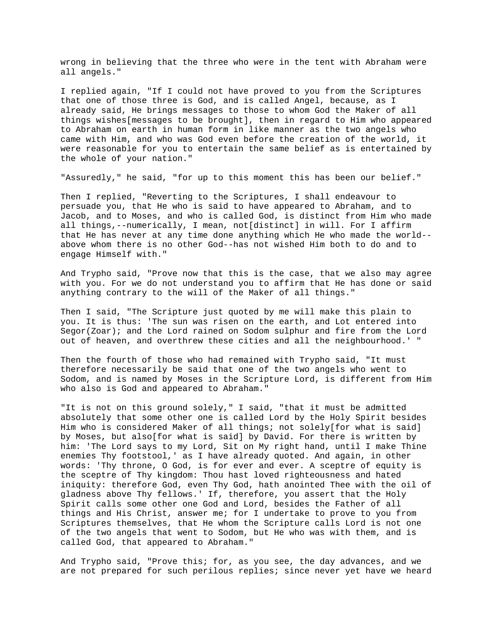wrong in believing that the three who were in the tent with Abraham were all angels."

I replied again, "If I could not have proved to you from the Scriptures that one of those three is God, and is called Angel, because, as I already said, He brings messages to those to whom God the Maker of all things wishes[messages to be brought], then in regard to Him who appeared to Abraham on earth in human form in like manner as the two angels who came with Him, and who was God even before the creation of the world, it were reasonable for you to entertain the same belief as is entertained by the whole of your nation."

"Assuredly," he said, "for up to this moment this has been our belief."

Then I replied, "Reverting to the Scriptures, I shall endeavour to persuade you, that He who is said to have appeared to Abraham, and to Jacob, and to Moses, and who is called God, is distinct from Him who made all things,--numerically, I mean, not[distinct] in will. For I affirm that He has never at any time done anything which He who made the world- above whom there is no other God--has not wished Him both to do and to engage Himself with."

And Trypho said, "Prove now that this is the case, that we also may agree with you. For we do not understand you to affirm that He has done or said anything contrary to the will of the Maker of all things."

Then I said, "The Scripture just quoted by me will make this plain to you. It is thus: 'The sun was risen on the earth, and Lot entered into Segor(Zoar); and the Lord rained on Sodom sulphur and fire from the Lord out of heaven, and overthrew these cities and all the neighbourhood.' "

Then the fourth of those who had remained with Trypho said, "It must therefore necessarily be said that one of the two angels who went to Sodom, and is named by Moses in the Scripture Lord, is different from Him who also is God and appeared to Abraham."

"It is not on this ground solely," I said, "that it must be admitted absolutely that some other one is called Lord by the Holy Spirit besides Him who is considered Maker of all things; not solely[for what is said] by Moses, but also[for what is said] by David. For there is written by him: 'The Lord says to my Lord, Sit on My right hand, until I make Thine enemies Thy footstool,' as I have already quoted. And again, in other words: 'Thy throne, O God, is for ever and ever. A sceptre of equity is the sceptre of Thy kingdom: Thou hast loved righteousness and hated iniquity: therefore God, even Thy God, hath anointed Thee with the oil of gladness above Thy fellows.' If, therefore, you assert that the Holy Spirit calls some other one God and Lord, besides the Father of all things and His Christ, answer me; for I undertake to prove to you from Scriptures themselves, that He whom the Scripture calls Lord is not one of the two angels that went to Sodom, but He who was with them, and is called God, that appeared to Abraham."

And Trypho said, "Prove this; for, as you see, the day advances, and we are not prepared for such perilous replies; since never yet have we heard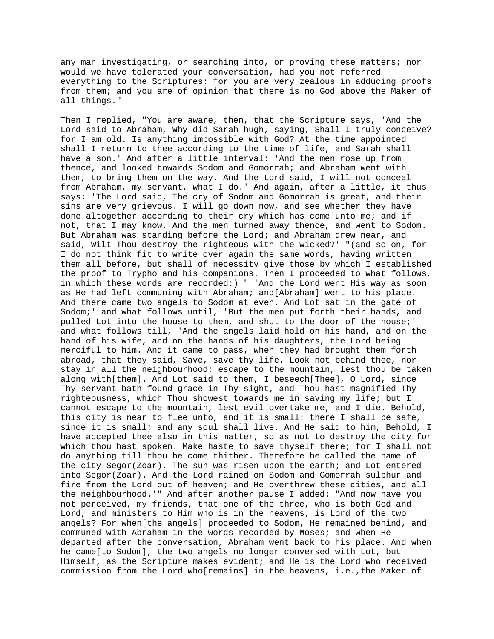any man investigating, or searching into, or proving these matters; nor would we have tolerated your conversation, had you not referred everything to the Scriptures: for you are very zealous in adducing proofs from them; and you are of opinion that there is no God above the Maker of all things."

Then I replied, "You are aware, then, that the Scripture says, 'And the Lord said to Abraham, Why did Sarah hugh, saying, Shall I truly conceive? for I am old. Is anything impossible with God? At the time appointed shall I return to thee according to the time of life, and Sarah shall have a son.' And after a little interval: 'And the men rose up from thence, and looked towards Sodom and Gomorrah; and Abraham went with them, to bring them on the way. And the Lord said, I will not conceal from Abraham, my servant, what I do.' And again, after a little, it thus says: 'The Lord said, The cry of Sodom and Gomorrah is great, and their sins are very grievous. I will go down now, and see whether they have done altogether according to their cry which has come unto me; and if not, that I may know. And the men turned away thence, and went to Sodom. But Abraham was standing before the Lord; and Abraham drew near, and said, Wilt Thou destroy the righteous with the wicked?' "(and so on, for I do not think fit to write over again the same words, having written them all before, but shall of necessity give those by which I established the proof to Trypho and his companions. Then I proceeded to what follows, in which these words are recorded:) " 'And the Lord went His way as soon as He had left communing with Abraham; and[Abraham] went to his place. And there came two angels to Sodom at even. And Lot sat in the gate of Sodom;' and what follows until, 'But the men put forth their hands, and pulled Lot into the house to them, and shut to the door of the house;' and what follows till, 'And the angels laid hold on his hand, and on the hand of his wife, and on the hands of his daughters, the Lord being merciful to him. And it came to pass, when they had brought them forth abroad, that they said, Save, save thy life. Look not behind thee, nor stay in all the neighbourhood; escape to the mountain, lest thou be taken along with[them]. And Lot said to them, I beseech[Thee], O Lord, since Thy servant bath found grace in Thy sight, and Thou hast magnified Thy righteousness, which Thou showest towards me in saving my life; but I cannot escape to the mountain, lest evil overtake me, and I die. Behold, this city is near to flee unto, and it is small: there I shall be safe, since it is small; and any soul shall live. And He said to him, Behold, I have accepted thee also in this matter, so as not to destroy the city for which thou hast spoken. Make haste to save thyself there; for I shall not do anything till thou be come thither. Therefore he called the name of the city Segor(Zoar). The sun was risen upon the earth; and Lot entered into Segor(Zoar). And the Lord rained on Sodom and Gomorrah sulphur and fire from the Lord out of heaven; and He overthrew these cities, and all the neighbourhood.'" And after another pause I added: "And now have you not perceived, my friends, that one of the three, who is both God and Lord, and ministers to Him who is in the heavens, is Lord of the two angels? For when[the angels] proceeded to Sodom, He remained behind, and communed with Abraham in the words recorded by Moses; and when He departed after the conversation, Abraham went back to his place. And when he came[to Sodom], the two angels no longer conversed with Lot, but Himself, as the Scripture makes evident; and He is the Lord who received commission from the Lord who[remains] in the heavens, i.e.,the Maker of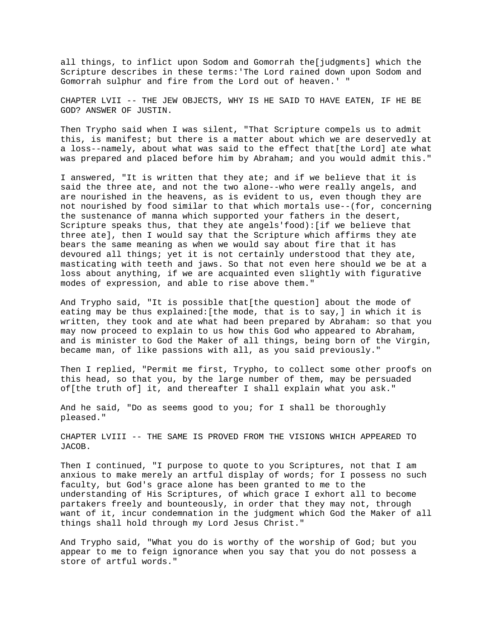all things, to inflict upon Sodom and Gomorrah the[judgments] which the Scripture describes in these terms:'The Lord rained down upon Sodom and Gomorrah sulphur and fire from the Lord out of heaven.' "

CHAPTER LVII -- THE JEW OBJECTS, WHY IS HE SAID TO HAVE EATEN, IF HE BE GOD? ANSWER OF JUSTIN.

Then Trypho said when I was silent, "That Scripture compels us to admit this, is manifest; but there is a matter about which we are deservedly at a loss--namely, about what was said to the effect that[the Lord] ate what was prepared and placed before him by Abraham; and you would admit this."

I answered, "It is written that they ate; and if we believe that it is said the three ate, and not the two alone--who were really angels, and are nourished in the heavens, as is evident to us, even though they are not nourished by food similar to that which mortals use--(for, concerning the sustenance of manna which supported your fathers in the desert, Scripture speaks thus, that they ate angels'food):[if we believe that three ate], then I would say that the Scripture which affirms they ate bears the same meaning as when we would say about fire that it has devoured all things; yet it is not certainly understood that they ate, masticating with teeth and jaws. So that not even here should we be at a loss about anything, if we are acquainted even slightly with figurative modes of expression, and able to rise above them."

And Trypho said, "It is possible that[the question] about the mode of eating may be thus explained:[the mode, that is to say,] in which it is written, they took and ate what had been prepared by Abraham: so that you may now proceed to explain to us how this God who appeared to Abraham, and is minister to God the Maker of all things, being born of the Virgin, became man, of like passions with all, as you said previously."

Then I replied, "Permit me first, Trypho, to collect some other proofs on this head, so that you, by the large number of them, may be persuaded of[the truth of] it, and thereafter I shall explain what you ask."

And he said, "Do as seems good to you; for I shall be thoroughly pleased."

CHAPTER LVIII -- THE SAME IS PROVED FROM THE VISIONS WHICH APPEARED TO JACOB.

Then I continued, "I purpose to quote to you Scriptures, not that I am anxious to make merely an artful display of words; for I possess no such faculty, but God's grace alone has been granted to me to the understanding of His Scriptures, of which grace I exhort all to become partakers freely and bounteously, in order that they may not, through want of it, incur condemnation in the judgment which God the Maker of all things shall hold through my Lord Jesus Christ."

And Trypho said, "What you do is worthy of the worship of God; but you appear to me to feign ignorance when you say that you do not possess a store of artful words."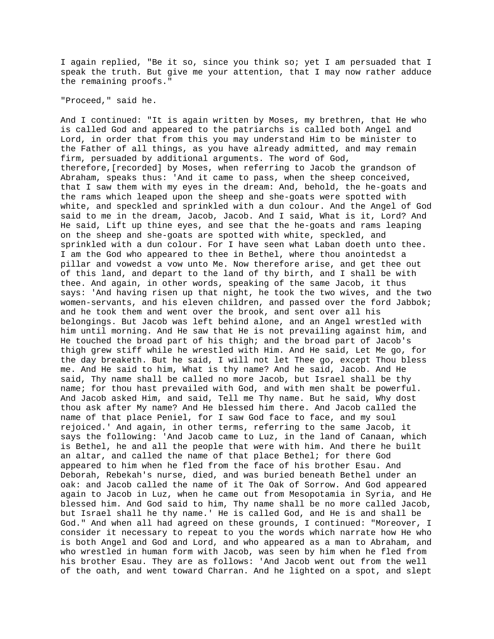I again replied, "Be it so, since you think so; yet I am persuaded that I speak the truth. But give me your attention, that I may now rather adduce the remaining proofs."

"Proceed," said he.

And I continued: "It is again written by Moses, my brethren, that He who is called God and appeared to the patriarchs is called both Angel and Lord, in order that from this you may understand Him to be minister to the Father of all things, as you have already admitted, and may remain firm, persuaded by additional arguments. The word of God, therefore,[recorded] by Moses, when referring to Jacob the grandson of Abraham, speaks thus: 'And it came to pass, when the sheep conceived, that I saw them with my eyes in the dream: And, behold, the he-goats and the rams which leaped upon the sheep and she-goats were spotted with white, and speckled and sprinkled with a dun colour. And the Angel of God said to me in the dream, Jacob, Jacob. And I said, What is it, Lord? And He said, Lift up thine eyes, and see that the he-goats and rams leaping on the sheep and she-goats are spotted with white, speckled, and sprinkled with a dun colour. For I have seen what Laban doeth unto thee. I am the God who appeared to thee in Bethel, where thou anointedst a pillar and vowedst a vow unto Me. Now therefore arise, and get thee out of this land, and depart to the land of thy birth, and I shall be with thee. And again, in other words, speaking of the same Jacob, it thus says: 'And having risen up that night, he took the two wives, and the two women-servants, and his eleven children, and passed over the ford Jabbok; and he took them and went over the brook, and sent over all his belongings. But Jacob was left behind alone, and an Angel wrestled with him until morning. And He saw that He is not prevailing against him, and He touched the broad part of his thigh; and the broad part of Jacob's thigh grew stiff while he wrestled with Him. And He said, Let Me go, for the day breaketh. But he said, I will not let Thee go, except Thou bless me. And He said to him, What is thy name? And he said, Jacob. And He said, Thy name shall be called no more Jacob, but Israel shall be thy name; for thou hast prevailed with God, and with men shalt be powerful. And Jacob asked Him, and said, Tell me Thy name. But he said, Why dost thou ask after My name? And He blessed him there. And Jacob called the name of that place Peniel, for I saw God face to face, and my soul rejoiced.' And again, in other terms, referring to the same Jacob, it says the following: 'And Jacob came to Luz, in the land of Canaan, which is Bethel, he and all the people that were with him. And there he built an altar, and called the name of that place Bethel; for there God appeared to him when he fled from the face of his brother Esau. And Deborah, Rebekah's nurse, died, and was buried beneath Bethel under an oak: and Jacob called the name of it The Oak of Sorrow. And God appeared again to Jacob in Luz, when he came out from Mesopotamia in Syria, and He blessed him. And God said to him, Thy name shall be no more called Jacob, but Israel shall he thy name.' He is called God, and He is and shall be God." And when all had agreed on these grounds, I continued: "Moreover, I consider it necessary to repeat to you the words which narrate how He who is both Angel and God and Lord, and who appeared as a man to Abraham, and who wrestled in human form with Jacob, was seen by him when he fled from his brother Esau. They are as follows: 'And Jacob went out from the well of the oath, and went toward Charran. And he lighted on a spot, and slept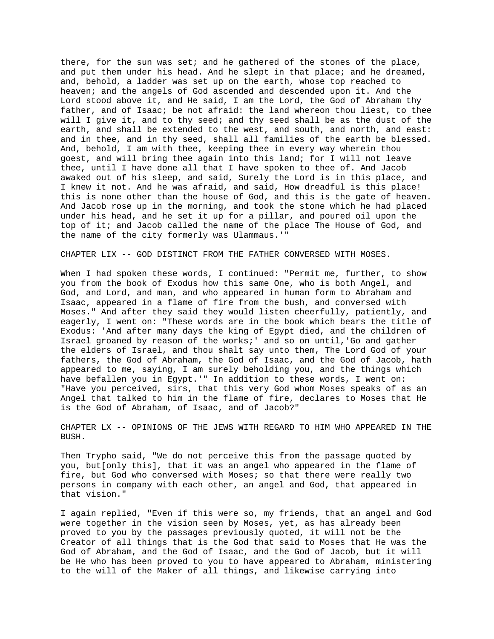there, for the sun was set; and he gathered of the stones of the place, and put them under his head. And he slept in that place; and he dreamed, and, behold, a ladder was set up on the earth, whose top reached to heaven; and the angels of God ascended and descended upon it. And the Lord stood above it, and He said, I am the Lord, the God of Abraham thy father, and of Isaac; be not afraid: the land whereon thou liest, to thee will I give it, and to thy seed; and thy seed shall be as the dust of the earth, and shall be extended to the west, and south, and north, and east: and in thee, and in thy seed, shall all families of the earth be blessed. And, behold, I am with thee, keeping thee in every way wherein thou goest, and will bring thee again into this land; for I will not leave thee, until I have done all that I have spoken to thee of. And Jacob awaked out of his sleep, and said, Surely the Lord is in this place, and I knew it not. And he was afraid, and said, How dreadful is this place! this is none other than the house of God, and this is the gate of heaven. And Jacob rose up in the morning, and took the stone which he had placed under his head, and he set it up for a pillar, and poured oil upon the top of it; and Jacob called the name of the place The House of God, and the name of the city formerly was Ulammaus.'"

CHAPTER LIX -- GOD DISTINCT FROM THE FATHER CONVERSED WITH MOSES.

When I had spoken these words, I continued: "Permit me, further, to show you from the book of Exodus how this same One, who is both Angel, and God, and Lord, and man, and who appeared in human form to Abraham and Isaac, appeared in a flame of fire from the bush, and conversed with Moses." And after they said they would listen cheerfully, patiently, and eagerly, I went on: "These words are in the book which bears the title of Exodus: 'And after many days the king of Egypt died, and the children of Israel groaned by reason of the works;' and so on until,'Go and gather the elders of Israel, and thou shalt say unto them, The Lord God of your fathers, the God of Abraham, the God of Isaac, and the God of Jacob, hath appeared to me, saying, I am surely beholding you, and the things which have befallen you in Egypt.'" In addition to these words, I went on: "Have you perceived, sirs, that this very God whom Moses speaks of as an Angel that talked to him in the flame of fire, declares to Moses that He is the God of Abraham, of Isaac, and of Jacob?"

CHAPTER LX -- OPINIONS OF THE JEWS WITH REGARD TO HIM WHO APPEARED IN THE BUSH.

Then Trypho said, "We do not perceive this from the passage quoted by you, but[only this], that it was an angel who appeared in the flame of fire, but God who conversed with Moses; so that there were really two persons in company with each other, an angel and God, that appeared in that vision."

I again replied, "Even if this were so, my friends, that an angel and God were together in the vision seen by Moses, yet, as has already been proved to you by the passages previously quoted, it will not be the Creator of all things that is the God that said to Moses that He was the God of Abraham, and the God of Isaac, and the God of Jacob, but it will be He who has been proved to you to have appeared to Abraham, ministering to the will of the Maker of all things, and likewise carrying into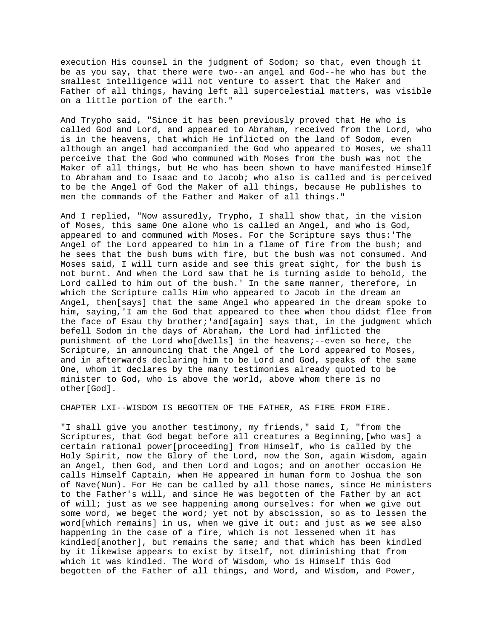execution His counsel in the judgment of Sodom; so that, even though it be as you say, that there were two--an angel and God--he who has but the smallest intelligence will not venture to assert that the Maker and Father of all things, having left all supercelestial matters, was visible on a little portion of the earth."

And Trypho said, "Since it has been previously proved that He who is called God and Lord, and appeared to Abraham, received from the Lord, who is in the heavens, that which He inflicted on the land of Sodom, even although an angel had accompanied the God who appeared to Moses, we shall perceive that the God who communed with Moses from the bush was not the Maker of all things, but He who has been shown to have manifested Himself to Abraham and to Isaac and to Jacob; who also is called and is perceived to be the Angel of God the Maker of all things, because He publishes to men the commands of the Father and Maker of all things."

And I replied, "Now assuredly, Trypho, I shall show that, in the vision of Moses, this same One alone who is called an Angel, and who is God, appeared to and communed with Moses. For the Scripture says thus:'The Angel of the Lord appeared to him in a flame of fire from the bush; and he sees that the bush bums with fire, but the bush was not consumed. And Moses said, I will turn aside and see this great sight, for the bush is not burnt. And when the Lord saw that he is turning aside to behold, the Lord called to him out of the bush.' In the same manner, therefore, in which the Scripture calls Him who appeared to Jacob in the dream an Angel, then[says] that the same Angel who appeared in the dream spoke to him, saying,'I am the God that appeared to thee when thou didst flee from the face of Esau thy brother;'and[again] says that, in the judgment which befell Sodom in the days of Abraham, the Lord had inflicted the punishment of the Lord who[dwells] in the heavens;--even so here, the Scripture, in announcing that the Angel of the Lord appeared to Moses, and in afterwards declaring him to be Lord and God, speaks of the same One, whom it declares by the many testimonies already quoted to be minister to God, who is above the world, above whom there is no other[God].

CHAPTER LXI--WISDOM IS BEGOTTEN OF THE FATHER, AS FIRE FROM FIRE.

"I shall give you another testimony, my friends," said I, "from the Scriptures, that God begat before all creatures a Beginning,[who was] a certain rational power[proceeding] from Himself, who is called by the Holy Spirit, now the Glory of the Lord, now the Son, again Wisdom, again an Angel, then God, and then Lord and Logos; and on another occasion He calls Himself Captain, when He appeared in human form to Joshua the son of Nave(Nun). For He can be called by all those names, since He ministers to the Father's will, and since He was begotten of the Father by an act of will; just as we see happening among ourselves: for when we give out some word, we beget the word; yet not by abscission, so as to lessen the word[which remains] in us, when we give it out: and just as we see also happening in the case of a fire, which is not lessened when it has kindled[another], but remains the same; and that which has been kindled by it likewise appears to exist by itself, not diminishing that from which it was kindled. The Word of Wisdom, who is Himself this God begotten of the Father of all things, and Word, and Wisdom, and Power,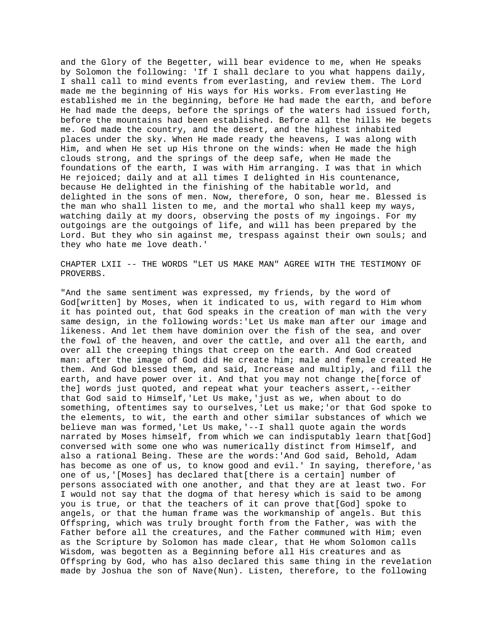and the Glory of the Begetter, will bear evidence to me, when He speaks by Solomon the following: 'If I shall declare to you what happens daily, I shall call to mind events from everlasting, and review them. The Lord made me the beginning of His ways for His works. From everlasting He established me in the beginning, before He had made the earth, and before He had made the deeps, before the springs of the waters had issued forth, before the mountains had been established. Before all the hills He begets me. God made the country, and the desert, and the highest inhabited places under the sky. When He made ready the heavens, I was along with Him, and when He set up His throne on the winds: when He made the high clouds strong, and the springs of the deep safe, when He made the foundations of the earth, I was with Him arranging. I was that in which He rejoiced; daily and at all times I delighted in His countenance, because He delighted in the finishing of the habitable world, and delighted in the sons of men. Now, therefore, O son, hear me. Blessed is the man who shall listen to me, and the mortal who shall keep my ways, watching daily at my doors, observing the posts of my ingoings. For my outgoings are the outgoings of life, and will has been prepared by the Lord. But they who sin against me, trespass against their own souls; and they who hate me love death.'

CHAPTER LXII -- THE WORDS "LET US MAKE MAN" AGREE WITH THE TESTIMONY OF PROVERBS.

"And the same sentiment was expressed, my friends, by the word of God[written] by Moses, when it indicated to us, with regard to Him whom it has pointed out, that God speaks in the creation of man with the very same design, in the following words:'Let Us make man after our image and likeness. And let them have dominion over the fish of the sea, and over the fowl of the heaven, and over the cattle, and over all the earth, and over all the creeping things that creep on the earth. And God created man: after the image of God did He create him; male and female created He them. And God blessed them, and said, Increase and multiply, and fill the earth, and have power over it. And that you may not change the[force of the] words just quoted, and repeat what your teachers assert,--either that God said to Himself,'Let Us make,'just as we, when about to do something, oftentimes say to ourselves,'Let us make;'or that God spoke to the elements, to wit, the earth and other similar substances of which we believe man was formed,'Let Us make,'--I shall quote again the words narrated by Moses himself, from which we can indisputably learn that[God] conversed with some one who was numerically distinct from Himself, and also a rational Being. These are the words:'And God said, Behold, Adam has become as one of us, to know good and evil.' In saying, therefore,'as one of us,'[Moses] has declared that[there is a certain] number of persons associated with one another, and that they are at least two. For I would not say that the dogma of that heresy which is said to be among you is true, or that the teachers of it can prove that[God] spoke to angels, or that the human frame was the workmanship of angels. But this Offspring, which was truly brought forth from the Father, was with the Father before all the creatures, and the Father communed with Him; even as the Scripture by Solomon has made clear, that He whom Solomon calls Wisdom, was begotten as a Beginning before all His creatures and as Offspring by God, who has also declared this same thing in the revelation made by Joshua the son of Nave(Nun). Listen, therefore, to the following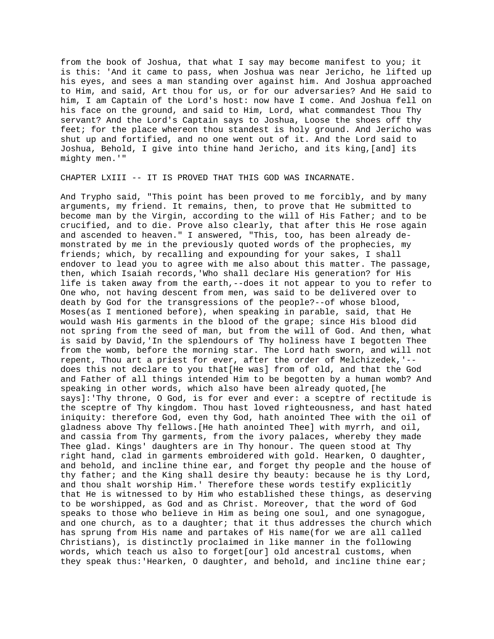from the book of Joshua, that what I say may become manifest to you; it is this: 'And it came to pass, when Joshua was near Jericho, he lifted up his eyes, and sees a man standing over against him. And Joshua approached to Him, and said, Art thou for us, or for our adversaries? And He said to him, I am Captain of the Lord's host: now have I come. And Joshua fell on his face on the ground, and said to Him, Lord, what commandest Thou Thy servant? And the Lord's Captain says to Joshua, Loose the shoes off thy feet; for the place whereon thou standest is holy ground. And Jericho was shut up and fortified, and no one went out of it. And the Lord said to Joshua, Behold, I give into thine hand Jericho, and its king,[and] its mighty men.'"

CHAPTER LXIII -- IT IS PROVED THAT THIS GOD WAS INCARNATE.

And Trypho said, "This point has been proved to me forcibly, and by many arguments, my friend. It remains, then, to prove that He submitted to become man by the Virgin, according to the will of His Father; and to be crucified, and to die. Prove also clearly, that after this He rose again and ascended to heaven." I answered, "This, too, has been already demonstrated by me in the previously quoted words of the prophecies, my friends; which, by recalling and expounding for your sakes, I shall endover to lead you to agree with me also about this matter. The passage, then, which Isaiah records,'Who shall declare His generation? for His life is taken away from the earth,--does it not appear to you to refer to One who, not having descent from men, was said to be delivered over to death by God for the transgressions of the people?--of whose blood, Moses(as I mentioned before), when speaking in parable, said, that He would wash His garments in the blood of the grape; since His blood did not spring from the seed of man, but from the will of God. And then, what is said by David,'In the splendours of Thy holiness have I begotten Thee from the womb, before the morning star. The Lord hath sworn, and will not repent, Thou art a priest for ever, after the order of Melchizedek,'- does this not declare to you that[He was] from of old, and that the God and Father of all things intended Him to be begotten by a human womb? And speaking in other words, which also have been already quoted,[he says]:'Thy throne, O God, is for ever and ever: a sceptre of rectitude is the sceptre of Thy kingdom. Thou hast loved righteousness, and hast hated iniquity: therefore God, even thy God, hath anointed Thee with the oil of gladness above Thy fellows.[He hath anointed Thee] with myrrh, and oil, and cassia from Thy garments, from the ivory palaces, whereby they made Thee glad. Kings' daughters are in Thy honour. The queen stood at Thy right hand, clad in garments embroidered with gold. Hearken, O daughter, and behold, and incline thine ear, and forget thy people and the house of thy father; and the King shall desire thy beauty: because he is thy Lord, and thou shalt worship Him.' Therefore these words testify explicitly that He is witnessed to by Him who established these things, as deserving to be worshipped, as God and as Christ. Moreover, that the word of God speaks to those who believe in Him as being one soul, and one synagogue, and one church, as to a daughter; that it thus addresses the church which has sprung from His name and partakes of His name(for we are all called Christians), is distinctly proclaimed in like manner in the following words, which teach us also to forget[our] old ancestral customs, when they speak thus:'Hearken, O daughter, and behold, and incline thine ear;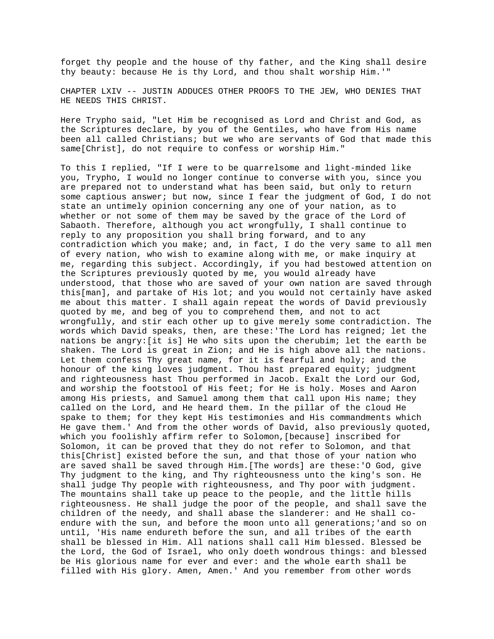forget thy people and the house of thy father, and the King shall desire thy beauty: because He is thy Lord, and thou shalt worship Him.'"

CHAPTER LXIV -- JUSTIN ADDUCES OTHER PROOFS TO THE JEW, WHO DENIES THAT HE NEEDS THIS CHRIST.

Here Trypho said, "Let Him be recognised as Lord and Christ and God, as the Scriptures declare, by you of the Gentiles, who have from His name been all called Christians; but we who are servants of God that made this same[Christ], do not require to confess or worship Him."

To this I replied, "If I were to be quarrelsome and light-minded like you, Trypho, I would no longer continue to converse with you, since you are prepared not to understand what has been said, but only to return some captious answer; but now, since I fear the judgment of God, I do not state an untimely opinion concerning any one of your nation, as to whether or not some of them may be saved by the grace of the Lord of Sabaoth. Therefore, although you act wrongfully, I shall continue to reply to any proposition you shall bring forward, and to any contradiction which you make; and, in fact, I do the very same to all men of every nation, who wish to examine along with me, or make inquiry at me, regarding this subject. Accordingly, if you had bestowed attention on the Scriptures previously quoted by me, you would already have understood, that those who are saved of your own nation are saved through this[man], and partake of His lot; and you would not certainly have asked me about this matter. I shall again repeat the words of David previously quoted by me, and beg of you to comprehend them, and not to act wrongfully, and stir each other up to give merely some contradiction. The words which David speaks, then, are these:'The Lord has reigned; let the nations be angry:[it is] He who sits upon the cherubim; let the earth be shaken. The Lord is great in Zion; and He is high above all the nations. Let them confess Thy great name, for it is fearful and holy; and the honour of the king loves judgment. Thou hast prepared equity; judgment and righteousness hast Thou performed in Jacob. Exalt the Lord our God, and worship the footstool of His feet; for He is holy. Moses and Aaron among His priests, and Samuel among them that call upon His name; they called on the Lord, and He heard them. In the pillar of the cloud He spake to them; for they kept His testimonies and His commandments which He gave them.' And from the other words of David, also previously quoted, which you foolishly affirm refer to Solomon,[because] inscribed for Solomon, it can be proved that they do not refer to Solomon, and that this[Christ] existed before the sun, and that those of your nation who are saved shall be saved through Him.[The words] are these:'O God, give Thy judgment to the king, and Thy righteousness unto the king's son. He shall judge Thy people with righteousness, and Thy poor with judgment. The mountains shall take up peace to the people, and the little hills righteousness. He shall judge the poor of the people, and shall save the children of the needy, and shall abase the slanderer: and He shall coendure with the sun, and before the moon unto all generations; and so on until, 'His name endureth before the sun, and all tribes of the earth shall be blessed in Him. All nations shall call Him blessed. Blessed be the Lord, the God of Israel, who only doeth wondrous things: and blessed be His glorious name for ever and ever: and the whole earth shall be filled with His glory. Amen, Amen.' And you remember from other words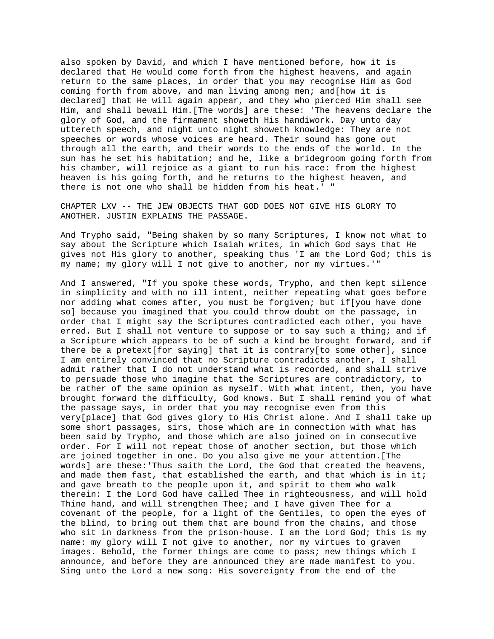also spoken by David, and which I have mentioned before, how it is declared that He would come forth from the highest heavens, and again return to the same places, in order that you may recognise Him as God coming forth from above, and man living among men; and[how it is declared] that He will again appear, and they who pierced Him shall see Him, and shall bewail Him.[The words] are these: 'The heavens declare the glory of God, and the firmament showeth His handiwork. Day unto day uttereth speech, and night unto night showeth knowledge: They are not speeches or words whose voices are heard. Their sound has gone out through all the earth, and their words to the ends of the world. In the sun has he set his habitation; and he, like a bridegroom going forth from his chamber, will rejoice as a giant to run his race: from the highest heaven is his going forth, and he returns to the highest heaven, and there is not one who shall be hidden from his heat.' "

CHAPTER LXV -- THE JEW OBJECTS THAT GOD DOES NOT GIVE HIS GLORY TO ANOTHER. JUSTIN EXPLAINS THE PASSAGE.

And Trypho said, "Being shaken by so many Scriptures, I know not what to say about the Scripture which Isaiah writes, in which God says that He gives not His glory to another, speaking thus 'I am the Lord God; this is my name; my glory will I not give to another, nor my virtues.'"

And I answered, "If you spoke these words, Trypho, and then kept silence in simplicity and with no ill intent, neither repeating what goes before nor adding what comes after, you must be forgiven; but if[you have done so] because you imagined that you could throw doubt on the passage, in order that I might say the Scriptures contradicted each other, you have erred. But I shall not venture to suppose or to say such a thing; and if a Scripture which appears to be of such a kind be brought forward, and if there be a pretext[for saying] that it is contrary[to some other], since I am entirely convinced that no Scripture contradicts another, I shall admit rather that I do not understand what is recorded, and shall strive to persuade those who imagine that the Scriptures are contradictory, to be rather of the same opinion as myself. With what intent, then, you have brought forward the difficulty, God knows. But I shall remind you of what the passage says, in order that you may recognise even from this very[place] that God gives glory to His Christ alone. And I shall take up some short passages, sirs, those which are in connection with what has been said by Trypho, and those which are also joined on in consecutive order. For I will not repeat those of another section, but those which are joined together in one. Do you also give me your attention.[The words] are these:'Thus saith the Lord, the God that created the heavens, and made them fast, that established the earth, and that which is in it; and gave breath to the people upon it, and spirit to them who walk therein: I the Lord God have called Thee in righteousness, and will hold Thine hand, and will strengthen Thee; and I have given Thee for a covenant of the people, for a light of the Gentiles, to open the eyes of the blind, to bring out them that are bound from the chains, and those who sit in darkness from the prison-house. I am the Lord God; this is my name: my glory will I not give to another, nor my virtues to graven images. Behold, the former things are come to pass; new things which I announce, and before they are announced they are made manifest to you. Sing unto the Lord a new song: His sovereignty from the end of the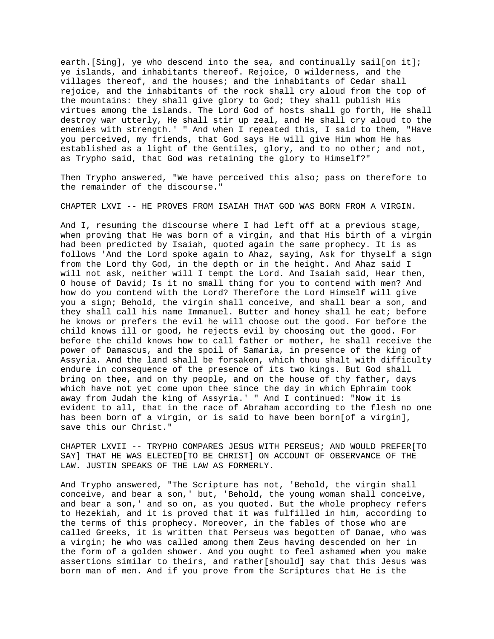earth.[Sing], ye who descend into the sea, and continually sail[on it]; ye islands, and inhabitants thereof. Rejoice, O wilderness, and the villages thereof, and the houses; and the inhabitants of Cedar shall rejoice, and the inhabitants of the rock shall cry aloud from the top of the mountains: they shall give glory to God; they shall publish His virtues among the islands. The Lord God of hosts shall go forth, He shall destroy war utterly, He shall stir up zeal, and He shall cry aloud to the enemies with strength.' " And when I repeated this, I said to them, "Have you perceived, my friends, that God says He will give Him whom He has established as a light of the Gentiles, glory, and to no other; and not, as Trypho said, that God was retaining the glory to Himself?"

Then Trypho answered, "We have perceived this also; pass on therefore to the remainder of the discourse."

CHAPTER LXVI -- HE PROVES FROM ISAIAH THAT GOD WAS BORN FROM A VIRGIN.

And I, resuming the discourse where I had left off at a previous stage, when proving that He was born of a virgin, and that His birth of a virgin had been predicted by Isaiah, quoted again the same prophecy. It is as follows 'And the Lord spoke again to Ahaz, saying, Ask for thyself a sign from the Lord thy God, in the depth or in the height. And Ahaz said I will not ask, neither will I tempt the Lord. And Isaiah said, Hear then, O house of David; Is it no small thing for you to contend with men? And how do you contend with the Lord? Therefore the Lord Himself will give you a sign; Behold, the virgin shall conceive, and shall bear a son, and they shall call his name Immanuel. Butter and honey shall he eat; before he knows or prefers the evil he will choose out the good. For before the child knows ill or good, he rejects evil by choosing out the good. For before the child knows how to call father or mother, he shall receive the power of Damascus, and the spoil of Samaria, in presence of the king of Assyria. And the land shall be forsaken, which thou shalt with difficulty endure in consequence of the presence of its two kings. But God shall bring on thee, and on thy people, and on the house of thy father, days which have not yet come upon thee since the day in which Ephraim took away from Judah the king of Assyria.' " And I continued: "Now it is evident to all, that in the race of Abraham according to the flesh no one has been born of a virgin, or is said to have been born[of a virgin], save this our Christ."

CHAPTER LXVII -- TRYPHO COMPARES JESUS WITH PERSEUS; AND WOULD PREFER[TO SAY] THAT HE WAS ELECTED[TO BE CHRIST] ON ACCOUNT OF OBSERVANCE OF THE LAW. JUSTIN SPEAKS OF THE LAW AS FORMERLY.

And Trypho answered, "The Scripture has not, 'Behold, the virgin shall conceive, and bear a son,' but, 'Behold, the young woman shall conceive, and bear a son,' and so on, as you quoted. But the whole prophecy refers to Hezekiah, and it is proved that it was fulfilled in him, according to the terms of this prophecy. Moreover, in the fables of those who are called Greeks, it is written that Perseus was begotten of Danae, who was a virgin; he who was called among them Zeus having descended on her in the form of a golden shower. And you ought to feel ashamed when you make assertions similar to theirs, and rather[should] say that this Jesus was born man of men. And if you prove from the Scriptures that He is the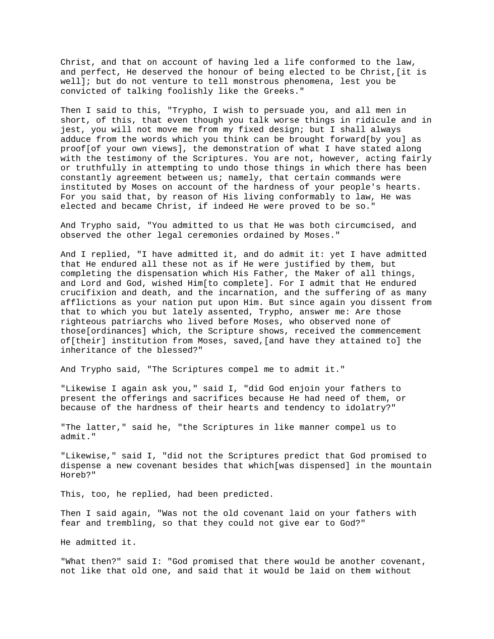Christ, and that on account of having led a life conformed to the law, and perfect, He deserved the honour of being elected to be Christ,[it is well]; but do not venture to tell monstrous phenomena, lest you be convicted of talking foolishly like the Greeks."

Then I said to this, "Trypho, I wish to persuade you, and all men in short, of this, that even though you talk worse things in ridicule and in jest, you will not move me from my fixed design; but I shall always adduce from the words which you think can be brought forward[by you] as proof[of your own views], the demonstration of what I have stated along with the testimony of the Scriptures. You are not, however, acting fairly or truthfully in attempting to undo those things in which there has been constantly agreement between us; namely, that certain commands were instituted by Moses on account of the hardness of your people's hearts. For you said that, by reason of His living conformably to law, He was elected and became Christ, if indeed He were proved to be so."

And Trypho said, "You admitted to us that He was both circumcised, and observed the other legal ceremonies ordained by Moses."

And I replied, "I have admitted it, and do admit it: yet I have admitted that He endured all these not as if He were justified by them, but completing the dispensation which His Father, the Maker of all things, and Lord and God, wished Him[to complete]. For I admit that He endured crucifixion and death, and the incarnation, and the suffering of as many afflictions as your nation put upon Him. But since again you dissent from that to which you but lately assented, Trypho, answer me: Are those righteous patriarchs who lived before Moses, who observed none of those[ordinances] which, the Scripture shows, received the commencement of[their] institution from Moses, saved,[and have they attained to] the inheritance of the blessed?"

And Trypho said, "The Scriptures compel me to admit it."

"Likewise I again ask you," said I, "did God enjoin your fathers to present the offerings and sacrifices because He had need of them, or because of the hardness of their hearts and tendency to idolatry?"

"The latter," said he, "the Scriptures in like manner compel us to admit."

"Likewise," said I, "did not the Scriptures predict that God promised to dispense a new covenant besides that which[was dispensed] in the mountain Horeb?"

This, too, he replied, had been predicted.

Then I said again, "Was not the old covenant laid on your fathers with fear and trembling, so that they could not give ear to God?"

He admitted it.

"What then?" said I: "God promised that there would be another covenant, not like that old one, and said that it would be laid on them without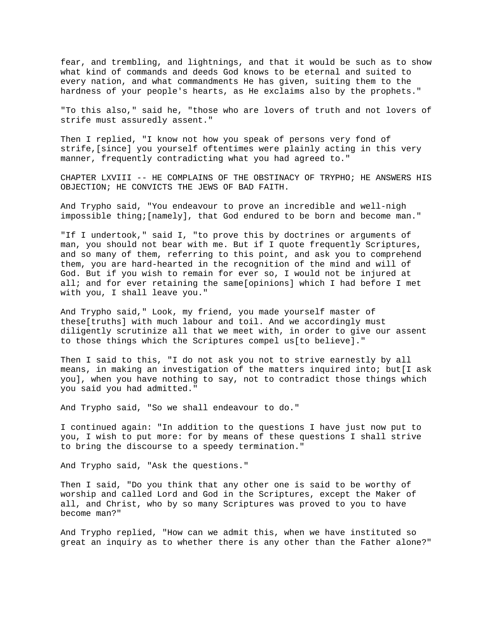fear, and trembling, and lightnings, and that it would be such as to show what kind of commands and deeds God knows to be eternal and suited to every nation, and what commandments He has given, suiting them to the hardness of your people's hearts, as He exclaims also by the prophets."

"To this also," said he, "those who are lovers of truth and not lovers of strife must assuredly assent."

Then I replied, "I know not how you speak of persons very fond of strife,[since] you yourself oftentimes were plainly acting in this very manner, frequently contradicting what you had agreed to."

CHAPTER LXVIII -- HE COMPLAINS OF THE OBSTINACY OF TRYPHO; HE ANSWERS HIS OBJECTION; HE CONVICTS THE JEWS OF BAD FAITH.

And Trypho said, "You endeavour to prove an incredible and well-nigh impossible thing;[namely], that God endured to be born and become man."

"If I undertook," said I, "to prove this by doctrines or arguments of man, you should not bear with me. But if I quote frequently Scriptures, and so many of them, referring to this point, and ask you to comprehend them, you are hard-hearted in the recognition of the mind and will of God. But if you wish to remain for ever so, I would not be injured at all; and for ever retaining the same[opinions] which I had before I met with you, I shall leave you."

And Trypho said," Look, my friend, you made yourself master of these[truths] with much labour and toil. And we accordingly must diligently scrutinize all that we meet with, in order to give our assent to those things which the Scriptures compel us[to believe]."

Then I said to this, "I do not ask you not to strive earnestly by all means, in making an investigation of the matters inquired into; but[I ask you], when you have nothing to say, not to contradict those things which you said you had admitted."

And Trypho said, "So we shall endeavour to do."

I continued again: "In addition to the questions I have just now put to you, I wish to put more: for by means of these questions I shall strive to bring the discourse to a speedy termination."

And Trypho said, "Ask the questions."

Then I said, "Do you think that any other one is said to be worthy of worship and called Lord and God in the Scriptures, except the Maker of all, and Christ, who by so many Scriptures was proved to you to have become man?"

And Trypho replied, "How can we admit this, when we have instituted so great an inquiry as to whether there is any other than the Father alone?"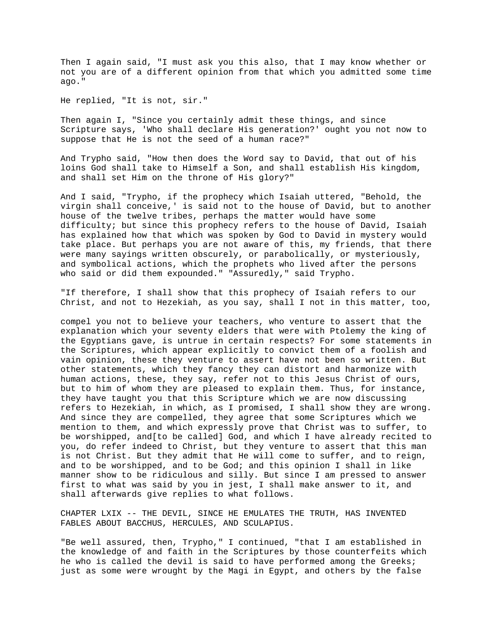Then I again said, "I must ask you this also, that I may know whether or not you are of a different opinion from that which you admitted some time ago."

He replied, "It is not, sir."

Then again I, "Since you certainly admit these things, and since Scripture says, 'Who shall declare His generation?' ought you not now to suppose that He is not the seed of a human race?"

And Trypho said, "How then does the Word say to David, that out of his loins God shall take to Himself a Son, and shall establish His kingdom, and shall set Him on the throne of His glory?"

And I said, "Trypho, if the prophecy which Isaiah uttered, "Behold, the virgin shall conceive,' is said not to the house of David, but to another house of the twelve tribes, perhaps the matter would have some difficulty; but since this prophecy refers to the house of David, Isaiah has explained how that which was spoken by God to David in mystery would take place. But perhaps you are not aware of this, my friends, that there were many sayings written obscurely, or parabolically, or mysteriously, and symbolical actions, which the prophets who lived after the persons who said or did them expounded." "Assuredly," said Trypho.

"If therefore, I shall show that this prophecy of Isaiah refers to our Christ, and not to Hezekiah, as you say, shall I not in this matter, too,

compel you not to believe your teachers, who venture to assert that the explanation which your seventy elders that were with Ptolemy the king of the Egyptians gave, is untrue in certain respects? For some statements in the Scriptures, which appear explicitly to convict them of a foolish and vain opinion, these they venture to assert have not been so written. But other statements, which they fancy they can distort and harmonize with human actions, these, they say, refer not to this Jesus Christ of ours, but to him of whom they are pleased to explain them. Thus, for instance, they have taught you that this Scripture which we are now discussing refers to Hezekiah, in which, as I promised, I shall show they are wrong. And since they are compelled, they agree that some Scriptures which we mention to them, and which expressly prove that Christ was to suffer, to be worshipped, and[to be called] God, and which I have already recited to you, do refer indeed to Christ, but they venture to assert that this man is not Christ. But they admit that He will come to suffer, and to reign, and to be worshipped, and to be God; and this opinion I shall in like manner show to be ridiculous and silly. But since I am pressed to answer first to what was said by you in jest, I shall make answer to it, and shall afterwards give replies to what follows.

CHAPTER LXIX -- THE DEVIL, SINCE HE EMULATES THE TRUTH, HAS INVENTED FABLES ABOUT BACCHUS, HERCULES, AND SCULAPIUS.

"Be well assured, then, Trypho," I continued, "that I am established in the knowledge of and faith in the Scriptures by those counterfeits which he who is called the devil is said to have performed among the Greeks; just as some were wrought by the Magi in Egypt, and others by the false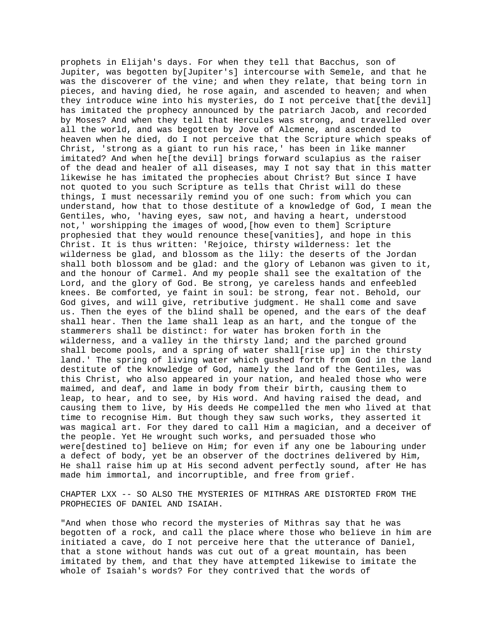prophets in Elijah's days. For when they tell that Bacchus, son of Jupiter, was begotten by[Jupiter's] intercourse with Semele, and that he was the discoverer of the vine; and when they relate, that being torn in pieces, and having died, he rose again, and ascended to heaven; and when they introduce wine into his mysteries, do I not perceive that[the devil] has imitated the prophecy announced by the patriarch Jacob, and recorded by Moses? And when they tell that Hercules was strong, and travelled over all the world, and was begotten by Jove of Alcmene, and ascended to heaven when he died, do I not perceive that the Scripture which speaks of Christ, 'strong as a giant to run his race,' has been in like manner imitated? And when he[the devil] brings forward sculapius as the raiser of the dead and healer of all diseases, may I not say that in this matter likewise he has imitated the prophecies about Christ? But since I have not quoted to you such Scripture as tells that Christ will do these things, I must necessarily remind you of one such: from which you can understand, how that to those destitute of a knowledge of God, I mean the Gentiles, who, 'having eyes, saw not, and having a heart, understood not,' worshipping the images of wood,[how even to them] Scripture prophesied that they would renounce these[vanities], and hope in this Christ. It is thus written: 'Rejoice, thirsty wilderness: let the wilderness be glad, and blossom as the lily: the deserts of the Jordan shall both blossom and be glad: and the glory of Lebanon was given to it, and the honour of Carmel. And my people shall see the exaltation of the Lord, and the glory of God. Be strong, ye careless hands and enfeebled knees. Be comforted, ye faint in soul: be strong, fear not. Behold, our God gives, and will give, retributive judgment. He shall come and save us. Then the eyes of the blind shall be opened, and the ears of the deaf shall hear. Then the lame shall leap as an hart, and the tongue of the stammerers shall be distinct: for water has broken forth in the wilderness, and a valley in the thirsty land; and the parched ground shall become pools, and a spring of water shall[rise up] in the thirsty land.' The spring of living water which gushed forth from God in the land destitute of the knowledge of God, namely the land of the Gentiles, was this Christ, who also appeared in your nation, and healed those who were maimed, and deaf, and lame in body from their birth, causing them to leap, to hear, and to see, by His word. And having raised the dead, and causing them to live, by His deeds He compelled the men who lived at that time to recognise Him. But though they saw such works, they asserted it was magical art. For they dared to call Him a magician, and a deceiver of the people. Yet He wrought such works, and persuaded those who were[destined to] believe on Him; for even if any one be labouring under a defect of body, yet be an observer of the doctrines delivered by Him, He shall raise him up at His second advent perfectly sound, after He has made him immortal, and incorruptible, and free from grief.

CHAPTER LXX -- SO ALSO THE MYSTERIES OF MITHRAS ARE DISTORTED FROM THE PROPHECIES OF DANIEL AND ISAIAH.

"And when those who record the mysteries of Mithras say that he was begotten of a rock, and call the place where those who believe in him are initiated a cave, do I not perceive here that the utterance of Daniel, that a stone without hands was cut out of a great mountain, has been imitated by them, and that they have attempted likewise to imitate the whole of Isaiah's words? For they contrived that the words of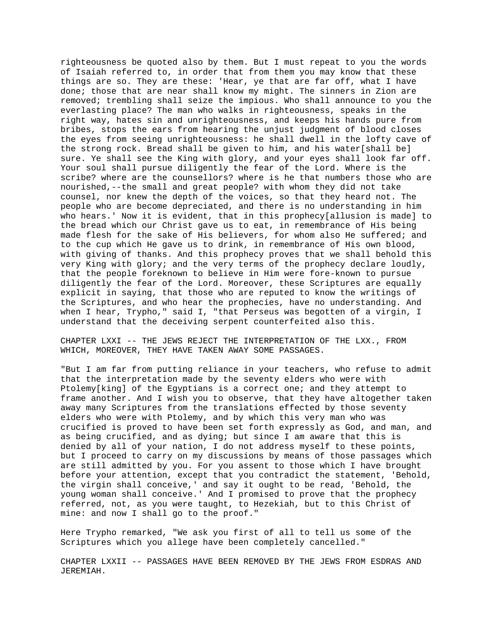righteousness be quoted also by them. But I must repeat to you the words of Isaiah referred to, in order that from them you may know that these things are so. They are these: 'Hear, ye that are far off, what I have done; those that are near shall know my might. The sinners in Zion are removed; trembling shall seize the impious. Who shall announce to you the everlasting place? The man who walks in righteousness, speaks in the right way, hates sin and unrighteousness, and keeps his hands pure from bribes, stops the ears from hearing the unjust judgment of blood closes the eyes from seeing unrighteousness: he shall dwell in the lofty cave of the strong rock. Bread shall be given to him, and his water[shall be] sure. Ye shall see the King with glory, and your eyes shall look far off. Your soul shall pursue diligently the fear of the Lord. Where is the scribe? where are the counsellors? where is he that numbers those who are nourished,--the small and great people? with whom they did not take counsel, nor knew the depth of the voices, so that they heard not. The people who are become depreciated, and there is no understanding in him who hears.' Now it is evident, that in this prophecy[allusion is made] to the bread which our Christ gave us to eat, in remembrance of His being made flesh for the sake of His believers, for whom also He suffered; and to the cup which He gave us to drink, in remembrance of His own blood, with giving of thanks. And this prophecy proves that we shall behold this very King with glory; and the very terms of the prophecy declare loudly, that the people foreknown to believe in Him were fore-known to pursue diligently the fear of the Lord. Moreover, these Scriptures are equally explicit in saying, that those who are reputed to know the writings of the Scriptures, and who hear the prophecies, have no understanding. And when I hear, Trypho," said I, "that Perseus was begotten of a virgin, I understand that the deceiving serpent counterfeited also this.

CHAPTER LXXI -- THE JEWS REJECT THE INTERPRETATION OF THE LXX., FROM WHICH, MOREOVER, THEY HAVE TAKEN AWAY SOME PASSAGES.

"But I am far from putting reliance in your teachers, who refuse to admit that the interpretation made by the seventy elders who were with Ptolemy[king] of the Egyptians is a correct one; and they attempt to frame another. And I wish you to observe, that they have altogether taken away many Scriptures from the translations effected by those seventy elders who were with Ptolemy, and by which this very man who was crucified is proved to have been set forth expressly as God, and man, and as being crucified, and as dying; but since I am aware that this is denied by all of your nation, I do not address myself to these points, but I proceed to carry on my discussions by means of those passages which are still admitted by you. For you assent to those which I have brought before your attention, except that you contradict the statement, 'Behold, the virgin shall conceive,' and say it ought to be read, 'Behold, the young woman shall conceive.' And I promised to prove that the prophecy referred, not, as you were taught, to Hezekiah, but to this Christ of mine: and now I shall go to the proof."

Here Trypho remarked, "We ask you first of all to tell us some of the Scriptures which you allege have been completely cancelled."

CHAPTER LXXII -- PASSAGES HAVE BEEN REMOVED BY THE JEWS FROM ESDRAS AND JEREMIAH.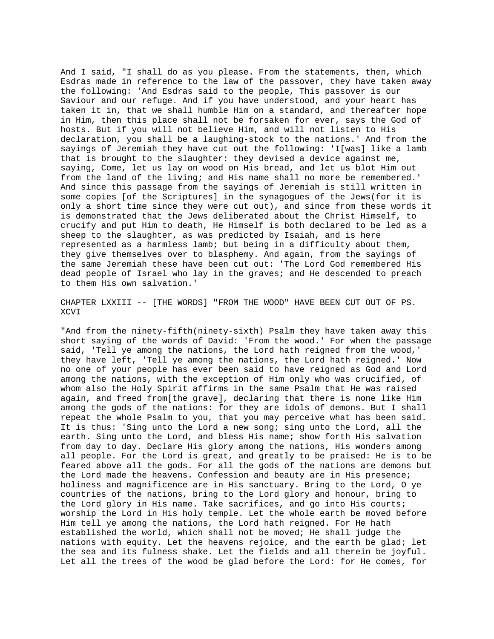And I said, "I shall do as you please. From the statements, then, which Esdras made in reference to the law of the passover, they have taken away the following: 'And Esdras said to the people, This passover is our Saviour and our refuge. And if you have understood, and your heart has taken it in, that we shall humble Him on a standard, and thereafter hope in Him, then this place shall not be forsaken for ever, says the God of hosts. But if you will not believe Him, and will not listen to His declaration, you shall be a laughing-stock to the nations.' And from the sayings of Jeremiah they have cut out the following: 'I[was] like a lamb that is brought to the slaughter: they devised a device against me, saying, Come, let us lay on wood on His bread, and let us blot Him out from the land of the living; and His name shall no more be remembered.' And since this passage from the sayings of Jeremiah is still written in some copies [of the Scriptures] in the synagogues of the Jews(for it is only a short time since they were cut out), and since from these words it is demonstrated that the Jews deliberated about the Christ Himself, to crucify and put Him to death, He Himself is both declared to be led as a sheep to the slaughter, as was predicted by Isaiah, and is here represented as a harmless lamb; but being in a difficulty about them, they give themselves over to blasphemy. And again, from the sayings of the same Jeremiah these have been cut out: 'The Lord God remembered His dead people of Israel who lay in the graves; and He descended to preach to them His own salvation.'

CHAPTER LXXIII -- [THE WORDS] "FROM THE WOOD" HAVE BEEN CUT OUT OF PS. XCVI

"And from the ninety-fifth(ninety-sixth) Psalm they have taken away this short saying of the words of David: 'From the wood.' For when the passage said, 'Tell ye among the nations, the Lord hath reigned from the wood,' they have left, 'Tell ye among the nations, the Lord hath reigned.' Now no one of your people has ever been said to have reigned as God and Lord among the nations, with the exception of Him only who was crucified, of whom also the Holy Spirit affirms in the same Psalm that He was raised again, and freed from[the grave], declaring that there is none like Him among the gods of the nations: for they are idols of demons. But I shall repeat the whole Psalm to you, that you may perceive what has been said. It is thus: 'Sing unto the Lord a new song; sing unto the Lord, all the earth. Sing unto the Lord, and bless His name; show forth His salvation from day to day. Declare His glory among the nations, His wonders among all people. For the Lord is great, and greatly to be praised: He is to be feared above all the gods. For all the gods of the nations are demons but the Lord made the heavens. Confession and beauty are in His presence; holiness and magnificence are in His sanctuary. Bring to the Lord, O ye countries of the nations, bring to the Lord glory and honour, bring to the Lord glory in His name. Take sacrifices, and go into His courts; worship the Lord in His holy temple. Let the whole earth be moved before Him tell ye among the nations, the Lord hath reigned. For He hath established the world, which shall not be moved; He shall judge the nations with equity. Let the heavens rejoice, and the earth be glad; let the sea and its fulness shake. Let the fields and all therein be joyful. Let all the trees of the wood be glad before the Lord: for He comes, for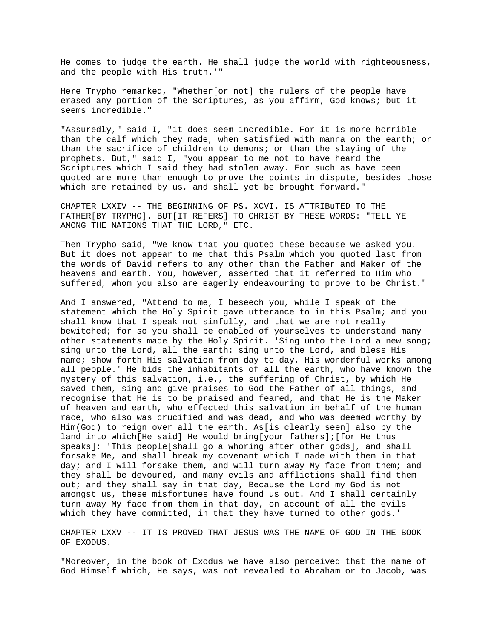He comes to judge the earth. He shall judge the world with righteousness, and the people with His truth.'"

Here Trypho remarked, "Whether[or not] the rulers of the people have erased any portion of the Scriptures, as you affirm, God knows; but it seems incredible."

"Assuredly," said I, "it does seem incredible. For it is more horrible than the calf which they made, when satisfied with manna on the earth; or than the sacrifice of children to demons; or than the slaying of the prophets. But," said I, "you appear to me not to have heard the Scriptures which I said they had stolen away. For such as have been quoted are more than enough to prove the points in dispute, besides those which are retained by us, and shall yet be brought forward."

CHAPTER LXXIV -- THE BEGINNING OF PS. XCVI. IS ATTRIBuTED TO THE FATHER[BY TRYPHO]. BUT[IT REFERS] TO CHRIST BY THESE WORDS: "TELL YE AMONG THE NATIONS THAT THE LORD," ETC.

Then Trypho said, "We know that you quoted these because we asked you. But it does not appear to me that this Psalm which you quoted last from the words of David refers to any other than the Father and Maker of the heavens and earth. You, however, asserted that it referred to Him who suffered, whom you also are eagerly endeavouring to prove to be Christ."

And I answered, "Attend to me, I beseech you, while I speak of the statement which the Holy Spirit gave utterance to in this Psalm; and you shall know that I speak not sinfully, and that we are not really bewitched; for so you shall be enabled of yourselves to understand many other statements made by the Holy Spirit. 'Sing unto the Lord a new song; sing unto the Lord, all the earth: sing unto the Lord, and bless His name; show forth His salvation from day to day, His wonderful works among all people.' He bids the inhabitants of all the earth, who have known the mystery of this salvation, i.e., the suffering of Christ, by which He saved them, sing and give praises to God the Father of all things, and recognise that He is to be praised and feared, and that He is the Maker of heaven and earth, who effected this salvation in behalf of the human race, who also was crucified and was dead, and who was deemed worthy by Him(God) to reign over all the earth. As[is clearly seen] also by the land into which[He said] He would bring[your fathers];[for He thus speaks]: 'This people[shall go a whoring after other gods], and shall forsake Me, and shall break my covenant which I made with them in that day; and I will forsake them, and will turn away My face from them; and they shall be devoured, and many evils and afflictions shall find them out; and they shall say in that day, Because the Lord my God is not amongst us, these misfortunes have found us out. And I shall certainly turn away My face from them in that day, on account of all the evils which they have committed, in that they have turned to other gods.'

CHAPTER LXXV -- IT IS PROVED THAT JESUS WAS THE NAME OF GOD IN THE BOOK OF EXODUS.

"Moreover, in the book of Exodus we have also perceived that the name of God Himself which, He says, was not revealed to Abraham or to Jacob, was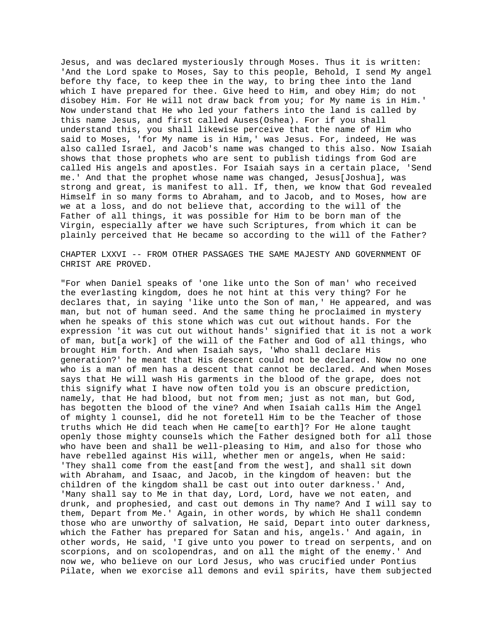Jesus, and was declared mysteriously through Moses. Thus it is written: 'And the Lord spake to Moses, Say to this people, Behold, I send My angel before thy face, to keep thee in the way, to bring thee into the land which I have prepared for thee. Give heed to Him, and obey Him; do not disobey Him. For He will not draw back from you; for My name is in Him.' Now understand that He who led your fathers into the land is called by this name Jesus, and first called Auses(Oshea). For if you shall understand this, you shall likewise perceive that the name of Him who said to Moses, 'for My name is in Him,' was Jesus. For, indeed, He was also called Israel, and Jacob's name was changed to this also. Now Isaiah shows that those prophets who are sent to publish tidings from God are called His angels and apostles. For Isaiah says in a certain place, 'Send me.' And that the prophet whose name was changed, Jesus[Joshua], was strong and great, is manifest to all. If, then, we know that God revealed Himself in so many forms to Abraham, and to Jacob, and to Moses, how are we at a loss, and do not believe that, according to the will of the Father of all things, it was possible for Him to be born man of the Virgin, especially after we have such Scriptures, from which it can be plainly perceived that He became so according to the will of the Father?

CHAPTER LXXVI -- FROM OTHER PASSAGES THE SAME MAJESTY AND GOVERNMENT OF CHRIST ARE PROVED.

"For when Daniel speaks of 'one like unto the Son of man' who received the everlasting kingdom, does he not hint at this very thing? For he declares that, in saying 'like unto the Son of man,' He appeared, and was man, but not of human seed. And the same thing he proclaimed in mystery when he speaks of this stone which was cut out without hands. For the expression 'it was cut out without hands' signified that it is not a work of man, but[a work] of the will of the Father and God of all things, who brought Him forth. And when Isaiah says, 'Who shall declare His generation?' he meant that His descent could not be declared. Now no one who is a man of men has a descent that cannot be declared. And when Moses says that He will wash His garments in the blood of the grape, does not this signify what I have now often told you is an obscure prediction, namely, that He had blood, but not from men; just as not man, but God, has begotten the blood of the vine? And when Isaiah calls Him the Angel of mighty l counsel, did he not foretell Him to be the Teacher of those truths which He did teach when He came[to earth]? For He alone taught openly those mighty counsels which the Father designed both for all those who have been and shall be well-pleasing to Him, and also for those who have rebelled against His will, whether men or angels, when He said: 'They shall come from the east[and from the west], and shall sit down with Abraham, and Isaac, and Jacob, in the kingdom of heaven: but the children of the kingdom shall be cast out into outer darkness.' And, 'Many shall say to Me in that day, Lord, Lord, have we not eaten, and drunk, and prophesied, and cast out demons in Thy name? And I will say to them, Depart from Me.' Again, in other words, by which He shall condemn those who are unworthy of salvation, He said, Depart into outer darkness, which the Father has prepared for Satan and his, angels.' And again, in other words, He said, 'I give unto you power to tread on serpents, and on scorpions, and on scolopendras, and on all the might of the enemy.' And now we, who believe on our Lord Jesus, who was crucified under Pontius Pilate, when we exorcise all demons and evil spirits, have them subjected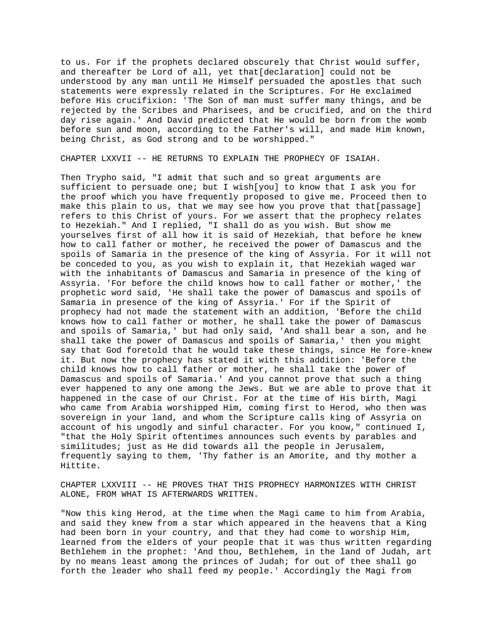to us. For if the prophets declared obscurely that Christ would suffer, and thereafter be Lord of all, yet that[declaration] could not be understood by any man until He Himself persuaded the apostles that such statements were expressly related in the Scriptures. For He exclaimed before His crucifixion: 'The Son of man must suffer many things, and be rejected by the Scribes and Pharisees, and be crucified, and on the third day rise again.' And David predicted that He would be born from the womb before sun and moon, according to the Father's will, and made Him known, being Christ, as God strong and to be worshipped."

CHAPTER LXXVII -- HE RETURNS TO EXPLAIN THE PROPHECY OF ISAIAH.

Then Trypho said, "I admit that such and so great arguments are sufficient to persuade one; but I wish[you] to know that I ask you for the proof which you have frequently proposed to give me. Proceed then to make this plain to us, that we may see how you prove that that [passage] refers to this Christ of yours. For we assert that the prophecy relates to Hezekiah." And I replied, "I shall do as you wish. But show me yourselves first of all how it is said of Hezekiah, that before he knew how to call father or mother, he received the power of Damascus and the spoils of Samaria in the presence of the king of Assyria. For it will not be conceded to you, as you wish to explain it, that Hezekiah waged war with the inhabitants of Damascus and Samaria in presence of the king of Assyria. 'For before the child knows how to call father or mother,' the prophetic word said, 'He shall take the power of Damascus and spoils of Samaria in presence of the king of Assyria.' For if the Spirit of prophecy had not made the statement with an addition, 'Before the child knows how to call father or mother, he shall take the power of Damascus and spoils of Samaria,' but had only said, 'And shall bear a son, and he shall take the power of Damascus and spoils of Samaria,' then you might say that God foretold that he would take these things, since He fore-knew it. But now the prophecy has stated it with this addition: 'Before the child knows how to call father or mother, he shall take the power of Damascus and spoils of Samaria.' And you cannot prove that such a thing ever happened to any one among the Jews. But we are able to prove that it happened in the case of our Christ. For at the time of His birth, Magi who came from Arabia worshipped Him, coming first to Herod, who then was sovereign in your land, and whom the Scripture calls king of Assyria on account of his ungodly and sinful character. For you know," continued I, "that the Holy Spirit oftentimes announces such events by parables and similitudes; just as He did towards all the people in Jerusalem, frequently saying to them, 'Thy father is an Amorite, and thy mother a Hittite.

CHAPTER LXXVIII -- HE PROVES THAT THIS PROPHECY HARMONIZES WITH CHRIST ALONE, FROM WHAT IS AFTERWARDS WRITTEN.

"Now this king Herod, at the time when the Magi came to him from Arabia, and said they knew from a star which appeared in the heavens that a King had been born in your country, and that they had come to worship Him, learned from the elders of your people that it was thus written regarding Bethlehem in the prophet: 'And thou, Bethlehem, in the land of Judah, art by no means least among the princes of Judah; for out of thee shall go forth the leader who shall feed my people.' Accordingly the Magi from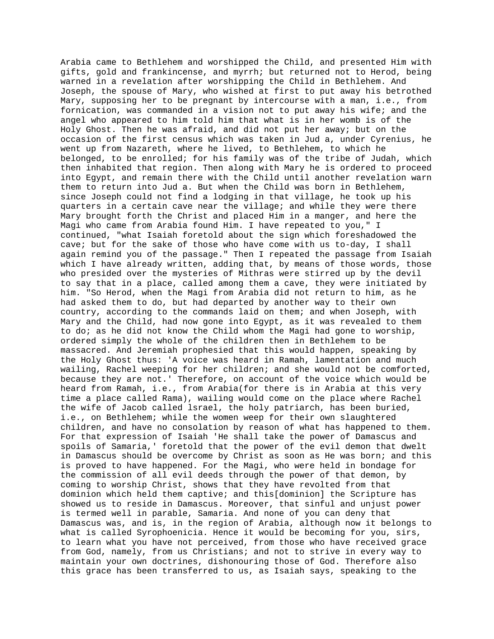Arabia came to Bethlehem and worshipped the Child, and presented Him with gifts, gold and frankincense, and myrrh; but returned not to Herod, being warned in a revelation after worshipping the Child in Bethlehem. And Joseph, the spouse of Mary, who wished at first to put away his betrothed Mary, supposing her to be pregnant by intercourse with a man, i.e., from fornication, was commanded in a vision not to put away his wife; and the angel who appeared to him told him that what is in her womb is of the Holy Ghost. Then he was afraid, and did not put her away; but on the occasion of the first census which was taken in Jud a, under Cyrenius, he went up from Nazareth, where he lived, to Bethlehem, to which he belonged, to be enrolled; for his family was of the tribe of Judah, which then inhabited that region. Then along with Mary he is ordered to proceed into Egypt, and remain there with the Child until another revelation warn them to return into Jud a. But when the Child was born in Bethlehem, since Joseph could not find a lodging in that village, he took up his quarters in a certain cave near the village; and while they were there Mary brought forth the Christ and placed Him in a manger, and here the Magi who came from Arabia found Him. I have repeated to you," I continued, "what Isaiah foretold about the sign which foreshadowed the cave; but for the sake of those who have come with us to-day, I shall again remind you of the passage." Then I repeated the passage from Isaiah which I have already written, adding that, by means of those words, those who presided over the mysteries of Mithras were stirred up by the devil to say that in a place, called among them a cave, they were initiated by him. "So Herod, when the Magi from Arabia did not return to him, as he had asked them to do, but had departed by another way to their own country, according to the commands laid on them; and when Joseph, with Mary and the Child, had now gone into Egypt, as it was revealed to them to do; as he did not know the Child whom the Magi had gone to worship, ordered simply the whole of the children then in Bethlehem to be massacred. And Jeremiah prophesied that this would happen, speaking by the Holy Ghost thus: 'A voice was heard in Ramah, lamentation and much wailing, Rachel weeping for her children; and she would not be comforted, because they are not.' Therefore, on account of the voice which would be heard from Ramah, i.e., from Arabia(for there is in Arabia at this very time a place called Rama), wailing would come on the place where Rachel the wife of Jacob called lsrael, the holy patriarch, has been buried, i.e., on Bethlehem; while the women weep for their own slaughtered children, and have no consolation by reason of what has happened to them. For that expression of Isaiah 'He shall take the power of Damascus and spoils of Samaria,' foretold that the power of the evil demon that dwelt in Damascus should be overcome by Christ as soon as He was born; and this is proved to have happened. For the Magi, who were held in bondage for the commission of all evil deeds through the power of that demon, by coming to worship Christ, shows that they have revolted from that dominion which held them captive; and this[dominion] the Scripture has showed us to reside in Damascus. Moreover, that sinful and unjust power is termed well in parable, Samaria. And none of you can deny that Damascus was, and is, in the region of Arabia, although now it belongs to what is called Syrophoenicia. Hence it would be becoming for you, sirs, to learn what you have not perceived, from those who have received grace from God, namely, from us Christians; and not to strive in every way to maintain your own doctrines, dishonouring those of God. Therefore also this grace has been transferred to us, as Isaiah says, speaking to the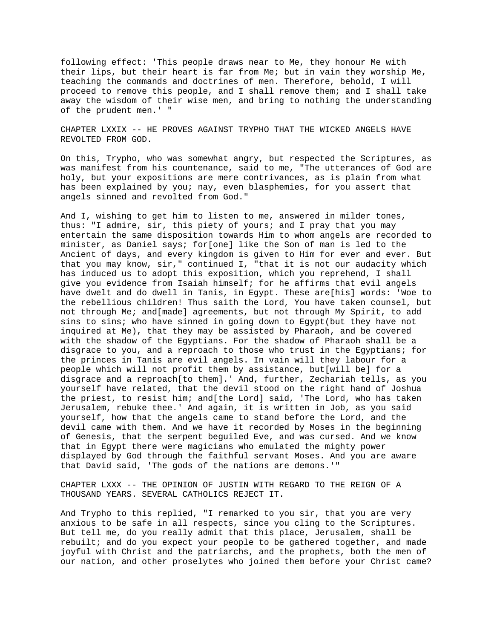following effect: 'This people draws near to Me, they honour Me with their lips, but their heart is far from Me; but in vain they worship Me, teaching the commands and doctrines of men. Therefore, behold, I will proceed to remove this people, and I shall remove them; and I shall take away the wisdom of their wise men, and bring to nothing the understanding of the prudent men.' "

CHAPTER LXXIX -- HE PROVES AGAINST TRYPHO THAT THE WICKED ANGELS HAVE REVOLTED FROM GOD.

On this, Trypho, who was somewhat angry, but respected the Scriptures, as was manifest from his countenance, said to me, "The utterances of God are holy, but your expositions are mere contrivances, as is plain from what has been explained by you; nay, even blasphemies, for you assert that angels sinned and revolted from God."

And I, wishing to get him to listen to me, answered in milder tones, thus: "I admire, sir, this piety of yours; and I pray that you may entertain the same disposition towards Him to whom angels are recorded to minister, as Daniel says; for[one] like the Son of man is led to the Ancient of days, and every kingdom is given to Him for ever and ever. But that you may know, sir," continued I, "that it is not our audacity which has induced us to adopt this exposition, which you reprehend, I shall give you evidence from Isaiah himself; for he affirms that evil angels have dwelt and do dwell in Tanis, in Egypt. These are[his] words: 'Woe to the rebellious children! Thus saith the Lord, You have taken counsel, but not through Me; and[made] agreements, but not through My Spirit, to add sins to sins; who have sinned in going down to Egypt(but they have not inquired at Me), that they may be assisted by Pharaoh, and be covered with the shadow of the Egyptians. For the shadow of Pharaoh shall be a disgrace to you, and a reproach to those who trust in the Egyptians; for the princes in Tanis are evil angels. In vain will they labour for a people which will not profit them by assistance, but[will be] for a disgrace and a reproach[to them].' And, further, Zechariah tells, as you yourself have related, that the devil stood on the right hand of Joshua the priest, to resist him; and[the Lord] said, 'The Lord, who has taken Jerusalem, rebuke thee.' And again, it is written in Job, as you said yourself, how that the angels came to stand before the Lord, and the devil came with them. And we have it recorded by Moses in the beginning of Genesis, that the serpent beguiled Eve, and was cursed. And we know that in Egypt there were magicians who emulated the mighty power displayed by God through the faithful servant Moses. And you are aware that David said, 'The gods of the nations are demons.'"

CHAPTER LXXX -- THE OPINION OF JUSTIN WITH REGARD TO THE REIGN OF A THOUSAND YEARS. SEVERAL CATHOLICS REJECT IT.

And Trypho to this replied, "I remarked to you sir, that you are very anxious to be safe in all respects, since you cling to the Scriptures. But tell me, do you really admit that this place, Jerusalem, shall be rebuilt; and do you expect your people to be gathered together, and made joyful with Christ and the patriarchs, and the prophets, both the men of our nation, and other proselytes who joined them before your Christ came?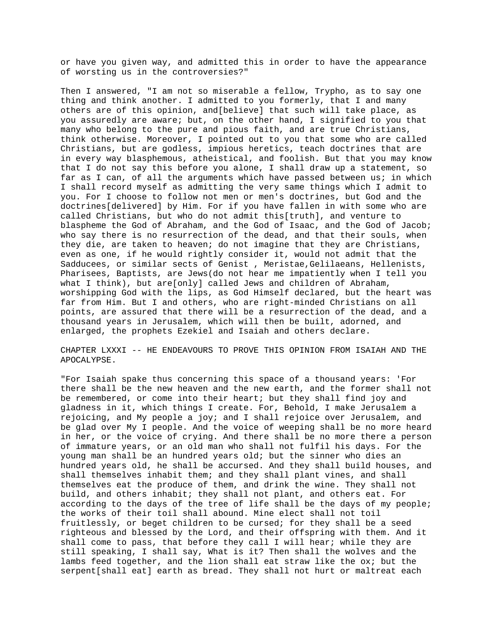or have you given way, and admitted this in order to have the appearance of worsting us in the controversies?"

Then I answered, "I am not so miserable a fellow, Trypho, as to say one thing and think another. I admitted to you formerly, that I and many others are of this opinion, and[believe] that such will take place, as you assuredly are aware; but, on the other hand, I signified to you that many who belong to the pure and pious faith, and are true Christians, think otherwise. Moreover, I pointed out to you that some who are called Christians, but are godless, impious heretics, teach doctrines that are in every way blasphemous, atheistical, and foolish. But that you may know that I do not say this before you alone, I shall draw up a statement, so far as I can, of all the arguments which have passed between us; in which I shall record myself as admitting the very same things which I admit to you. For I choose to follow not men or men's doctrines, but God and the doctrines[delivered] by Him. For if you have fallen in with some who are called Christians, but who do not admit this[truth], and venture to blaspheme the God of Abraham, and the God of Isaac, and the God of Jacob; who say there is no resurrection of the dead, and that their souls, when they die, are taken to heaven; do not imagine that they are Christians, even as one, if he would rightly consider it, would not admit that the Sadducees, or similar sects of Genist , Meristae,Gelilaeans, Hellenists, Pharisees, Baptists, are Jews(do not hear me impatiently when I tell you what I think), but are[only] called Jews and children of Abraham, worshipping God with the lips, as God Himself declared, but the heart was far from Him. But I and others, who are right-minded Christians on all points, are assured that there will be a resurrection of the dead, and a thousand years in Jerusalem, which will then be built, adorned, and enlarged, the prophets Ezekiel and Isaiah and others declare.

CHAPTER LXXXI -- HE ENDEAVOURS TO PROVE THIS OPINION FROM ISAIAH AND THE APOCALYPSE.

"For Isaiah spake thus concerning this space of a thousand years: 'For there shall be the new heaven and the new earth, and the former shall not be remembered, or come into their heart; but they shall find joy and gladness in it, which things I create. For, Behold, I make Jerusalem a rejoicing, and My people a joy; and I shall rejoice over Jerusalem, and be glad over My I people. And the voice of weeping shall be no more heard in her, or the voice of crying. And there shall be no more there a person of immature years, or an old man who shall not fulfil his days. For the young man shall be an hundred years old; but the sinner who dies an hundred years old, he shall be accursed. And they shall build houses, and shall themselves inhabit them; and they shall plant vines, and shall themselves eat the produce of them, and drink the wine. They shall not build, and others inhabit; they shall not plant, and others eat. For according to the days of the tree of life shall be the days of my people; the works of their toil shall abound. Mine elect shall not toil fruitlessly, or beget children to be cursed; for they shall be a seed righteous and blessed by the Lord, and their offspring with them. And it shall come to pass, that before they call I will hear; while they are still speaking, I shall say, What is it? Then shall the wolves and the lambs feed together, and the lion shall eat straw like the ox; but the serpent[shall eat] earth as bread. They shall not hurt or maltreat each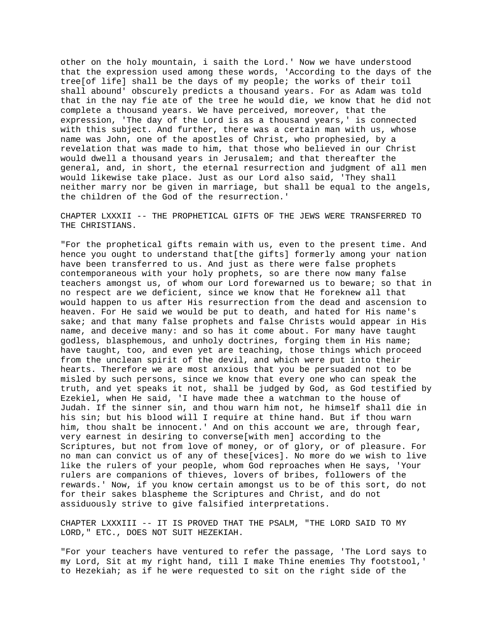other on the holy mountain, i saith the Lord.' Now we have understood that the expression used among these words, 'According to the days of the tree[of life] shall be the days of my people; the works of their toil shall abound' obscurely predicts a thousand years. For as Adam was told that in the nay fie ate of the tree he would die, we know that he did not complete a thousand years. We have perceived, moreover, that the expression, 'The day of the Lord is as a thousand years,' is connected with this subject. And further, there was a certain man with us, whose name was John, one of the apostles of Christ, who prophesied, by a revelation that was made to him, that those who believed in our Christ would dwell a thousand years in Jerusalem; and that thereafter the general, and, in short, the eternal resurrection and judgment of all men would likewise take place. Just as our Lord also said, 'They shall neither marry nor be given in marriage, but shall be equal to the angels, the children of the God of the resurrection.'

CHAPTER LXXXII -- THE PROPHETICAL GIFTS OF THE JEWS WERE TRANSFERRED TO THE CHRISTIANS.

"For the prophetical gifts remain with us, even to the present time. And hence you ought to understand that[the gifts] formerly among your nation have been transferred to us. And just as there were false prophets contemporaneous with your holy prophets, so are there now many false teachers amongst us, of whom our Lord forewarned us to beware; so that in no respect are we deficient, since we know that He foreknew all that would happen to us after His resurrection from the dead and ascension to heaven. For He said we would be put to death, and hated for His name's sake; and that many false prophets and false Christs would appear in His name, and deceive many: and so has it come about. For many have taught godless, blasphemous, and unholy doctrines, forging them in His name; have taught, too, and even yet are teaching, those things which proceed from the unclean spirit of the devil, and which were put into their hearts. Therefore we are most anxious that you be persuaded not to be misled by such persons, since we know that every one who can speak the truth, and yet speaks it not, shall be judged by God, as God testified by Ezekiel, when He said, 'I have made thee a watchman to the house of Judah. If the sinner sin, and thou warn him not, he himself shall die in his sin; but his blood will I require at thine hand. But if thou warn him, thou shalt be innocent.' And on this account we are, through fear, very earnest in desiring to converse[with men] according to the Scriptures, but not from love of money, or of glory, or of pleasure. For no man can convict us of any of these[vices]. No more do we wish to live like the rulers of your people, whom God reproaches when He says, 'Your rulers are companions of thieves, lovers of bribes, followers of the rewards.' Now, if you know certain amongst us to be of this sort, do not for their sakes blaspheme the Scriptures and Christ, and do not assiduously strive to give falsified interpretations.

CHAPTER LXXXIII -- IT IS PROVED THAT THE PSALM, "THE LORD SAID TO MY LORD," ETC., DOES NOT SUIT HEZEKIAH.

"For your teachers have ventured to refer the passage, 'The Lord says to my Lord, Sit at my right hand, till I make Thine enemies Thy footstool,' to Hezekiah; as if he were requested to sit on the right side of the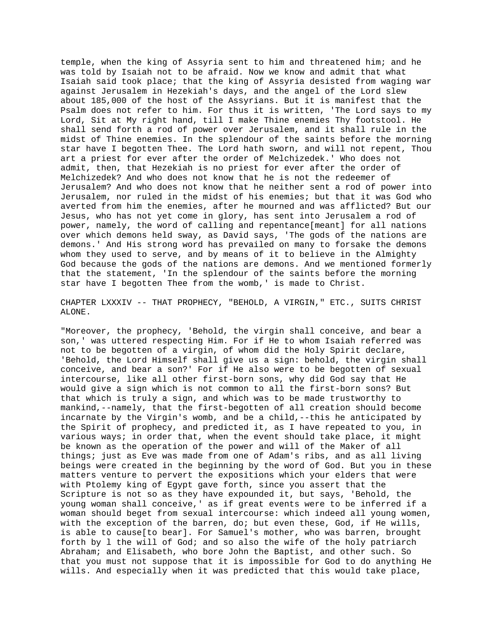temple, when the king of Assyria sent to him and threatened him; and he was told by Isaiah not to be afraid. Now we know and admit that what Isaiah said took place; that the king of Assyria desisted from waging war against Jerusalem in Hezekiah's days, and the angel of the Lord slew about 185,000 of the host of the Assyrians. But it is manifest that the Psalm does not refer to him. For thus it is written, 'The Lord says to my Lord, Sit at My right hand, till I make Thine enemies Thy footstool. He shall send forth a rod of power over Jerusalem, and it shall rule in the midst of Thine enemies. In the splendour of the saints before the morning star have I begotten Thee. The Lord hath sworn, and will not repent, Thou art a priest for ever after the order of Melchizedek.' Who does not admit, then, that Hezekiah is no priest for ever after the order of Melchizedek? And who does not know that he is not the redeemer of Jerusalem? And who does not know that he neither sent a rod of power into Jerusalem, nor ruled in the midst of his enemies; but that it was God who averted from him the enemies, after he mourned and was afflicted? But our Jesus, who has not yet come in glory, has sent into Jerusalem a rod of power, namely, the word of calling and repentance[meant] for all nations over which demons held sway, as David says, 'The gods of the nations are demons.' And His strong word has prevailed on many to forsake the demons whom they used to serve, and by means of it to believe in the Almighty God because the gods of the nations are demons. And we mentioned formerly that the statement, 'In the splendour of the saints before the morning star have I begotten Thee from the womb,' is made to Christ.

CHAPTER LXXXIV -- THAT PROPHECY, "BEHOLD, A VIRGIN," ETC., SUITS CHRIST ALONE.

"Moreover, the prophecy, 'Behold, the virgin shall conceive, and bear a son,' was uttered respecting Him. For if He to whom Isaiah referred was not to be begotten of a virgin, of whom did the Holy Spirit declare, 'Behold, the Lord Himself shall give us a sign: behold, the virgin shall conceive, and bear a son?' For if He also were to be begotten of sexual intercourse, like all other first-born sons, why did God say that He would give a sign which is not common to all the first-born sons? But that which is truly a sign, and which was to be made trustworthy to mankind,--namely, that the first-begotten of all creation should become incarnate by the Virgin's womb, and be a child,--this he anticipated by the Spirit of prophecy, and predicted it, as I have repeated to you, in various ways; in order that, when the event should take place, it might be known as the operation of the power and will of the Maker of all things; just as Eve was made from one of Adam's ribs, and as all living beings were created in the beginning by the word of God. But you in these matters venture to pervert the expositions which your elders that were with Ptolemy king of Egypt gave forth, since you assert that the Scripture is not so as they have expounded it, but says, 'Behold, the young woman shall conceive,' as if great events were to be inferred if a woman should beget from sexual intercourse: which indeed all young women, with the exception of the barren, do; but even these, God, if He wills, is able to cause[to bear]. For Samuel's mother, who was barren, brought forth by l the will of God; and so also the wife of the holy patriarch Abraham; and Elisabeth, who bore John the Baptist, and other such. So that you must not suppose that it is impossible for God to do anything He wills. And especially when it was predicted that this would take place,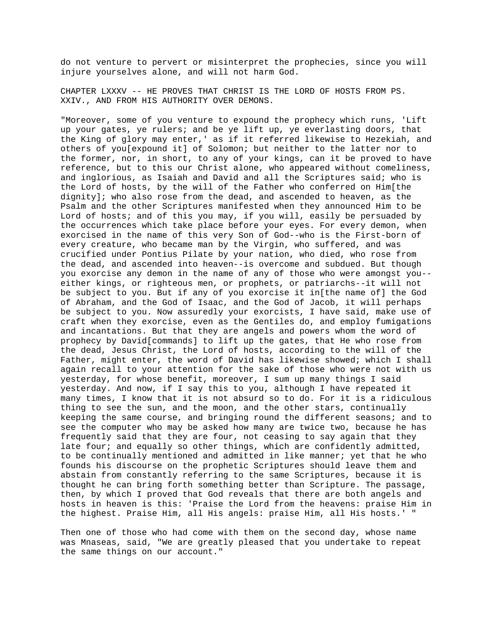do not venture to pervert or misinterpret the prophecies, since you will injure yourselves alone, and will not harm God.

CHAPTER LXXXV -- HE PROVES THAT CHRIST IS THE LORD OF HOSTS FROM PS. XXIV., AND FROM HIS AUTHORITY OVER DEMONS.

"Moreover, some of you venture to expound the prophecy which runs, 'Lift up your gates, ye rulers; and be ye lift up, ye everlasting doors, that the King of glory may enter,' as if it referred likewise to Hezekiah, and others of you[expound it] of Solomon; but neither to the latter nor to the former, nor, in short, to any of your kings, can it be proved to have reference, but to this our Christ alone, who appeared without comeliness, and inglorious, as Isaiah and David and all the Scriptures said; who is the Lord of hosts, by the will of the Father who conferred on Him[the dignity]; who also rose from the dead, and ascended to heaven, as the Psalm and the other Scriptures manifested when they announced Him to be Lord of hosts; and of this you may, if you will, easily be persuaded by the occurrences which take place before your eyes. For every demon, when exorcised in the name of this very Son of God--who is the First-born of every creature, who became man by the Virgin, who suffered, and was crucified under Pontius Pilate by your nation, who died, who rose from the dead, and ascended into heaven--is overcome and subdued. But though you exorcise any demon in the name of any of those who were amongst you- either kings, or righteous men, or prophets, or patriarchs--it will not be subject to you. But if any of you exorcise it in[the name of] the God of Abraham, and the God of Isaac, and the God of Jacob, it will perhaps be subject to you. Now assuredly your exorcists, I have said, make use of craft when they exorcise, even as the Gentiles do, and employ fumigations and incantations. But that they are angels and powers whom the word of prophecy by David[commands] to lift up the gates, that He who rose from the dead, Jesus Christ, the Lord of hosts, according to the will of the Father, might enter, the word of David has likewise showed; which I shall again recall to your attention for the sake of those who were not with us yesterday, for whose benefit, moreover, I sum up many things I said yesterday. And now, if I say this to you, although I have repeated it many times, I know that it is not absurd so to do. For it is a ridiculous thing to see the sun, and the moon, and the other stars, continually keeping the same course, and bringing round the different seasons; and to see the computer who may be asked how many are twice two, because he has frequently said that they are four, not ceasing to say again that they late four; and equally so other things, which are confidently admitted, to be continually mentioned and admitted in like manner; yet that he who founds his discourse on the prophetic Scriptures should leave them and abstain from constantly referring to the same Scriptures, because it is thought he can bring forth something better than Scripture. The passage, then, by which I proved that God reveals that there are both angels and hosts in heaven is this: 'Praise the Lord from the heavens: praise Him in the highest. Praise Him, all His angels: praise Him, all His hosts.' "

Then one of those who had come with them on the second day, whose name was Mnaseas, said, "We are greatly pleased that you undertake to repeat the same things on our account."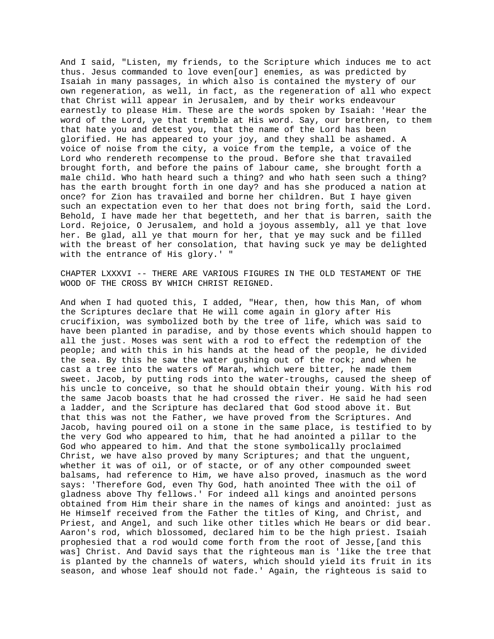And I said, "Listen, my friends, to the Scripture which induces me to act thus. Jesus commanded to love even[our] enemies, as was predicted by Isaiah in many passages, in which also is contained the mystery of our own regeneration, as well, in fact, as the regeneration of all who expect that Christ will appear in Jerusalem, and by their works endeavour earnestly to please Him. These are the words spoken by Isaiah: 'Hear the word of the Lord, ye that tremble at His word. Say, our brethren, to them that hate you and detest you, that the name of the Lord has been glorified. He has appeared to your joy, and they shall be ashamed. A voice of noise from the city, a voice from the temple, a voice of the Lord who rendereth recompense to the proud. Before she that travailed brought forth, and before the pains of labour came, she brought forth a male child. Who hath heard such a thing? and who hath seen such a thing? has the earth brought forth in one day? and has she produced a nation at once? for Zion has travailed and borne her children. But I haye given such an expectation even to her that does not bring forth, said the Lord. Behold, I have made her that begetteth, and her that is barren, saith the Lord. Rejoice, O Jerusalem, and hold a joyous assembly, all ye that love her. Be glad, all ye that mourn for her, that ye may suck and be filled with the breast of her consolation, that having suck ye may be delighted with the entrance of His glory.' "

CHAPTER LXXXVI -- THERE ARE VARIOUS FIGURES IN THE OLD TESTAMENT OF THE WOOD OF THE CROSS BY WHICH CHRIST REIGNED.

And when I had quoted this, I added, "Hear, then, how this Man, of whom the Scriptures declare that He will come again in glory after His crucifixion, was symbolized both by the tree of life, which was said to have been planted in paradise, and by those events which should happen to all the just. Moses was sent with a rod to effect the redemption of the people; and with this in his hands at the head of the people, he divided the sea. By this he saw the water gushing out of the rock; and when he cast a tree into the waters of Marah, which were bitter, he made them sweet. Jacob, by putting rods into the water-troughs, caused the sheep of his uncle to conceive, so that he should obtain their young. With his rod the same Jacob boasts that he had crossed the river. He said he had seen a ladder, and the Scripture has declared that God stood above it. But that this was not the Father, we have proved from the Scriptures. And Jacob, having poured oil on a stone in the same place, is testified to by the very God who appeared to him, that he had anointed a pillar to the God who appeared to him. And that the stone symbolically proclaimed Christ, we have also proved by many Scriptures; and that the unguent, whether it was of oil, or of stacte, or of any other compounded sweet balsams, had reference to Him, we have also proved, inasmuch as the word says: 'Therefore God, even Thy God, hath anointed Thee with the oil of gladness above Thy fellows.' For indeed all kings and anointed persons obtained from Him their share in the names of kings and anointed: just as He Himself received from the Father the titles of King, and Christ, and Priest, and Angel, and such like other titles which He bears or did bear. Aaron's rod, which blossomed, declared him to be the high priest. Isaiah prophesied that a rod would come forth from the root of Jesse,[and this was] Christ. And David says that the righteous man is 'like the tree that is planted by the channels of waters, which should yield its fruit in its season, and whose leaf should not fade.' Again, the righteous is said to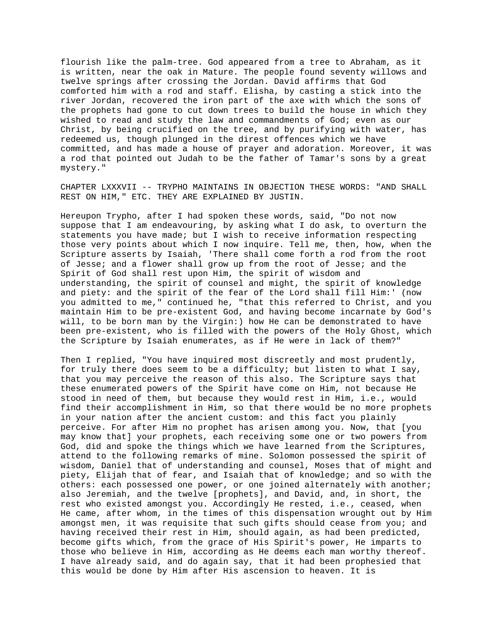flourish like the palm-tree. God appeared from a tree to Abraham, as it is written, near the oak in Mature. The people found seventy willows and twelve springs after crossing the Jordan. David affirms that God comforted him with a rod and staff. Elisha, by casting a stick into the river Jordan, recovered the iron part of the axe with which the sons of the prophets had gone to cut down trees to build the house in which they wished to read and study the law and commandments of God; even as our Christ, by being crucified on the tree, and by purifying with water, has redeemed us, though plunged in the direst offences which we have committed, and has made a house of prayer and adoration. Moreover, it was a rod that pointed out Judah to be the father of Tamar's sons by a great mystery."

CHAPTER LXXXVII -- TRYPHO MAINTAINS IN OBJECTION THESE WORDS: "AND SHALL REST ON HIM," ETC. THEY ARE EXPLAINED BY JUSTIN.

Hereupon Trypho, after I had spoken these words, said, "Do not now suppose that I am endeavouring, by asking what I do ask, to overturn the statements you have made; but I wish to receive information respecting those very points about which I now inquire. Tell me, then, how, when the Scripture asserts by Isaiah, 'There shall come forth a rod from the root of Jesse; and a flower shall grow up from the root of Jesse; and the Spirit of God shall rest upon Him, the spirit of wisdom and understanding, the spirit of counsel and might, the spirit of knowledge and piety: and the spirit of the fear of the Lord shall fill Him:' (now you admitted to me," continued he, "that this referred to Christ, and you maintain Him to be pre-existent God, and having become incarnate by God's will, to be born man by the Virgin:) how He can be demonstrated to have been pre-existent, who is filled with the powers of the Holy Ghost, which the Scripture by Isaiah enumerates, as if He were in lack of them?"

Then I replied, "You have inquired most discreetly and most prudently, for truly there does seem to be a difficulty; but listen to what I say, that you may perceive the reason of this also. The Scripture says that these enumerated powers of the Spirit have come on Him, not because He stood in need of them, but because they would rest in Him, i.e., would find their accomplishment in Him, so that there would be no more prophets in your nation after the ancient custom: and this fact you plainly perceive. For after Him no prophet has arisen among you. Now, that [you may know that] your prophets, each receiving some one or two powers from God, did and spoke the things which we have learned from the Scriptures, attend to the following remarks of mine. Solomon possessed the spirit of wisdom, Daniel that of understanding and counsel, Moses that of might and piety, Elijah that of fear, and Isaiah that of knowledge; and so with the others: each possessed one power, or one joined alternately with another; also Jeremiah, and the twelve [prophets], and David, and, in short, the rest who existed amongst you. Accordingly He rested, i.e., ceased, when He came, after whom, in the times of this dispensation wrought out by Him amongst men, it was requisite that such gifts should cease from you; and having received their rest in Him, should again, as had been predicted, become gifts which, from the grace of His Spirit's power, He imparts to those who believe in Him, according as He deems each man worthy thereof. I have already said, and do again say, that it had been prophesied that this would be done by Him after His ascension to heaven. It is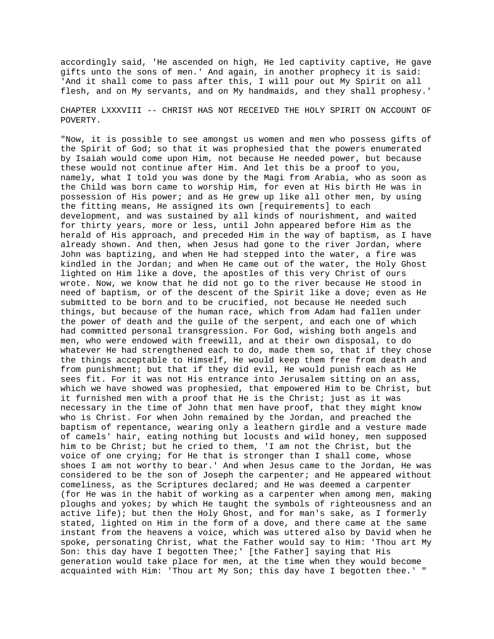accordingly said, 'He ascended on high, He led captivity captive, He gave gifts unto the sons of men.' And again, in another prophecy it is said: 'And it shall come to pass after this, I will pour out My Spirit on all flesh, and on My servants, and on My handmaids, and they shall prophesy.'

CHAPTER LXXXVIII -- CHRIST HAS NOT RECEIVED THE HOLY SPIRIT ON ACCOUNT OF POVERTY.

"Now, it is possible to see amongst us women and men who possess gifts of the Spirit of God; so that it was prophesied that the powers enumerated by Isaiah would come upon Him, not because He needed power, but because these would not continue after Him. And let this be a proof to you, namely, what I told you was done by the Magi from Arabia, who as soon as the Child was born came to worship Him, for even at His birth He was in possession of His power; and as He grew up like all other men, by using the fitting means, He assigned its own [requirements] to each development, and was sustained by all kinds of nourishment, and waited for thirty years, more or less, until John appeared before Him as the herald of His approach, and preceded Him in the way of baptism, as I have already shown. And then, when Jesus had gone to the river Jordan, where John was baptizing, and when He had stepped into the water, a fire was kindled in the Jordan; and when He came out of the water, the Holy Ghost lighted on Him like a dove, the apostles of this very Christ of ours wrote. Now, we know that he did not go to the river because He stood in need of baptism, or of the descent of the Spirit like a dove; even as He submitted to be born and to be crucified, not because He needed such things, but because of the human race, which from Adam had fallen under the power of death and the guile of the serpent, and each one of which had committed personal transgression. For God, wishing both angels and men, who were endowed with freewill, and at their own disposal, to do whatever He had strengthened each to do, made them so, that if they chose the things acceptable to Himself, He would keep them free from death and from punishment; but that if they did evil, He would punish each as He sees fit. For it was not His entrance into Jerusalem sitting on an ass, which we have showed was prophesied, that empowered Him to be Christ, but it furnished men with a proof that He is the Christ; just as it was necessary in the time of John that men have proof, that they might know who is Christ. For when John remained by the Jordan, and preached the baptism of repentance, wearing only a leathern girdle and a vesture made of camels' hair, eating nothing but locusts and wild honey, men supposed him to be Christ; but he cried to them, 'I am not the Christ, but the voice of one crying; for He that is stronger than I shall come, whose shoes I am not worthy to bear.' And when Jesus came to the Jordan, He was considered to be the son of Joseph the carpenter; and He appeared without comeliness, as the Scriptures declared; and He was deemed a carpenter (for He was in the habit of working as a carpenter when among men, making ploughs and yokes; by which He taught the symbols of righteousness and an active life); but then the Holy Ghost, and for man's sake, as I formerly stated, lighted on Him in the form of a dove, and there came at the same instant from the heavens a voice, which was uttered also by David when he spoke, personating Christ, what the Father would say to Him: 'Thou art My Son: this day have I begotten Thee;' [the Father] saying that His generation would take place for men, at the time when they would become acquainted with Him: 'Thou art My Son; this day have I begotten thee.' "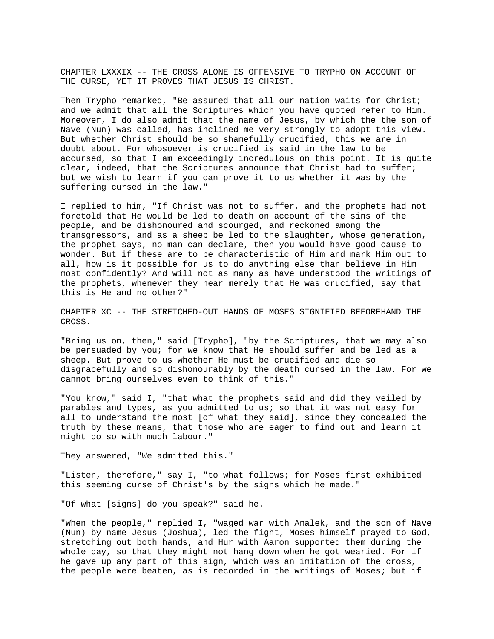CHAPTER LXXXIX -- THE CROSS ALONE IS OFFENSIVE TO TRYPHO ON ACCOUNT OF THE CURSE, YET IT PROVES THAT JESUS IS CHRIST.

Then Trypho remarked, "Be assured that all our nation waits for Christ; and we admit that all the Scriptures which you have quoted refer to Him. Moreover, I do also admit that the name of Jesus, by which the the son of Nave (Nun) was called, has inclined me very strongly to adopt this view. But whether Christ should be so shamefully crucified, this we are in doubt about. For whosoever is crucified is said in the law to be accursed, so that I am exceedingly incredulous on this point. It is quite clear, indeed, that the Scriptures announce that Christ had to suffer; but we wish to learn if you can prove it to us whether it was by the suffering cursed in the law."

I replied to him, "If Christ was not to suffer, and the prophets had not foretold that He would be led to death on account of the sins of the people, and be dishonoured and scourged, and reckoned among the transgressors, and as a sheep be led to the slaughter, whose generation, the prophet says, no man can declare, then you would have good cause to wonder. But if these are to be characteristic of Him and mark Him out to all, how is it possible for us to do anything else than believe in Him most confidently? And will not as many as have understood the writings of the prophets, whenever they hear merely that He was crucified, say that this is He and no other?"

CHAPTER XC -- THE STRETCHED-OUT HANDS OF MOSES SIGNIFIED BEFOREHAND THE CROSS.

"Bring us on, then," said [Trypho], "by the Scriptures, that we may also be persuaded by you; for we know that He should suffer and be led as a sheep. But prove to us whether He must be crucified and die so disgracefully and so dishonourably by the death cursed in the law. For we cannot bring ourselves even to think of this."

"You know," said I, "that what the prophets said and did they veiled by parables and types, as you admitted to us; so that it was not easy for all to understand the most [of what they said], since they concealed the truth by these means, that those who are eager to find out and learn it might do so with much labour."

They answered, "We admitted this."

"Listen, therefore," say I, "to what follows; for Moses first exhibited this seeming curse of Christ's by the signs which he made."

"Of what [signs] do you speak?" said he.

"When the people," replied I, "waged war with Amalek, and the son of Nave (Nun) by name Jesus (Joshua), led the fight, Moses himself prayed to God, stretching out both hands, and Hur with Aaron supported them during the whole day, so that they might not hang down when he got wearied. For if he gave up any part of this sign, which was an imitation of the cross, the people were beaten, as is recorded in the writings of Moses; but if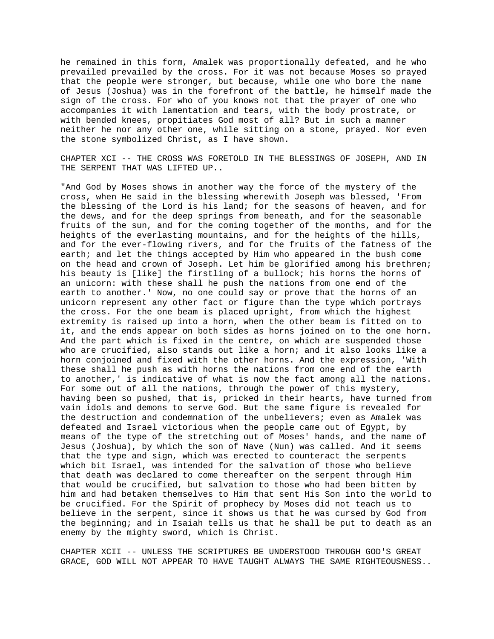he remained in this form, Amalek was proportionally defeated, and he who prevailed prevailed by the cross. For it was not because Moses so prayed that the people were stronger, but because, while one who bore the name of Jesus (Joshua) was in the forefront of the battle, he himself made the sign of the cross. For who of you knows not that the prayer of one who accompanies it with lamentation and tears, with the body prostrate, or with bended knees, propitiates God most of all? But in such a manner neither he nor any other one, while sitting on a stone, prayed. Nor even the stone symbolized Christ, as I have shown.

CHAPTER XCI -- THE CROSS WAS FORETOLD IN THE BLESSINGS OF JOSEPH, AND IN THE SERPENT THAT WAS LIFTED UP..

"And God by Moses shows in another way the force of the mystery of the cross, when He said in the blessing wherewith Joseph was blessed, 'From the blessing of the Lord is his land; for the seasons of heaven, and for the dews, and for the deep springs from beneath, and for the seasonable fruits of the sun, and for the coming together of the months, and for the heights of the everlasting mountains, and for the heights of the hills, and for the ever-flowing rivers, and for the fruits of the fatness of the earth; and let the things accepted by Him who appeared in the bush come on the head and crown of Joseph. Let him be glorified among his brethren; his beauty is [like] the firstling of a bullock; his horns the horns of an unicorn: with these shall he push the nations from one end of the earth to another.' Now, no one could say or prove that the horns of an unicorn represent any other fact or figure than the type which portrays the cross. For the one beam is placed upright, from which the highest extremity is raised up into a horn, when the other beam is fitted on to it, and the ends appear on both sides as horns joined on to the one horn. And the part which is fixed in the centre, on which are suspended those who are crucified, also stands out like a horn; and it also looks like a horn conjoined and fixed with the other horns. And the expression, 'With these shall he push as with horns the nations from one end of the earth to another,' is indicative of what is now the fact among all the nations. For some out of all the nations, through the power of this mystery, having been so pushed, that is, pricked in their hearts, have turned from vain idols and demons to serve God. But the same figure is revealed for the destruction and condemnation of the unbelievers; even as Amalek was defeated and Israel victorious when the people came out of Egypt, by means of the type of the stretching out of Moses' hands, and the name of Jesus (Joshua), by which the son of Nave (Nun) was called. And it seems that the type and sign, which was erected to counteract the serpents which bit Israel, was intended for the salvation of those who believe that death was declared to come thereafter on the serpent through Him that would be crucified, but salvation to those who had been bitten by him and had betaken themselves to Him that sent His Son into the world to be crucified. For the Spirit of prophecy by Moses did not teach us to believe in the serpent, since it shows us that he was cursed by God from the beginning; and in Isaiah tells us that he shall be put to death as an enemy by the mighty sword, which is Christ.

CHAPTER XCII -- UNLESS THE SCRIPTURES BE UNDERSTOOD THROUGH GOD'S GREAT GRACE, GOD WILL NOT APPEAR TO HAVE TAUGHT ALWAYS THE SAME RIGHTEOUSNESS..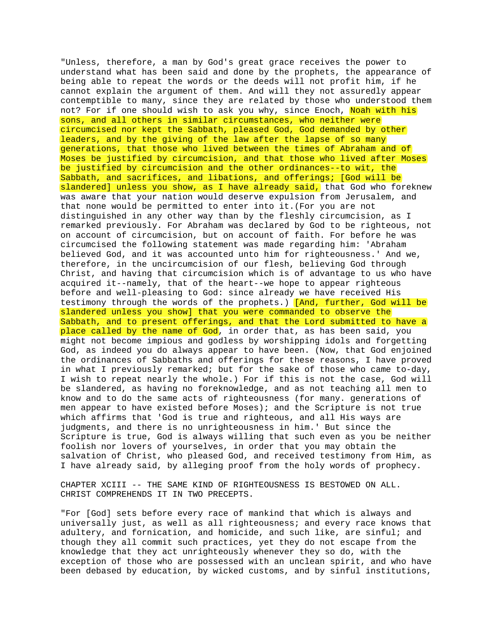"Unless, therefore, a man by God's great grace receives the power to understand what has been said and done by the prophets, the appearance of being able to repeat the words or the deeds will not profit him, if he cannot explain the argument of them. And will they not assuredly appear contemptible to many, since they are related by those who understood them not? For if one should wish to ask you why, since Enoch, Noah with his sons, and all others in similar circumstances, who neither were circumcised nor kept the Sabbath, pleased God, God demanded by other leaders, and by the giving of the law after the lapse of so many generations, that those who lived between the times of Abraham and of Moses be justified by circumcision, and that those who lived after Moses be justified by circumcision and the other ordinances--to wit, the Sabbath, and sacrifices, and libations, and offerings; [God will be slandered] unless you show, as I have already said, that God who foreknew was aware that your nation would deserve expulsion from Jerusalem, and that none would be permitted to enter into it.(For you are not distinguished in any other way than by the fleshly circumcision, as I remarked previously. For Abraham was declared by God to be righteous, not on account of circumcision, but on account of faith. For before he was circumcised the following statement was made regarding him: 'Abraham believed God, and it was accounted unto him for righteousness.' And we, therefore, in the uncircumcision of our flesh, believing God through Christ, and having that circumcision which is of advantage to us who have acquired it--namely, that of the heart--we hope to appear righteous before and well-pleasing to God: since already we have received His testimony through the words of the prophets.) [And, further, God will be slandered unless you show] that you were commanded to observe the Sabbath, and to present offerings, and that the Lord submitted to have a place called by the name of God, in order that, as has been said, you might not become impious and godless by worshipping idols and forgetting God, as indeed you do always appear to have been. (Now, that God enjoined the ordinances of Sabbaths and offerings for these reasons, I have proved in what I previously remarked; but for the sake of those who came to-day, I wish to repeat nearly the whole.) For if this is not the case, God will be slandered, as having no foreknowledge, and as not teaching all men to know and to do the same acts of righteousness (for many. generations of men appear to have existed before Moses); and the Scripture is not true which affirms that 'God is true and righteous, and all His ways are judgments, and there is no unrighteousness in him.' But since the Scripture is true, God is always willing that such even as you be neither foolish nor lovers of yourselves, in order that you may obtain the salvation of Christ, who pleased God, and received testimony from Him, as I have already said, by alleging proof from the holy words of prophecy.

CHAPTER XCIII -- THE SAME KIND OF RIGHTEOUSNESS IS BESTOWED ON ALL. CHRIST COMPREHENDS IT IN TWO PRECEPTS.

"For [God] sets before every race of mankind that which is always and universally just, as well as all righteousness; and every race knows that adultery, and fornication, and homicide, and such like, are sinful; and though they all commit such practices, yet they do not escape from the knowledge that they act unrighteously whenever they so do, with the exception of those who are possessed with an unclean spirit, and who have been debased by education, by wicked customs, and by sinful institutions,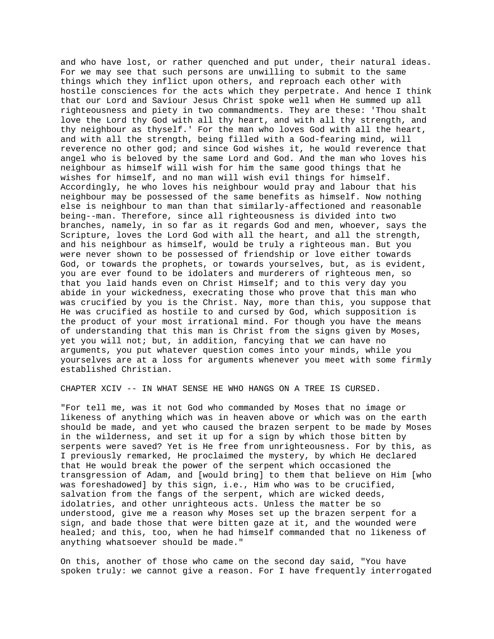and who have lost, or rather quenched and put under, their natural ideas. For we may see that such persons are unwilling to submit to the same things which they inflict upon others, and reproach each other with hostile consciences for the acts which they perpetrate. And hence I think that our Lord and Saviour Jesus Christ spoke well when He summed up all righteousness and piety in two commandments. They are these: 'Thou shalt love the Lord thy God with all thy heart, and with all thy strength, and thy neighbour as thyself.' For the man who loves God with all the heart, and with all the strength, being filled with a God-fearing mind, will reverence no other god; and since God wishes it, he would reverence that angel who is beloved by the same Lord and God. And the man who loves his neighbour as himself will wish for him the same good things that he wishes for himself, and no man will wish evil things for himself. Accordingly, he who loves his neighbour would pray and labour that his neighbour may be possessed of the same benefits as himself. Now nothing else is neighbour to man than that similarly-affectioned and reasonable being--man. Therefore, since all righteousness is divided into two branches, namely, in so far as it regards God and men, whoever, says the Scripture, loves the Lord God with all the heart, and all the strength, and his neighbour as himself, would be truly a righteous man. But you were never shown to be possessed of friendship or love either towards God, or towards the prophets, or towards yourselves, but, as is evident, you are ever found to be idolaters and murderers of righteous men, so that you laid hands even on Christ Himself; and to this very day you abide in your wickedness, execrating those who prove that this man who was crucified by you is the Christ. Nay, more than this, you suppose that He was crucified as hostile to and cursed by God, which supposition is the product of your most irrational mind. For though you have the means of understanding that this man is Christ from the signs given by Moses, yet you will not; but, in addition, fancying that we can have no arguments, you put whatever question comes into your minds, while you yourselves are at a loss for arguments whenever you meet with some firmly established Christian.

CHAPTER XCIV -- IN WHAT SENSE HE WHO HANGS ON A TREE IS CURSED.

"For tell me, was it not God who commanded by Moses that no image or likeness of anything which was in heaven above or which was on the earth should be made, and yet who caused the brazen serpent to be made by Moses in the wilderness, and set it up for a sign by which those bitten by serpents were saved? Yet is He free from unrighteousness. For by this, as I previously remarked, He proclaimed the mystery, by which He declared that He would break the power of the serpent which occasioned the transgression of Adam, and [would bring] to them that believe on Him [who was foreshadowed] by this sign, i.e., Him who was to be crucified, salvation from the fangs of the serpent, which are wicked deeds, idolatries, and other unrighteous acts. Unless the matter be so understood, give me a reason why Moses set up the brazen serpent for a sign, and bade those that were bitten gaze at it, and the wounded were healed; and this, too, when he had himself commanded that no likeness of anything whatsoever should be made."

On this, another of those who came on the second day said, "You have spoken truly: we cannot give a reason. For I have frequently interrogated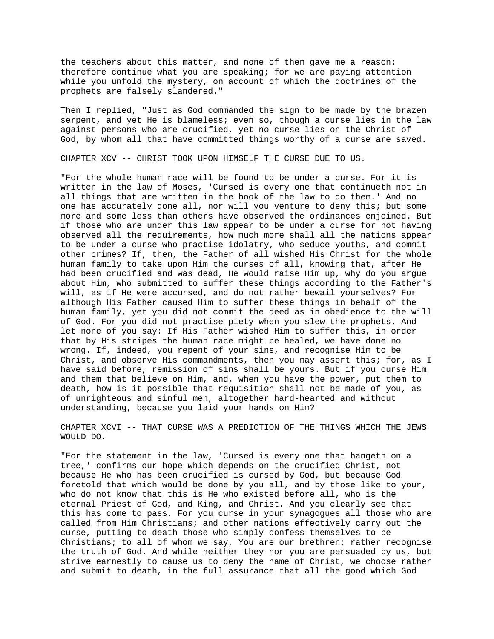the teachers about this matter, and none of them gave me a reason: therefore continue what you are speaking; for we are paying attention while you unfold the mystery, on account of which the doctrines of the prophets are falsely slandered."

Then I replied, "Just as God commanded the sign to be made by the brazen serpent, and yet He is blameless; even so, though a curse lies in the law against persons who are crucified, yet no curse lies on the Christ of God, by whom all that have committed things worthy of a curse are saved.

CHAPTER XCV -- CHRIST TOOK UPON HIMSELF THE CURSE DUE TO US.

"For the whole human race will be found to be under a curse. For it is written in the law of Moses, 'Cursed is every one that continueth not in all things that are written in the book of the law to do them.' And no one has accurately done all, nor will you venture to deny this; but some more and some less than others have observed the ordinances enjoined. But if those who are under this law appear to be under a curse for not having observed all the requirements, how much more shall all the nations appear to be under a curse who practise idolatry, who seduce youths, and commit other crimes? If, then, the Father of all wished His Christ for the whole human family to take upon Him the curses of all, knowing that, after He had been crucified and was dead, He would raise Him up, why do you argue about Him, who submitted to suffer these things according to the Father's will, as if He were accursed, and do not rather bewail yourselves? For although His Father caused Him to suffer these things in behalf of the human family, yet you did not commit the deed as in obedience to the will of God. For you did not practise piety when you slew the prophets. And let none of you say: If His Father wished Him to suffer this, in order that by His stripes the human race might be healed, we have done no wrong. If, indeed, you repent of your sins, and recognise Him to be Christ, and observe His commandments, then you may assert this; for, as I have said before, remission of sins shall be yours. But if you curse Him and them that believe on Him, and, when you have the power, put them to death, how is it possible that requisition shall not be made of you, as of unrighteous and sinful men, altogether hard-hearted and without understanding, because you laid your hands on Him?

CHAPTER XCVI -- THAT CURSE WAS A PREDICTION OF THE THINGS WHICH THE JEWS WOULD DO.

"For the statement in the law, 'Cursed is every one that hangeth on a tree,' confirms our hope which depends on the crucified Christ, not because He who has been crucified is cursed by God, but because God foretold that which would be done by you all, and by those like to your, who do not know that this is He who existed before all, who is the eternal Priest of God, and King, and Christ. And you clearly see that this has come to pass. For you curse in your synagogues all those who are called from Him Christians; and other nations effectively carry out the curse, putting to death those who simply confess themselves to be Christians; to all of whom we say, You are our brethren; rather recognise the truth of God. And while neither they nor you are persuaded by us, but strive earnestly to cause us to deny the name of Christ, we choose rather and submit to death, in the full assurance that all the good which God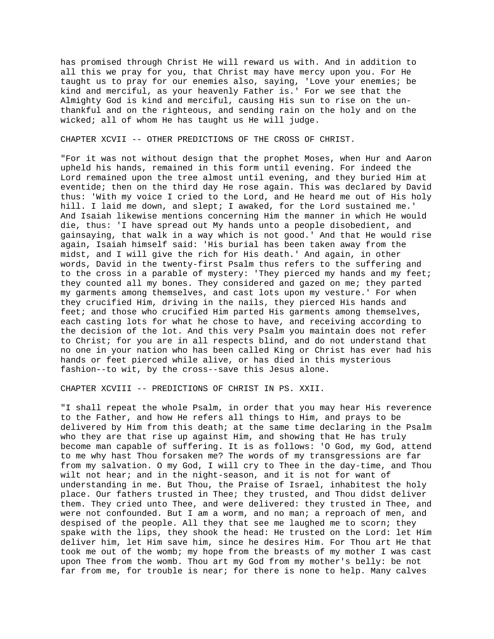has promised through Christ He will reward us with. And in addition to all this we pray for you, that Christ may have mercy upon you. For He taught us to pray for our enemies also, saying, 'Love your enemies; be kind and merciful, as your heavenly Father is.' For we see that the Almighty God is kind and merciful, causing His sun to rise on the unthankful and on the righteous, and sending rain on the holy and on the wicked; all of whom He has taught us He will judge.

CHAPTER XCVII -- OTHER PREDICTIONS OF THE CROSS OF CHRIST.

"For it was not without design that the prophet Moses, when Hur and Aaron upheld his hands, remained in this form until evening. For indeed the Lord remained upon the tree almost until evening, and they buried Him at eventide; then on the third day He rose again. This was declared by David thus: 'With my voice I cried to the Lord, and He heard me out of His holy hill. I laid me down, and slept; I awaked, for the Lord sustained me.' And Isaiah likewise mentions concerning Him the manner in which He would die, thus: 'I have spread out My hands unto a people disobedient, and gainsaying, that walk in a way which is not good.' And that He would rise again, Isaiah himself said: 'His burial has been taken away from the midst, and I will give the rich for His death.' And again, in other words, David in the twenty-first Psalm thus refers to the suffering and to the cross in a parable of mystery: 'They pierced my hands and my feet; they counted all my bones. They considered and gazed on me; they parted my garments among themselves, and cast lots upon my vesture.' For when they crucified Him, driving in the nails, they pierced His hands and feet; and those who crucified Him parted His garments among themselves, each casting lots for what he chose to have, and receiving according to the decision of the lot. And this very Psalm you maintain does not refer to Christ; for you are in all respects blind, and do not understand that no one in your nation who has been called King or Christ has ever had his hands or feet pierced while alive, or has died in this mysterious fashion--to wit, by the cross--save this Jesus alone.

CHAPTER XCVIII -- PREDICTIONS OF CHRIST IN PS. XXII.

"I shall repeat the whole Psalm, in order that you may hear His reverence to the Father, and how He refers all things to Him, and prays to be delivered by Him from this death; at the same time declaring in the Psalm who they are that rise up against Him, and showing that He has truly become man capable of suffering. It is as follows: 'O God, my God, attend to me why hast Thou forsaken me? The words of my transgressions are far from my salvation. O my God, I will cry to Thee in the day-time, and Thou wilt not hear; and in the night-season, and it is not for want of understanding in me. But Thou, the Praise of Israel, inhabitest the holy place. Our fathers trusted in Thee; they trusted, and Thou didst deliver them. They cried unto Thee, and were delivered: they trusted in Thee, and were not confounded. But I am a worm, and no man; a reproach of men, and despised of the people. All they that see me laughed me to scorn; they spake with the lips, they shook the head: He trusted on the Lord: let Him deliver him, let Him save him, since he desires Him. For Thou art He that took me out of the womb; my hope from the breasts of my mother I was cast upon Thee from the womb. Thou art my God from my mother's belly: be not far from me, for trouble is near; for there is none to help. Many calves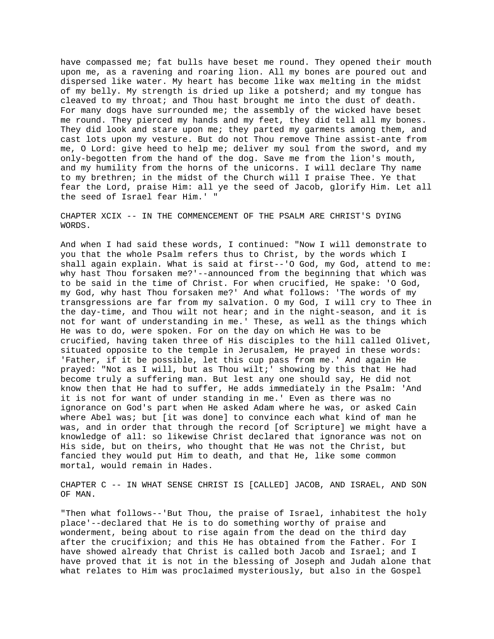have compassed me; fat bulls have beset me round. They opened their mouth upon me, as a ravening and roaring lion. All my bones are poured out and dispersed like water. My heart has become like wax melting in the midst of my belly. My strength is dried up like a potsherd; and my tongue has cleaved to my throat; and Thou hast brought me into the dust of death. For many dogs have surrounded me; the assembly of the wicked have beset me round. They pierced my hands and my feet, they did tell all my bones. They did look and stare upon me; they parted my garments among them, and cast lots upon my vesture. But do not Thou remove Thine assist-ante from me, O Lord: give heed to help me; deliver my soul from the sword, and my only-begotten from the hand of the dog. Save me from the lion's mouth, and my humility from the horns of the unicorns. I will declare Thy name to my brethren; in the midst of the Church will I praise Thee. Ye that fear the Lord, praise Him: all ye the seed of Jacob, glorify Him. Let all the seed of Israel fear Him.' "

CHAPTER XCIX -- IN THE COMMENCEMENT OF THE PSALM ARE CHRIST'S DYING WORDS.

And when I had said these words, I continued: "Now I will demonstrate to you that the whole Psalm refers thus to Christ, by the words which I shall again explain. What is said at first--'O God, my God, attend to me: why hast Thou forsaken me?'--announced from the beginning that which was to be said in the time of Christ. For when crucified, He spake: 'O God, my God, why hast Thou forsaken me?' And what follows: 'The words of my transgressions are far from my salvation. O my God, I will cry to Thee in the day-time, and Thou wilt not hear; and in the night-season, and it is not for want of understanding in me.' These, as well as the things which He was to do, were spoken. For on the day on which He was to be crucified, having taken three of His disciples to the hill called Olivet, situated opposite to the temple in Jerusalem, He prayed in these words: 'Father, if it be possible, let this cup pass from me.' And again He prayed: "Not as I will, but as Thou wilt;' showing by this that He had become truly a suffering man. But lest any one should say, He did not know then that He had to suffer, He adds immediately in the Psalm: 'And it is not for want of under standing in me.' Even as there was no ignorance on God's part when He asked Adam where he was, or asked Cain where Abel was; but [it was done] to convince each what kind of man he was, and in order that through the record [of Scripture] we might have a knowledge of all: so likewise Christ declared that ignorance was not on His side, but on theirs, who thought that He was not the Christ, but fancied they would put Him to death, and that He, like some common mortal, would remain in Hades.

CHAPTER C -- IN WHAT SENSE CHRIST IS [CALLED] JACOB, AND ISRAEL, AND SON OF MAN.

"Then what follows--'But Thou, the praise of Israel, inhabitest the holy place'--declared that He is to do something worthy of praise and wonderment, being about to rise again from the dead on the third day after the crucifixion; and this He has obtained from the Father. For I have showed already that Christ is called both Jacob and Israel; and I have proved that it is not in the blessing of Joseph and Judah alone that what relates to Him was proclaimed mysteriously, but also in the Gospel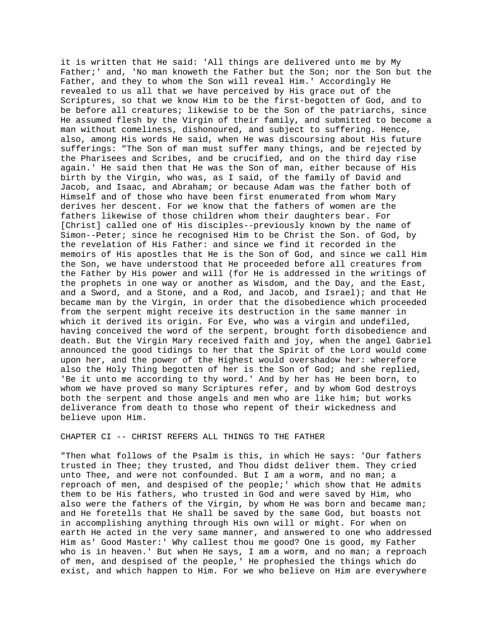it is written that He said: 'All things are delivered unto me by My Father;' and, 'No man knoweth the Father but the Son; nor the Son but the Father, and they to whom the Son will reveal Him.' Accordingly He revealed to us all that we have perceived by His grace out of the Scriptures, so that we know Him to be the first-begotten of God, and to be before all creatures; likewise to be the Son of the patriarchs, since He assumed flesh by the Virgin of their family, and submitted to become a man without comeliness, dishonoured, and subject to suffering. Hence, also, among His words He said, when He was discoursing about His future sufferings: "The Son of man must suffer many things, and be rejected by the Pharisees and Scribes, and be crucified, and on the third day rise again.' He said then that He was the Son of man, either because of His birth by the Virgin, who was, as I said, of the family of David and Jacob, and Isaac, and Abraham; or because Adam was the father both of Himself and of those who have been first enumerated from whom Mary derives her descent. For we know that the fathers of women are the fathers likewise of those children whom their daughters bear. For [Christ] called one of His disciples--previously known by the name of Simon--Peter; since he recognised Him to be Christ the Son. of God, by the revelation of His Father: and since we find it recorded in the memoirs of His apostles that He is the Son of God, and since we call Him the Son, we have understood that He proceeded before all creatures from the Father by His power and will (for He is addressed in the writings of the prophets in one way or another as Wisdom, and the Day, and the East, and a Sword, and a Stone, and a Rod, and Jacob, and Israel); and that He became man by the Virgin, in order that the disobedience which proceeded from the serpent might receive its destruction in the same manner in which it derived its origin. For Eve, who was a virgin and undefiled, having conceived the word of the serpent, brought forth disobedience and death. But the Virgin Mary received faith and joy, when the angel Gabriel announced the good tidings to her that the Spirit of the Lord would come upon her, and the power of the Highest would overshadow her: wherefore also the Holy Thing begotten of her is the Son of God; and she replied, 'Be it unto me according to thy word.' And by her has He been born, to whom we have proved so many Scriptures refer, and by whom God destroys both the serpent and those angels and men who are like him; but works deliverance from death to those who repent of their wickedness and believe upon Him.

## CHAPTER CI -- CHRIST REFERS ALL THINGS TO THE FATHER

"Then what follows of the Psalm is this, in which He says: 'Our fathers trusted in Thee; they trusted, and Thou didst deliver them. They cried unto Thee, and were not confounded. But I am a worm, and no man; a reproach of men, and despised of the people;' which show that He admits them to be His fathers, who trusted in God and were saved by Him, who also were the fathers of the Virgin, by whom He was born and became man; and He foretells that He shall be saved by the same God, but boasts not in accomplishing anything through His own will or might. For when on earth He acted in the very same manner, and answered to one who addressed Him as' Good Master:' Why callest thou me good? One is good, my Father who is in heaven.' But when He says, I am a worm, and no man; a reproach of men, and despised of the people,' He prophesied the things which do exist, and which happen to Him. For we who believe on Him are everywhere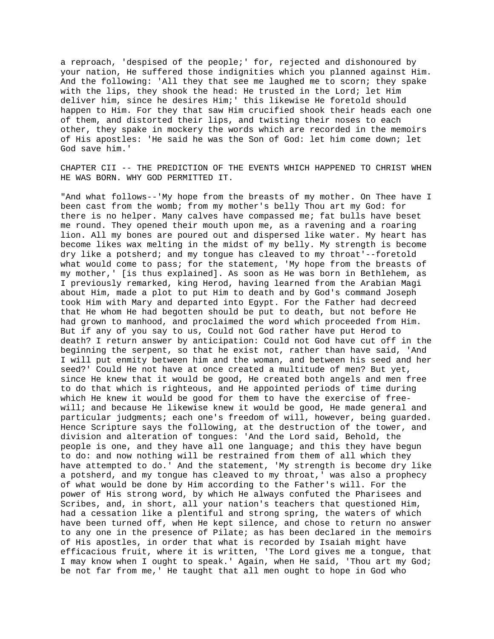a reproach, 'despised of the people;' for, rejected and dishonoured by your nation, He suffered those indignities which you planned against Him. And the following: 'All they that see me laughed me to scorn; they spake with the lips, they shook the head: He trusted in the Lord; let Him deliver him, since he desires Him;' this likewise He foretold should happen to Him. For they that saw Him crucified shook their heads each one of them, and distorted their lips, and twisting their noses to each other, they spake in mockery the words which are recorded in the memoirs of His apostles: 'He said he was the Son of God: let him come down; let God save him.'

CHAPTER CII -- THE PREDICTION OF THE EVENTS WHICH HAPPENED TO CHRIST WHEN HE WAS BORN. WHY GOD PERMITTED IT.

"And what follows--'My hope from the breasts of my mother. On Thee have I been cast from the womb; from my mother's belly Thou art my God: for there is no helper. Many calves have compassed me; fat bulls have beset me round. They opened their mouth upon me, as a ravening and a roaring lion. All my bones are poured out and dispersed like water. My heart has become likes wax melting in the midst of my belly. My strength is become dry like a potsherd; and my tongue has cleaved to my throat'--foretold what would come to pass; for the statement, 'My hope from the breasts of my mother,' [is thus explained]. As soon as He was born in Bethlehem, as I previously remarked, king Herod, having learned from the Arabian Magi about Him, made a plot to put Him to death and by God's command Joseph took Him with Mary and departed into Egypt. For the Father had decreed that He whom He had begotten should be put to death, but not before He had grown to manhood, and proclaimed the word which proceeded from Him. But if any of you say to us, Could not God rather have put Herod to death? I return answer by anticipation: Could not God have cut off in the beginning the serpent, so that he exist not, rather than have said, 'And I will put enmity between him and the woman, and between his seed and her seed?' Could He not have at once created a multitude of men? But yet, since He knew that it would be good, He created both angels and men free to do that which is righteous, and He appointed periods of time during which He knew it would be good for them to have the exercise of freewill; and because He likewise knew it would be good, He made general and particular judgments; each one's freedom of will, however, being guarded. Hence Scripture says the following, at the destruction of the tower, and division and alteration of tongues: 'And the Lord said, Behold, the people is one, and they have all one language; and this they have begun to do: and now nothing will be restrained from them of all which they have attempted to do.' And the statement, 'My strength is become dry like a potsherd, and my tongue has cleaved to my throat,' was also a prophecy of what would be done by Him according to the Father's will. For the power of His strong word, by which He always confuted the Pharisees and Scribes, and, in short, all your nation's teachers that questioned Him, had a cessation like a plentiful and strong spring, the waters of which have been turned off, when He kept silence, and chose to return no answer to any one in the presence of Pilate; as has been declared in the memoirs of His apostles, in order that what is recorded by Isaiah might have efficacious fruit, where it is written, 'The Lord gives me a tongue, that I may know when I ought to speak.' Again, when He said, 'Thou art my God; be not far from me,' He taught that all men ought to hope in God who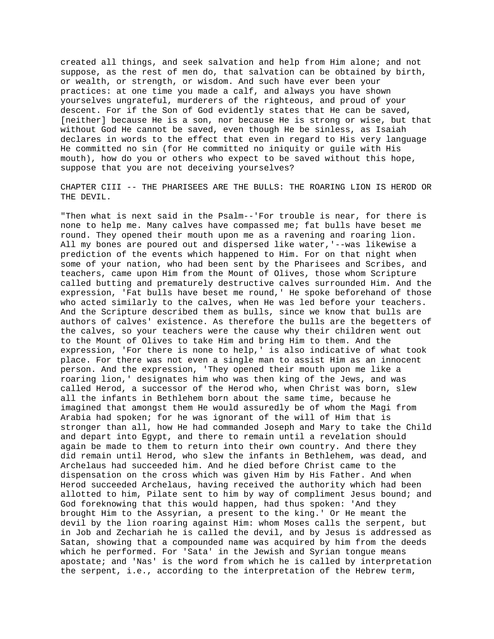created all things, and seek salvation and help from Him alone; and not suppose, as the rest of men do, that salvation can be obtained by birth, or wealth, or strength, or wisdom. And such have ever been your practices: at one time you made a calf, and always you have shown yourselves ungrateful, murderers of the righteous, and proud of your descent. For if the Son of God evidently states that He can be saved, [neither] because He is a son, nor because He is strong or wise, but that without God He cannot be saved, even though He be sinless, as Isaiah declares in words to the effect that even in regard to His very language He committed no sin (for He committed no iniquity or guile with His mouth), how do you or others who expect to be saved without this hope, suppose that you are not deceiving yourselves?

CHAPTER CIII -- THE PHARISEES ARE THE BULLS: THE ROARING LION IS HEROD OR THE DEVIL.

"Then what is next said in the Psalm--'For trouble is near, for there is none to help me. Many calves have compassed me; fat bulls have beset me round. They opened their mouth upon me as a ravening and roaring lion. All my bones are poured out and dispersed like water,'--was likewise a prediction of the events which happened to Him. For on that night when some of your nation, who had been sent by the Pharisees and Scribes, and teachers, came upon Him from the Mount of Olives, those whom Scripture called butting and prematurely destructive calves surrounded Him. And the expression, 'Fat bulls have beset me round,' He spoke beforehand of those who acted similarly to the calves, when He was led before your teachers. And the Scripture described them as bulls, since we know that bulls are authors of calves' existence. As therefore the bulls are the begetters of the calves, so your teachers were the cause why their children went out to the Mount of Olives to take Him and bring Him to them. And the expression, 'For there is none to help,' is also indicative of what took place. For there was not even a single man to assist Him as an innocent person. And the expression, 'They opened their mouth upon me like a roaring lion,' designates him who was then king of the Jews, and was called Herod, a successor of the Herod who, when Christ was born, slew all the infants in Bethlehem born about the same time, because he imagined that amongst them He would assuredly be of whom the Magi from Arabia had spoken; for he was ignorant of the will of Him that is stronger than all, how He had commanded Joseph and Mary to take the Child and depart into Egypt, and there to remain until a revelation should again be made to them to return into their own country. And there they did remain until Herod, who slew the infants in Bethlehem, was dead, and Archelaus had succeeded him. And he died before Christ came to the dispensation on the cross which was given Him by His Father. And when Herod succeeded Archelaus, having received the authority which had been allotted to him, Pilate sent to him by way of compliment Jesus bound; and God foreknowing that this would happen, had thus spoken: 'And they brought Him to the Assyrian, a present to the king.' Or He meant the devil by the lion roaring against Him: whom Moses calls the serpent, but in Job and Zechariah he is called the devil, and by Jesus is addressed as Satan, showing that a compounded name was acquired by him from the deeds which he performed. For 'Sata' in the Jewish and Syrian tongue means apostate; and 'Nas' is the word from which he is called by interpretation the serpent, i.e., according to the interpretation of the Hebrew term,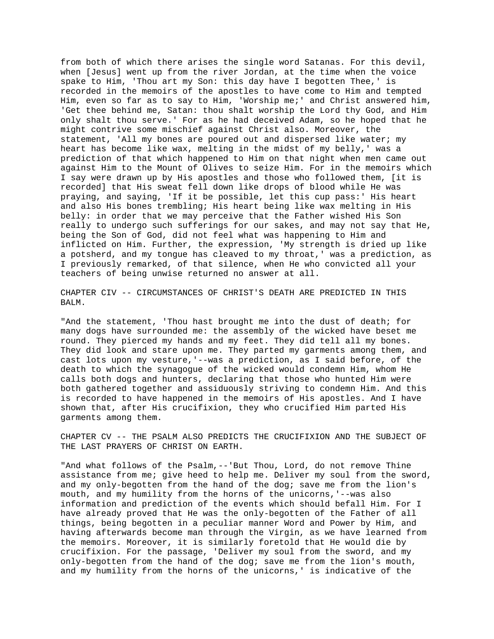from both of which there arises the single word Satanas. For this devil, when [Jesus] went up from the river Jordan, at the time when the voice spake to Him, 'Thou art my Son: this day have I begotten Thee,' is recorded in the memoirs of the apostles to have come to Him and tempted Him, even so far as to say to Him, 'Worship me;' and Christ answered him, 'Get thee behind me, Satan: thou shalt worship the Lord thy God, and Him only shalt thou serve.' For as he had deceived Adam, so he hoped that he might contrive some mischief against Christ also. Moreover, the statement, 'All my bones are poured out and dispersed like water; my heart has become like wax, melting in the midst of my belly,' was a prediction of that which happened to Him on that night when men came out against Him to the Mount of Olives to seize Him. For in the memoirs which I say were drawn up by His apostles and those who followed them, [it is recorded] that His sweat fell down like drops of blood while He was praying, and saying, 'If it be possible, let this cup pass:' His heart and also His bones trembling; His heart being like wax melting in His belly: in order that we may perceive that the Father wished His Son really to undergo such sufferings for our sakes, and may not say that He, being the Son of God, did not feel what was happening to Him and inflicted on Him. Further, the expression, 'My strength is dried up like a potsherd, and my tongue has cleaved to my throat,' was a prediction, as I previously remarked, of that silence, when He who convicted all your teachers of being unwise returned no answer at all.

CHAPTER CIV -- CIRCUMSTANCES OF CHRIST'S DEATH ARE PREDICTED IN THIS BALM.

"And the statement, 'Thou hast brought me into the dust of death; for many dogs have surrounded me: the assembly of the wicked have beset me round. They pierced my hands and my feet. They did tell all my bones. They did look and stare upon me. They parted my garments among them, and cast lots upon my vesture,'--was a prediction, as I said before, of the death to which the synagogue of the wicked would condemn Him, whom He calls both dogs and hunters, declaring that those who hunted Him were both gathered together and assiduously striving to condemn Him. And this is recorded to have happened in the memoirs of His apostles. And I have shown that, after His crucifixion, they who crucified Him parted His garments among them.

CHAPTER CV -- THE PSALM ALSO PREDICTS THE CRUCIFIXION AND THE SUBJECT OF THE LAST PRAYERS OF CHRIST ON EARTH.

"And what follows of the Psalm,--'But Thou, Lord, do not remove Thine assistance from me; give heed to help me. Deliver my soul from the sword, and my only-begotten from the hand of the dog; save me from the lion's mouth, and my humility from the horns of the unicorns,'--was also information and prediction of the events which should befall Him. For I have already proved that He was the only-begotten of the Father of all things, being begotten in a peculiar manner Word and Power by Him, and having afterwards become man through the Virgin, as we have learned from the memoirs. Moreover, it is similarly foretold that He would die by crucifixion. For the passage, 'Deliver my soul from the sword, and my only-begotten from the hand of the dog; save me from the lion's mouth, and my humility from the horns of the unicorns,' is indicative of the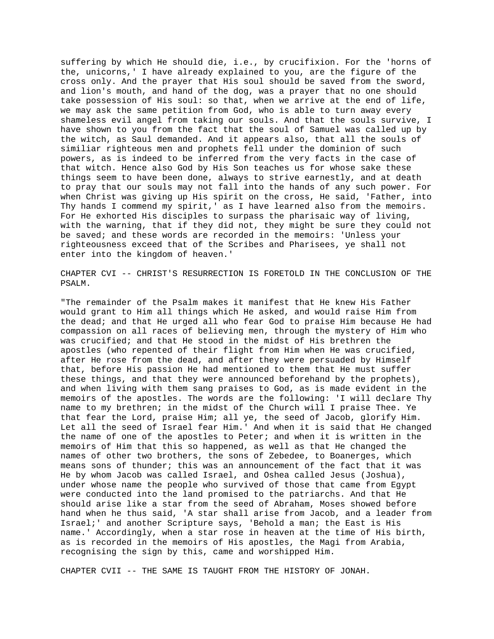suffering by which He should die, i.e., by crucifixion. For the 'horns of the, unicorns,' I have already explained to you, are the figure of the cross only. And the prayer that His soul should be saved from the sword, and lion's mouth, and hand of the dog, was a prayer that no one should take possession of His soul: so that, when we arrive at the end of life, we may ask the same petition from God, who is able to turn away every shameless evil angel from taking our souls. And that the souls survive, I have shown to you from the fact that the soul of Samuel was called up by the witch, as Saul demanded. And it appears also, that all the souls of similiar righteous men and prophets fell under the dominion of such powers, as is indeed to be inferred from the very facts in the case of that witch. Hence also God by His Son teaches us for whose sake these things seem to have been done, always to strive earnestly, and at death to pray that our souls may not fall into the hands of any such power. For when Christ was giving up His spirit on the cross, He said, 'Father, into Thy hands I commend my spirit,' as I have learned also from the memoirs. For He exhorted His disciples to surpass the pharisaic way of living, with the warning, that if they did not, they might be sure they could not be saved; and these words are recorded in the memoirs: 'Unless your righteousness exceed that of the Scribes and Pharisees, ye shall not enter into the kingdom of heaven.'

CHAPTER CVI -- CHRIST'S RESURRECTION IS FORETOLD IN THE CONCLUSION OF THE PSALM.

"The remainder of the Psalm makes it manifest that He knew His Father would grant to Him all things which He asked, and would raise Him from the dead; and that He urged all who fear God to praise Him because He had compassion on all races of believing men, through the mystery of Him who was crucified; and that He stood in the midst of His brethren the apostles (who repented of their flight from Him when He was crucified, after He rose from the dead, and after they were persuaded by Himself that, before His passion He had mentioned to them that He must suffer these things, and that they were announced beforehand by the prophets), and when living with them sang praises to God, as is made evident in the memoirs of the apostles. The words are the following: 'I will declare Thy name to my brethren; in the midst of the Church will I praise Thee. Ye that fear the Lord, praise Him; all ye, the seed of Jacob, glorify Him. Let all the seed of Israel fear Him.' And when it is said that He changed the name of one of the apostles to Peter; and when it is written in the memoirs of Him that this so happened, as well as that He changed the names of other two brothers, the sons of Zebedee, to Boanerges, which means sons of thunder; this was an announcement of the fact that it was He by whom Jacob was called Israel, and Oshea called Jesus (Joshua), under whose name the people who survived of those that came from Egypt were conducted into the land promised to the patriarchs. And that He should arise like a star from the seed of Abraham, Moses showed before hand when he thus said, 'A star shall arise from Jacob, and a leader from Israel;' and another Scripture says, 'Behold a man; the East is His name.' Accordingly, when a star rose in heaven at the time of His birth, as is recorded in the memoirs of His apostles, the Magi from Arabia, recognising the sign by this, came and worshipped Him.

CHAPTER CVII -- THE SAME IS TAUGHT FROM THE HISTORY OF JONAH.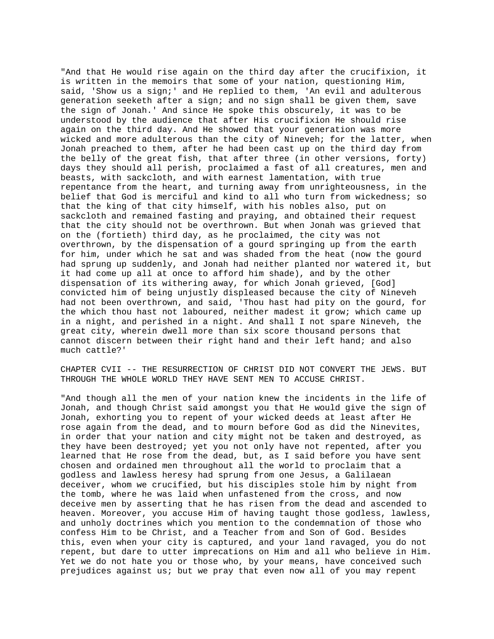"And that He would rise again on the third day after the crucifixion, it is written in the memoirs that some of your nation, questioning Him, said, 'Show us a sign;' and He replied to them, 'An evil and adulterous generation seeketh after a sign; and no sign shall be given them, save the sign of Jonah.' And since He spoke this obscurely, it was to be understood by the audience that after His crucifixion He should rise again on the third day. And He showed that your generation was more wicked and more adulterous than the city of Nineveh; for the latter, when Jonah preached to them, after he had been cast up on the third day from the belly of the great fish, that after three (in other versions, forty) days they should all perish, proclaimed a fast of all creatures, men and beasts, with sackcloth, and with earnest lamentation, with true repentance from the heart, and turning away from unrighteousness, in the belief that God is merciful and kind to all who turn from wickedness; so that the king of that city himself, with his nobles also, put on sackcloth and remained fasting and praying, and obtained their request that the city should not be overthrown. But when Jonah was grieved that on the (fortieth) third day, as he proclaimed, the city was not overthrown, by the dispensation of a gourd springing up from the earth for him, under which he sat and was shaded from the heat (now the gourd had sprung up suddenly, and Jonah had neither planted nor watered it, but it had come up all at once to afford him shade), and by the other dispensation of its withering away, for which Jonah grieved, [God] convicted him of being unjustly displeased because the city of Nineveh had not been overthrown, and said, 'Thou hast had pity on the gourd, for the which thou hast not laboured, neither madest it grow; which came up in a night, and perished in a night. And shall I not spare Nineveh, the great city, wherein dwell more than six score thousand persons that cannot discern between their right hand and their left hand; and also much cattle?'

CHAPTER CVII -- THE RESURRECTION OF CHRIST DID NOT CONVERT THE JEWS. BUT THROUGH THE WHOLE WORLD THEY HAVE SENT MEN TO ACCUSE CHRIST.

"And though all the men of your nation knew the incidents in the life of Jonah, and though Christ said amongst you that He would give the sign of Jonah, exhorting you to repent of your wicked deeds at least after He rose again from the dead, and to mourn before God as did the Ninevites, in order that your nation and city might not be taken and destroyed, as they have been destroyed; yet you not only have not repented, after you learned that He rose from the dead, but, as I said before you have sent chosen and ordained men throughout all the world to proclaim that a godless and lawless heresy had sprung from one Jesus, a Galilaean deceiver, whom we crucified, but his disciples stole him by night from the tomb, where he was laid when unfastened from the cross, and now deceive men by asserting that he has risen from the dead and ascended to heaven. Moreover, you accuse Him of having taught those godless, lawless, and unholy doctrines which you mention to the condemnation of those who confess Him to be Christ, and a Teacher from and Son of God. Besides this, even when your city is captured, and your land ravaged, you do not repent, but dare to utter imprecations on Him and all who believe in Him. Yet we do not hate you or those who, by your means, have conceived such prejudices against us; but we pray that even now all of you may repent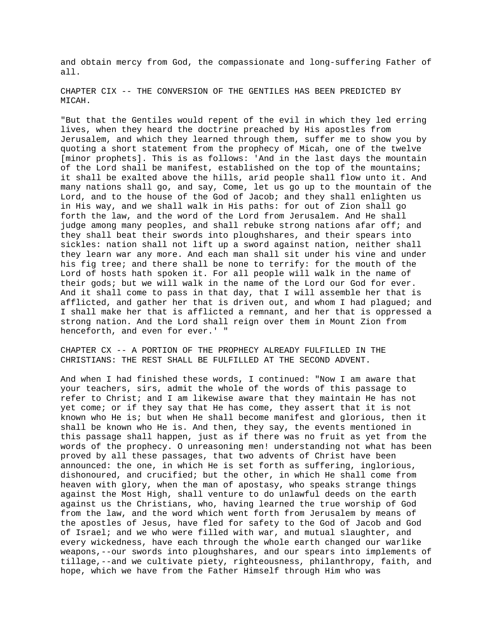and obtain mercy from God, the compassionate and long-suffering Father of all.

CHAPTER CIX -- THE CONVERSION OF THE GENTILES HAS BEEN PREDICTED BY MICAH.

"But that the Gentiles would repent of the evil in which they led erring lives, when they heard the doctrine preached by His apostles from Jerusalem, and which they learned through them, suffer me to show you by quoting a short statement from the prophecy of Micah, one of the twelve [minor prophets]. This is as follows: 'And in the last days the mountain of the Lord shall be manifest, established on the top of the mountains; it shall be exalted above the hills, arid people shall flow unto it. And many nations shall go, and say, Come, let us go up to the mountain of the Lord, and to the house of the God of Jacob; and they shall enlighten us in His way, and we shall walk in His paths: for out of Zion shall go forth the law, and the word of the Lord from Jerusalem. And He shall judge among many peoples, and shall rebuke strong nations afar off; and they shall beat their swords into ploughshares, and their spears into sickles: nation shall not lift up a sword against nation, neither shall they learn war any more. And each man shall sit under his vine and under his fig tree; and there shall be none to terrify: for the mouth of the Lord of hosts hath spoken it. For all people will walk in the name of their gods; but we will walk in the name of the Lord our God for ever. And it shall come to pass in that day, that I will assemble her that is afflicted, and gather her that is driven out, and whom I had plagued; and I shall make her that is afflicted a remnant, and her that is oppressed a strong nation. And the Lord shall reign over them in Mount Zion from henceforth, and even for ever.' "

CHAPTER CX -- A PORTION OF THE PROPHECY ALREADY FULFILLED IN THE CHRISTIANS: THE REST SHALL BE FULFILLED AT THE SECOND ADVENT.

And when I had finished these words, I continued: "Now I am aware that your teachers, sirs, admit the whole of the words of this passage to refer to Christ; and I am likewise aware that they maintain He has not yet come; or if they say that He has come, they assert that it is not known who He is; but when He shall become manifest and glorious, then it shall be known who He is. And then, they say, the events mentioned in this passage shall happen, just as if there was no fruit as yet from the words of the prophecy. O unreasoning men! understanding not what has been proved by all these passages, that two advents of Christ have been announced: the one, in which He is set forth as suffering, inglorious, dishonoured, and crucified; but the other, in which He shall come from heaven with glory, when the man of apostasy, who speaks strange things against the Most High, shall venture to do unlawful deeds on the earth against us the Christians, who, having learned the true worship of God from the law, and the word which went forth from Jerusalem by means of the apostles of Jesus, have fled for safety to the God of Jacob and God of Israel; and we who were filled with war, and mutual slaughter, and every wickedness, have each through the whole earth changed our warlike weapons,--our swords into ploughshares, and our spears into implements of tillage,--and we cultivate piety, righteousness, philanthropy, faith, and hope, which we have from the Father Himself through Him who was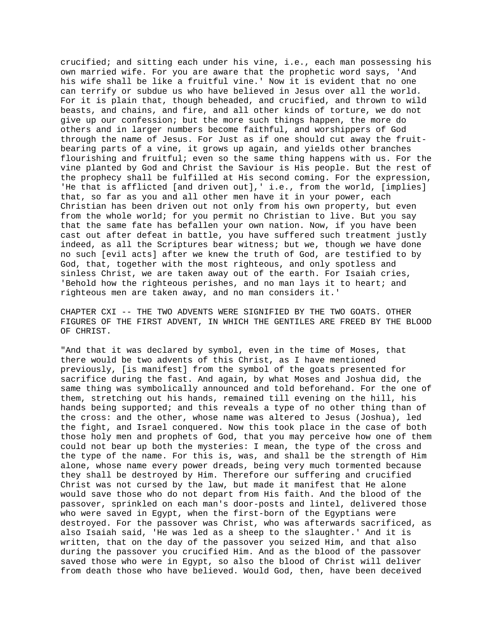crucified; and sitting each under his vine, i.e., each man possessing his own married wife. For you are aware that the prophetic word says, 'And his wife shall be like a fruitful vine.' Now it is evident that no one can terrify or subdue us who have believed in Jesus over all the world. For it is plain that, though beheaded, and crucified, and thrown to wild beasts, and chains, and fire, and all other kinds of torture, we do not give up our confession; but the more such things happen, the more do others and in larger numbers become faithful, and worshippers of God through the name of Jesus. For Just as if one should cut away the fruitbearing parts of a vine, it grows up again, and yields other branches flourishing and fruitful; even so the same thing happens with us. For the vine planted by God and Christ the Saviour is His people. But the rest of the prophecy shall be fulfilled at His second coming. For the expression, 'He that is afflicted [and driven out],' i.e., from the world, [implies] that, so far as you and all other men have it in your power, each Christian has been driven out not only from his own property, but even from the whole world; for you permit no Christian to live. But you say that the same fate has befallen your own nation. Now, if you have been cast out after defeat in battle, you have suffered such treatment justly indeed, as all the Scriptures bear witness; but we, though we have done no such [evil acts] after we knew the truth of God, are testified to by God, that, together with the most righteous, and only spotless and sinless Christ, we are taken away out of the earth. For Isaiah cries, 'Behold how the righteous perishes, and no man lays it to heart; and righteous men are taken away, and no man considers it.'

CHAPTER CXI -- THE TWO ADVENTS WERE SIGNIFIED BY THE TWO GOATS. OTHER FIGURES OF THE FIRST ADVENT, IN WHICH THE GENTILES ARE FREED BY THE BLOOD OF CHRIST.

"And that it was declared by symbol, even in the time of Moses, that there would be two advents of this Christ, as I have mentioned previously, [is manifest] from the symbol of the goats presented for sacrifice during the fast. And again, by what Moses and Joshua did, the same thing was symbolically announced and told beforehand. For the one of them, stretching out his hands, remained till evening on the hill, his hands being supported; and this reveals a type of no other thing than of the cross: and the other, whose name was altered to Jesus (Joshua), led the fight, and Israel conquered. Now this took place in the case of both those holy men and prophets of God, that you may perceive how one of them could not bear up both the mysteries: I mean, the type of the cross and the type of the name. For this is, was, and shall be the strength of Him alone, whose name every power dreads, being very much tormented because they shall be destroyed by Him. Therefore our suffering and crucified Christ was not cursed by the law, but made it manifest that He alone would save those who do not depart from His faith. And the blood of the passover, sprinkled on each man's door-posts and lintel, delivered those who were saved in Egypt, when the first-born of the Egyptians were destroyed. For the passover was Christ, who was afterwards sacrificed, as also Isaiah said, 'He was led as a sheep to the slaughter.' And it is written, that on the day of the passover you seized Him, and that also during the passover you crucified Him. And as the blood of the passover saved those who were in Egypt, so also the blood of Christ will deliver from death those who have believed. Would God, then, have been deceived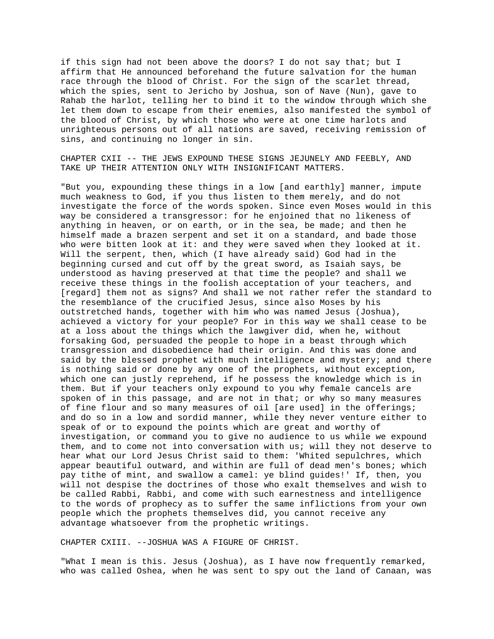if this sign had not been above the doors? I do not say that; but I affirm that He announced beforehand the future salvation for the human race through the blood of Christ. For the sign of the scarlet thread, which the spies, sent to Jericho by Joshua, son of Nave (Nun), gave to Rahab the harlot, telling her to bind it to the window through which she let them down to escape from their enemies, also manifested the symbol of the blood of Christ, by which those who were at one time harlots and unrighteous persons out of all nations are saved, receiving remission of sins, and continuing no longer in sin.

CHAPTER CXII -- THE JEWS EXPOUND THESE SIGNS JEJUNELY AND FEEBLY, AND TAKE UP THEIR ATTENTION ONLY WITH INSIGNIFICANT MATTERS.

"But you, expounding these things in a low [and earthly] manner, impute much weakness to God, if you thus listen to them merely, and do not investigate the force of the words spoken. Since even Moses would in this way be considered a transgressor: for he enjoined that no likeness of anything in heaven, or on earth, or in the sea, be made; and then he himself made a brazen serpent and set it on a standard, and bade those who were bitten look at it: and they were saved when they looked at it. Will the serpent, then, which (I have already said) God had in the beginning cursed and cut off by the great sword, as Isaiah says, be understood as having preserved at that time the people? and shall we receive these things in the foolish acceptation of your teachers, and [regard] them not as signs? And shall we not rather refer the standard to the resemblance of the crucified Jesus, since also Moses by his outstretched hands, together with him who was named Jesus (Joshua), achieved a victory for your people? For in this way we shall cease to be at a loss about the things which the lawgiver did, when he, without forsaking God, persuaded the people to hope in a beast through which transgression and disobedience had their origin. And this was done and said by the blessed prophet with much intelligence and mystery; and there is nothing said or done by any one of the prophets, without exception, which one can justly reprehend, if he possess the knowledge which is in them. But if your teachers only expound to you why female cancels are spoken of in this passage, and are not in that; or why so many measures of fine flour and so many measures of oil [are used] in the offerings; and do so in a low and sordid manner, while they never venture either to speak of or to expound the points which are great and worthy of investigation, or command you to give no audience to us while we expound them, and to come not into conversation with us; will they not deserve to hear what our Lord Jesus Christ said to them: 'Whited sepulchres, which appear beautiful outward, and within are full of dead men's bones; which pay tithe of mint, and swallow a camel: ye blind guides!' If, then, you will not despise the doctrines of those who exalt themselves and wish to be called Rabbi, Rabbi, and come with such earnestness and intelligence to the words of prophecy as to suffer the same inflictions from your own people which the prophets themselves did, you cannot receive any advantage whatsoever from the prophetic writings.

CHAPTER CXIII. --JOSHUA WAS A FIGURE OF CHRIST.

"What I mean is this. Jesus (Joshua), as I have now frequently remarked, who was called Oshea, when he was sent to spy out the land of Canaan, was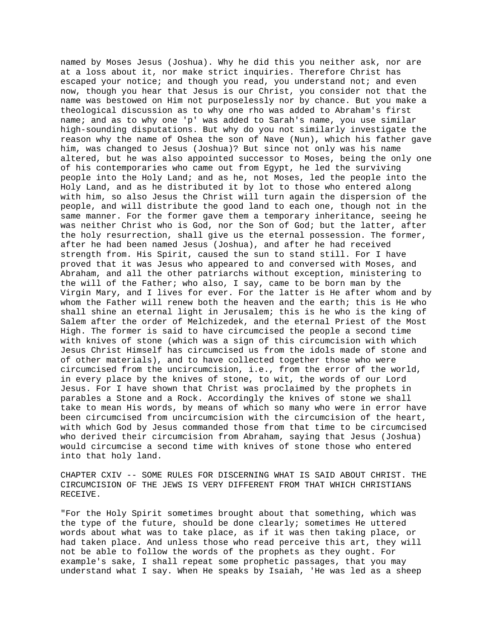named by Moses Jesus (Joshua). Why he did this you neither ask, nor are at a loss about it, nor make strict inquiries. Therefore Christ has escaped your notice; and though you read, you understand not; and even now, though you hear that Jesus is our Christ, you consider not that the name was bestowed on Him not purposelessly nor by chance. But you make a theological discussion as to why one rho was added to Abraham's first name; and as to why one 'p' was added to Sarah's name, you use similar high-sounding disputations. But why do you not similarly investigate the reason why the name of Oshea the son of Nave (Nun), which his father gave him, was changed to Jesus (Joshua)? But since not only was his name altered, but he was also appointed successor to Moses, being the only one of his contemporaries who came out from Egypt, he led the surviving people into the Holy Land; and as he, not Moses, led the people into the Holy Land, and as he distributed it by lot to those who entered along with him, so also Jesus the Christ will turn again the dispersion of the people, and will distribute the good land to each one, though not in the same manner. For the former gave them a temporary inheritance, seeing he was neither Christ who is God, nor the Son of God; but the latter, after the holy resurrection, shall give us the eternal possession. The former, after he had been named Jesus (Joshua), and after he had received strength from. His Spirit, caused the sun to stand still. For I have proved that it was Jesus who appeared to and conversed with Moses, and Abraham, and all the other patriarchs without exception, ministering to the will of the Father; who also, I say, came to be born man by the Virgin Mary, and I lives for ever. For the latter is He after whom and by whom the Father will renew both the heaven and the earth; this is He who shall shine an eternal light in Jerusalem; this is he who is the king of Salem after the order of Melchizedek, and the eternal Priest of the Most High. The former is said to have circumcised the people a second time with knives of stone (which was a sign of this circumcision with which Jesus Christ Himself has circumcised us from the idols made of stone and of other materials), and to have collected together those who were circumcised from the uncircumcision, i.e., from the error of the world, in every place by the knives of stone, to wit, the words of our Lord Jesus. For I have shown that Christ was proclaimed by the prophets in parables a Stone and a Rock. Accordingly the knives of stone we shall take to mean His words, by means of which so many who were in error have been circumcised from uncircumcision with the circumcision of the heart, with which God by Jesus commanded those from that time to be circumcised who derived their circumcision from Abraham, saying that Jesus (Joshua) would circumcise a second time with knives of stone those who entered into that holy land.

CHAPTER CXIV -- SOME RULES FOR DISCERNING WHAT IS SAID ABOUT CHRIST. THE CIRCUMCISION OF THE JEWS IS VERY DIFFERENT FROM THAT WHICH CHRISTIANS RECEIVE.

"For the Holy Spirit sometimes brought about that something, which was the type of the future, should be done clearly; sometimes He uttered words about what was to take place, as if it was then taking place, or had taken place. And unless those who read perceive this art, they will not be able to follow the words of the prophets as they ought. For example's sake, I shall repeat some prophetic passages, that you may understand what I say. When He speaks by Isaiah, 'He was led as a sheep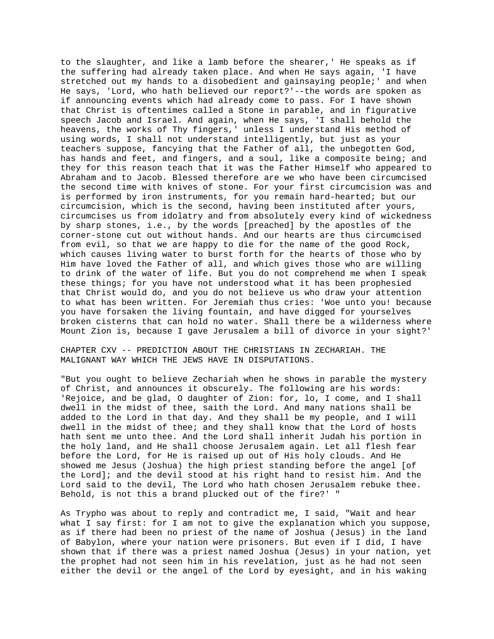to the slaughter, and like a lamb before the shearer,' He speaks as if the suffering had already taken place. And when He says again, 'I have stretched out my hands to a disobedient and gainsaying people;' and when He says, 'Lord, who hath believed our report?'--the words are spoken as if announcing events which had already come to pass. For I have shown that Christ is oftentimes called a Stone in parable, and in figurative speech Jacob and Israel. And again, when He says, 'I shall behold the heavens, the works of Thy fingers,' unless I understand His method of using words, I shall not understand intelligently, but just as your teachers suppose, fancying that the Father of all, the unbegotten God, has hands and feet, and fingers, and a soul, like a composite being; and they for this reason teach that it was the Father Himself who appeared to Abraham and to Jacob. Blessed therefore are we who have been circumcised the second time with knives of stone. For your first circumcision was and is performed by iron instruments, for you remain hard-hearted; but our circumcision, which is the second, having been instituted after yours, circumcises us from idolatry and from absolutely every kind of wickedness by sharp stones, i.e., by the words [preached] by the apostles of the corner-stone cut out without hands. And our hearts are thus circumcised from evil, so that we are happy to die for the name of the good Rock, which causes living water to burst forth for the hearts of those who by Him have loved the Father of all, and which gives those who are willing to drink of the water of life. But you do not comprehend me when I speak these things; for you have not understood what it has been prophesied that Christ would do, and you do not believe us who draw your attention to what has been written. For Jeremiah thus cries: 'Woe unto you! because you have forsaken the living fountain, and have digged for yourselves broken cisterns that can hold no water. Shall there be a wilderness where Mount Zion is, because I gave Jerusalem a bill of divorce in your sight?'

CHAPTER CXV -- PREDICTION ABOUT THE CHRISTIANS IN ZECHARIAH. THE MALIGNANT WAY WHICH THE JEWS HAVE IN DISPUTATIONS.

"But you ought to believe Zechariah when he shows in parable the mystery of Christ, and announces it obscurely. The following are his words: 'Rejoice, and be glad, O daughter of Zion: for, lo, I come, and I shall dwell in the midst of thee, saith the Lord. And many nations shall be added to the Lord in that day. And they shall be my people, and I will dwell in the midst of thee; and they shall know that the Lord of hosts hath sent me unto thee. And the Lord shall inherit Judah his portion in the holy land, and He shall choose Jerusalem again. Let all flesh fear before the Lord, for He is raised up out of His holy clouds. And He showed me Jesus (Joshua) the high priest standing before the angel [of the Lord]; and the devil stood at his right hand to resist him. And the Lord said to the devil, The Lord who hath chosen Jerusalem rebuke thee. Behold, is not this a brand plucked out of the fire?' "

As Trypho was about to reply and contradict me, I said, "Wait and hear what I say first: for I am not to give the explanation which you suppose, as if there had been no priest of the name of Joshua (Jesus) in the land of Babylon, where your nation were prisoners. But even if I did, I have shown that if there was a priest named Joshua (Jesus) in your nation, yet the prophet had not seen him in his revelation, just as he had not seen either the devil or the angel of the Lord by eyesight, and in his waking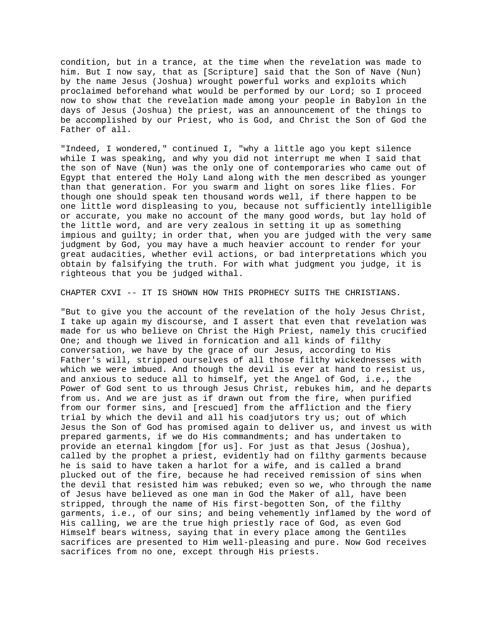condition, but in a trance, at the time when the revelation was made to him. But I now say, that as [Scripture] said that the Son of Nave (Nun) by the name Jesus (Joshua) wrought powerful works and exploits which proclaimed beforehand what would be performed by our Lord; so I proceed now to show that the revelation made among your people in Babylon in the days of Jesus (Joshua) the priest, was an announcement of the things to be accomplished by our Priest, who is God, and Christ the Son of God the Father of all.

"Indeed, I wondered," continued I, "why a little ago you kept silence while I was speaking, and why you did not interrupt me when I said that the son of Nave (Nun) was the only one of contemporaries who came out of Egypt that entered the Holy Land along with the men described as younger than that generation. For you swarm and light on sores like flies. For though one should speak ten thousand words well, if there happen to be one little word displeasing to you, because not sufficiently intelligible or accurate, you make no account of the many good words, but lay hold of the little word, and are very zealous in setting it up as something impious and guilty; in order that, when you are judged with the very same judgment by God, you may have a much heavier account to render for your great audacities, whether evil actions, or bad interpretations which you obtain by falsifying the truth. For with what judgment you judge, it is righteous that you be judged withal.

CHAPTER CXVI -- IT IS SHOWN HOW THIS PROPHECY SUITS THE CHRISTIANS.

"But to give you the account of the revelation of the holy Jesus Christ, I take up again my discourse, and I assert that even that revelation was made for us who believe on Christ the High Priest, namely this crucified One; and though we lived in fornication and all kinds of filthy conversation, we have by the grace of our Jesus, according to His Father's will, stripped ourselves of all those filthy wickednesses with which we were imbued. And though the devil is ever at hand to resist us, and anxious to seduce all to himself, yet the Angel of God, i.e., the Power of God sent to us through Jesus Christ, rebukes him, and he departs from us. And we are just as if drawn out from the fire, when purified from our former sins, and [rescued] from the affliction and the fiery trial by which the devil and all his coadjutors try us; out of which Jesus the Son of God has promised again to deliver us, and invest us with prepared garments, if we do His commandments; and has undertaken to provide an eternal kingdom [for us]. For just as that Jesus (Joshua), called by the prophet a priest, evidently had on filthy garments because he is said to have taken a harlot for a wife, and is called a brand plucked out of the fire, because he had received remission of sins when the devil that resisted him was rebuked; even so we, who through the name of Jesus have believed as one man in God the Maker of all, have been stripped, through the name of His first-begotten Son, of the filthy garments, i.e., of our sins; and being vehemently inflamed by the word of His calling, we are the true high priestly race of God, as even God Himself bears witness, saying that in every place among the Gentiles sacrifices are presented to Him well-pleasing and pure. Now God receives sacrifices from no one, except through His priests.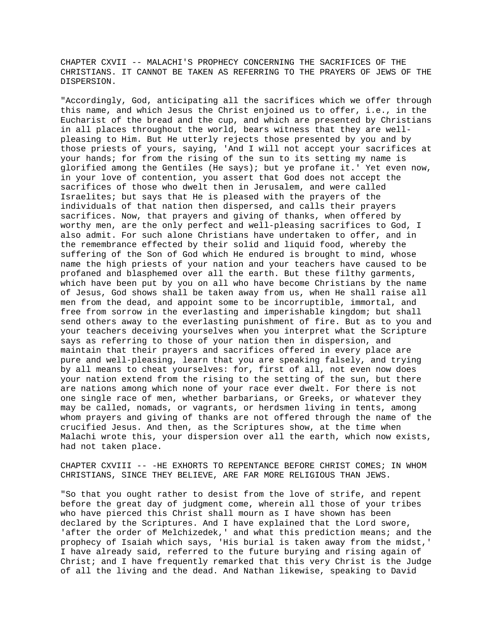CHAPTER CXVII -- MALACHI'S PROPHECY CONCERNING THE SACRIFICES OF THE CHRISTIANS. IT CANNOT BE TAKEN AS REFERRING TO THE PRAYERS OF JEWS OF THE DISPERSION.

"Accordingly, God, anticipating all the sacrifices which we offer through this name, and which Jesus the Christ enjoined us to offer, i.e., in the Eucharist of the bread and the cup, and which are presented by Christians in all places throughout the world, bears witness that they are wellpleasing to Him. But He utterly rejects those presented by you and by those priests of yours, saying, 'And I will not accept your sacrifices at your hands; for from the rising of the sun to its setting my name is glorified among the Gentiles (He says); but ye profane it.' Yet even now, in your love of contention, you assert that God does not accept the sacrifices of those who dwelt then in Jerusalem, and were called Israelites; but says that He is pleased with the prayers of the individuals of that nation then dispersed, and calls their prayers sacrifices. Now, that prayers and giving of thanks, when offered by worthy men, are the only perfect and well-pleasing sacrifices to God, I also admit. For such alone Christians have undertaken to offer, and in the remembrance effected by their solid and liquid food, whereby the suffering of the Son of God which He endured is brought to mind, whose name the high priests of your nation and your teachers have caused to be profaned and blasphemed over all the earth. But these filthy garments, which have been put by you on all who have become Christians by the name of Jesus, God shows shall be taken away from us, when He shall raise all men from the dead, and appoint some to be incorruptible, immortal, and free from sorrow in the everlasting and imperishable kingdom; but shall send others away to the everlasting punishment of fire. But as to you and your teachers deceiving yourselves when you interpret what the Scripture says as referring to those of your nation then in dispersion, and maintain that their prayers and sacrifices offered in every place are pure and well-pleasing, learn that you are speaking falsely, and trying by all means to cheat yourselves: for, first of all, not even now does your nation extend from the rising to the setting of the sun, but there are nations among which none of your race ever dwelt. For there is not one single race of men, whether barbarians, or Greeks, or whatever they may be called, nomads, or vagrants, or herdsmen living in tents, among whom prayers and giving of thanks are not offered through the name of the crucified Jesus. And then, as the Scriptures show, at the time when Malachi wrote this, your dispersion over all the earth, which now exists, had not taken place.

CHAPTER CXVIII -- -HE EXHORTS TO REPENTANCE BEFORE CHRIST COMES; IN WHOM CHRISTIANS, SINCE THEY BELIEVE, ARE FAR MORE RELIGIOUS THAN JEWS.

"So that you ought rather to desist from the love of strife, and repent before the great day of judgment come, wherein all those of your tribes who have pierced this Christ shall mourn as I have shown has been declared by the Scriptures. And I have explained that the Lord swore, 'after the order of Melchizedek,' and what this prediction means; and the prophecy of Isaiah which says, 'His burial is taken away from the midst,' I have already said, referred to the future burying and rising again of Christ; and I have frequently remarked that this very Christ is the Judge of all the living and the dead. And Nathan likewise, speaking to David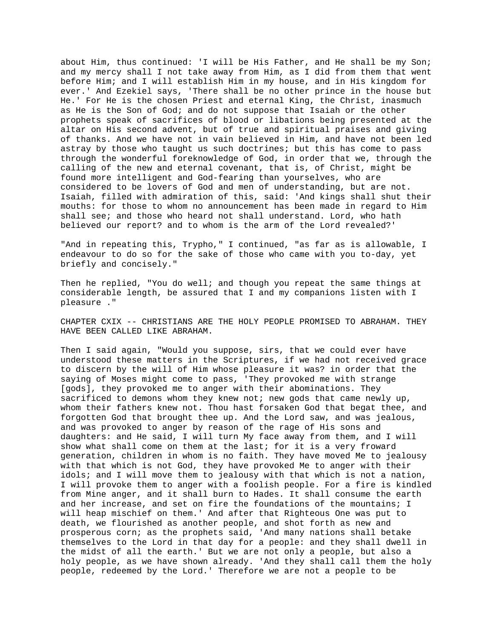about Him, thus continued: 'I will be His Father, and He shall be my Son; and my mercy shall I not take away from Him, as I did from them that went before Him; and I will establish Him in my house, and in His kingdom for ever.' And Ezekiel says, 'There shall be no other prince in the house but He.' For He is the chosen Priest and eternal King, the Christ, inasmuch as He is the Son of God; and do not suppose that Isaiah or the other prophets speak of sacrifices of blood or libations being presented at the altar on His second advent, but of true and spiritual praises and giving of thanks. And we have not in vain believed in Him, and have not been led astray by those who taught us such doctrines; but this has come to pass through the wonderful foreknowledge of God, in order that we, through the calling of the new and eternal covenant, that is, of Christ, might be found more intelligent and God-fearing than yourselves, who are considered to be lovers of God and men of understanding, but are not. Isaiah, filled with admiration of this, said: 'And kings shall shut their mouths: for those to whom no announcement has been made in regard to Him shall see; and those who heard not shall understand. Lord, who hath believed our report? and to whom is the arm of the Lord revealed?'

"And in repeating this, Trypho," I continued, "as far as is allowable, I endeavour to do so for the sake of those who came with you to-day, yet briefly and concisely."

Then he replied, "You do well; and though you repeat the same things at considerable length, be assured that I and my companions listen with I pleasure ."

CHAPTER CXIX -- CHRISTIANS ARE THE HOLY PEOPLE PROMISED TO ABRAHAM. THEY HAVE BEEN CALLED LIKE ABRAHAM.

Then I said again, "Would you suppose, sirs, that we could ever have understood these matters in the Scriptures, if we had not received grace to discern by the will of Him whose pleasure it was? in order that the saying of Moses might come to pass, 'They provoked me with strange [gods], they provoked me to anger with their abominations. They sacrificed to demons whom they knew not; new gods that came newly up, whom their fathers knew not. Thou hast forsaken God that begat thee, and forgotten God that brought thee up. And the Lord saw, and was jealous, and was provoked to anger by reason of the rage of His sons and daughters: and He said, I will turn My face away from them, and I will show what shall come on them at the last; for it is a very froward generation, children in whom is no faith. They have moved Me to jealousy with that which is not God, they have provoked Me to anger with their idols; and I will move them to jealousy with that which is not a nation, I will provoke them to anger with a foolish people. For a fire is kindled from Mine anger, and it shall burn to Hades. It shall consume the earth and her increase, and set on fire the foundations of the mountains; I will heap mischief on them.' And after that Righteous One was put to death, we flourished as another people, and shot forth as new and prosperous corn; as the prophets said, 'And many nations shall betake themselves to the Lord in that day for a people: and they shall dwell in the midst of all the earth.' But we are not only a people, but also a holy people, as we have shown already. 'And they shall call them the holy people, redeemed by the Lord.' Therefore we are not a people to be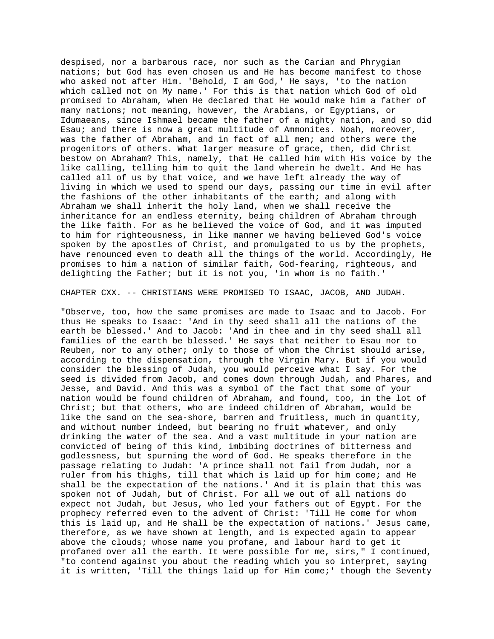despised, nor a barbarous race, nor such as the Carian and Phrygian nations; but God has even chosen us and He has become manifest to those who asked not after Him. 'Behold, I am God,' He says, 'to the nation which called not on My name.' For this is that nation which God of old promised to Abraham, when He declared that He would make him a father of many nations; not meaning, however, the Arabians, or Egyptians, or Idumaeans, since Ishmael became the father of a mighty nation, and so did Esau; and there is now a great multitude of Ammonites. Noah, moreover, was the father of Abraham, and in fact of all men; and others were the progenitors of others. What larger measure of grace, then, did Christ bestow on Abraham? This, namely, that He called him with His voice by the like calling, telling him to quit the land wherein he dwelt. And He has called all of us by that voice, and we have left already the way of living in which we used to spend our days, passing our time in evil after the fashions of the other inhabitants of the earth; and along with Abraham we shall inherit the holy land, when we shall receive the inheritance for an endless eternity, being children of Abraham through the like faith. For as he believed the voice of God, and it was imputed to him for righteousness, in like manner we having believed God's voice spoken by the apostles of Christ, and promulgated to us by the prophets, have renounced even to death all the things of the world. Accordingly, He promises to him a nation of similar faith, God-fearing, righteous, and delighting the Father; but it is not you, 'in whom is no faith.'

CHAPTER CXX. -- CHRISTIANS WERE PROMISED TO ISAAC, JACOB, AND JUDAH.

"Observe, too, how the same promises are made to Isaac and to Jacob. For thus He speaks to Isaac: 'And in thy seed shall all the nations of the earth be blessed.' And to Jacob: 'And in thee and in thy seed shall all families of the earth be blessed.' He says that neither to Esau nor to Reuben, nor to any other; only to those of whom the Christ should arise, according to the dispensation, through the Virgin Mary. But if you would consider the blessing of Judah, you would perceive what I say. For the seed is divided from Jacob, and comes down through Judah, and Phares, and Jesse, and David. And this was a symbol of the fact that some of your nation would be found children of Abraham, and found, too, in the lot of Christ; but that others, who are indeed children of Abraham, would be like the sand on the sea-shore, barren and fruitless, much in quantity, and without number indeed, but bearing no fruit whatever, and only drinking the water of the sea. And a vast multitude in your nation are convicted of being of this kind, imbibing doctrines of bitterness and godlessness, but spurning the word of God. He speaks therefore in the passage relating to Judah: 'A prince shall not fail from Judah, nor a ruler from his thighs, till that which is laid up for him come; and He shall be the expectation of the nations.' And it is plain that this was spoken not of Judah, but of Christ. For all we out of all nations do expect not Judah, but Jesus, who led your fathers out of Egypt. For the prophecy referred even to the advent of Christ: 'Till He come for whom this is laid up, and He shall be the expectation of nations.' Jesus came, therefore, as we have shown at length, and is expected again to appear above the clouds; whose name you profane, and labour hard to get it profaned over all the earth. It were possible for me, sirs," I continued, "to contend against you about the reading which you so interpret, saying it is written, 'Till the things laid up for Him come;' though the Seventy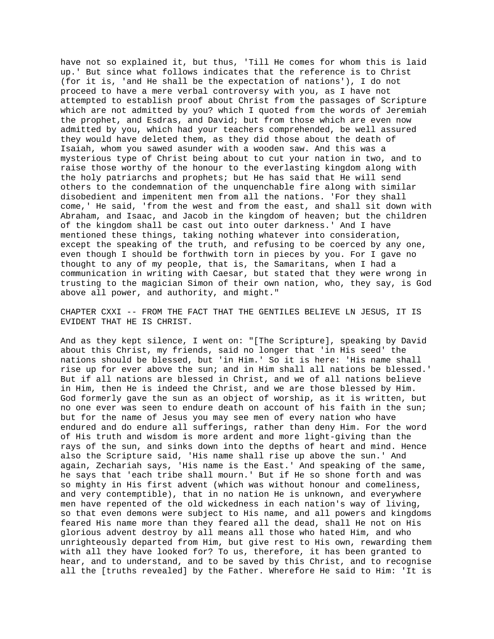have not so explained it, but thus, 'Till He comes for whom this is laid up.' But since what follows indicates that the reference is to Christ (for it is, 'and He shall be the expectation of nations'), I do not proceed to have a mere verbal controversy with you, as I have not attempted to establish proof about Christ from the passages of Scripture which are not admitted by you? which I quoted from the words of Jeremiah the prophet, and Esdras, and David; but from those which are even now admitted by you, which had your teachers comprehended, be well assured they would have deleted them, as they did those about the death of Isaiah, whom you sawed asunder with a wooden saw. And this was a mysterious type of Christ being about to cut your nation in two, and to raise those worthy of the honour to the everlasting kingdom along with the holy patriarchs and prophets; but He has said that He will send others to the condemnation of the unquenchable fire along with similar disobedient and impenitent men from all the nations. 'For they shall come,' He said, 'from the west and from the east, and shall sit down with Abraham, and Isaac, and Jacob in the kingdom of heaven; but the children of the kingdom shall be cast out into outer darkness.' And I have mentioned these things, taking nothing whatever into consideration, except the speaking of the truth, and refusing to be coerced by any one, even though I should be forthwith torn in pieces by you. For I gave no thought to any of my people, that is, the Samaritans, when I had a communication in writing with Caesar, but stated that they were wrong in trusting to the magician Simon of their own nation, who, they say, is God above all power, and authority, and might."

CHAPTER CXXI -- FROM THE FACT THAT THE GENTILES BELIEVE LN JESUS, IT IS EVIDENT THAT HE IS CHRIST.

And as they kept silence, I went on: "[The Scripture], speaking by David about this Christ, my friends, said no longer that 'in His seed' the nations should be blessed, but 'in Him.' So it is here: 'His name shall rise up for ever above the sun; and in Him shall all nations be blessed.' But if all nations are blessed in Christ, and we of all nations believe in Him, then He is indeed the Christ, and we are those blessed by Him. God formerly gave the sun as an object of worship, as it is written, but no one ever was seen to endure death on account of his faith in the sun; but for the name of Jesus you may see men of every nation who have endured and do endure all sufferings, rather than deny Him. For the word of His truth and wisdom is more ardent and more light-giving than the rays of the sun, and sinks down into the depths of heart and mind. Hence also the Scripture said, 'His name shall rise up above the sun.' And again, Zechariah says, 'His name is the East.' And speaking of the same, he says that 'each tribe shall mourn.' But if He so shone forth and was so mighty in His first advent (which was without honour and comeliness, and very contemptible), that in no nation He is unknown, and everywhere men have repented of the old wickedness in each nation's way of living, so that even demons were subject to His name, and all powers and kingdoms feared His name more than they feared all the dead, shall He not on His glorious advent destroy by all means all those who hated Him, and who unrighteously departed from Him, but give rest to His own, rewarding them with all they have looked for? To us, therefore, it has been granted to hear, and to understand, and to be saved by this Christ, and to recognise all the [truths revealed] by the Father. Wherefore He said to Him: 'It is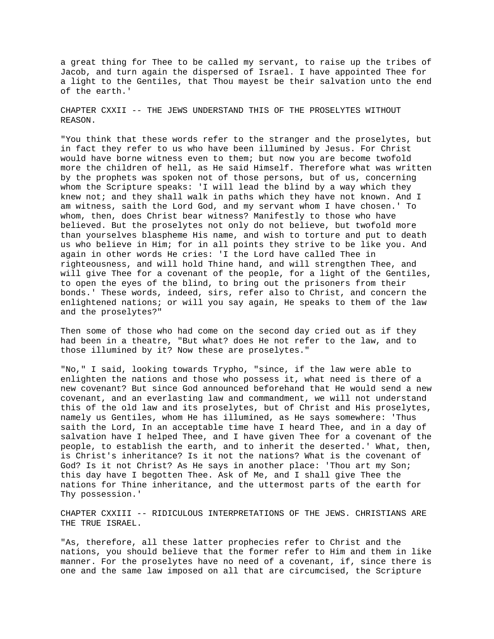a great thing for Thee to be called my servant, to raise up the tribes of Jacob, and turn again the dispersed of Israel. I have appointed Thee for a light to the Gentiles, that Thou mayest be their salvation unto the end of the earth.'

CHAPTER CXXII -- THE JEWS UNDERSTAND THIS OF THE PROSELYTES WITHOUT REASON.

"You think that these words refer to the stranger and the proselytes, but in fact they refer to us who have been illumined by Jesus. For Christ would have borne witness even to them; but now you are become twofold more the children of hell, as He said Himself. Therefore what was written by the prophets was spoken not of those persons, but of us, concerning whom the Scripture speaks: 'I will lead the blind by a way which they knew not; and they shall walk in paths which they have not known. And I am witness, saith the Lord God, and my servant whom I have chosen.' To whom, then, does Christ bear witness? Manifestly to those who have believed. But the proselytes not only do not believe, but twofold more than yourselves blaspheme His name, and wish to torture and put to death us who believe in Him; for in all points they strive to be like you. And again in other words He cries: 'I the Lord have called Thee in righteousness, and will hold Thine hand, and will strengthen Thee, and will give Thee for a covenant of the people, for a light of the Gentiles, to open the eyes of the blind, to bring out the prisoners from their bonds.' These words, indeed, sirs, refer also to Christ, and concern the enlightened nations; or will you say again, He speaks to them of the law and the proselytes?"

Then some of those who had come on the second day cried out as if they had been in a theatre, "But what? does He not refer to the law, and to those illumined by it? Now these are proselytes."

"No," I said, looking towards Trypho, "since, if the law were able to enlighten the nations and those who possess it, what need is there of a new covenant? But since God announced beforehand that He would send a new covenant, and an everlasting law and commandment, we will not understand this of the old law and its proselytes, but of Christ and His proselytes, namely us Gentiles, whom He has illumined, as He says somewhere: 'Thus saith the Lord, In an acceptable time have I heard Thee, and in a day of salvation have I helped Thee, and I have given Thee for a covenant of the people, to establish the earth, and to inherit the deserted.' What, then, is Christ's inheritance? Is it not the nations? What is the covenant of God? Is it not Christ? As He says in another place: 'Thou art my Son; this day have I begotten Thee. Ask of Me, and I shall give Thee the nations for Thine inheritance, and the uttermost parts of the earth for Thy possession.'

CHAPTER CXXIII -- RIDICULOUS INTERPRETATIONS OF THE JEWS. CHRISTIANS ARE THE TRUE ISRAEL.

"As, therefore, all these latter prophecies refer to Christ and the nations, you should believe that the former refer to Him and them in like manner. For the proselytes have no need of a covenant, if, since there is one and the same law imposed on all that are circumcised, the Scripture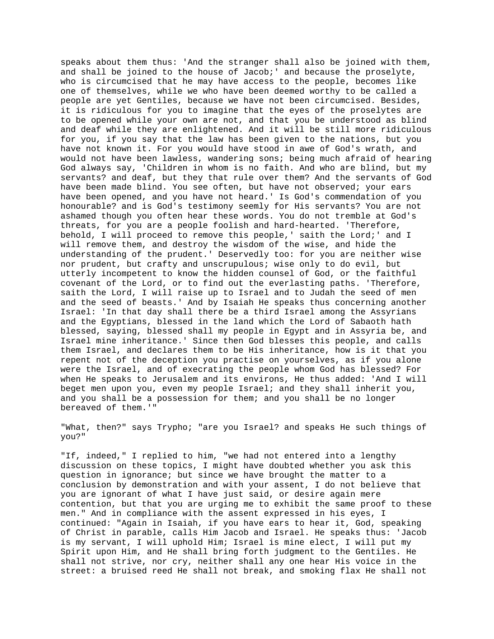speaks about them thus: 'And the stranger shall also be joined with them, and shall be joined to the house of Jacob;' and because the proselyte, who is circumcised that he may have access to the people, becomes like one of themselves, while we who have been deemed worthy to be called a people are yet Gentiles, because we have not been circumcised. Besides, it is ridiculous for you to imagine that the eyes of the proselytes are to be opened while your own are not, and that you be understood as blind and deaf while they are enlightened. And it will be still more ridiculous for you, if you say that the law has been given to the nations, but you have not known it. For you would have stood in awe of God's wrath, and would not have been lawless, wandering sons; being much afraid of hearing God always say, 'Children in whom is no faith. And who are blind, but my servants? and deaf, but they that rule over them? And the servants of God have been made blind. You see often, but have not observed; your ears have been opened, and you have not heard.' Is God's commendation of you honourable? and is God's testimony seemly for His servants? You are not ashamed though you often hear these words. You do not tremble at God's threats, for you are a people foolish and hard-hearted. 'Therefore, behold, I will proceed to remove this people,' saith the Lord;' and I will remove them, and destroy the wisdom of the wise, and hide the understanding of the prudent.' Deservedly too: for you are neither wise nor prudent, but crafty and unscrupulous; wise only to do evil, but utterly incompetent to know the hidden counsel of God, or the faithful covenant of the Lord, or to find out the everlasting paths. 'Therefore, saith the Lord, I will raise up to Israel and to Judah the seed of men and the seed of beasts.' And by Isaiah He speaks thus concerning another Israel: 'In that day shall there be a third Israel among the Assyrians and the Egyptians, blessed in the land which the Lord of Sabaoth hath blessed, saying, blessed shall my people in Egypt and in Assyria be, and Israel mine inheritance.' Since then God blesses this people, and calls them Israel, and declares them to be His inheritance, how is it that you repent not of the deception you practise on yourselves, as if you alone were the Israel, and of execrating the people whom God has blessed? For when He speaks to Jerusalem and its environs, He thus added: 'And I will beget men upon you, even my people Israel; and they shall inherit you, and you shall be a possession for them; and you shall be no longer bereaved of them.'"

"What, then?" says Trypho; "are you Israel? and speaks He such things of you?"

"If, indeed," I replied to him, "we had not entered into a lengthy discussion on these topics, I might have doubted whether you ask this question in ignorance; but since we have brought the matter to a conclusion by demonstration and with your assent, I do not believe that you are ignorant of what I have just said, or desire again mere contention, but that you are urging me to exhibit the same proof to these men." And in compliance with the assent expressed in his eyes, I continued: "Again in Isaiah, if you have ears to hear it, God, speaking of Christ in parable, calls Him Jacob and Israel. He speaks thus: 'Jacob is my servant, I will uphold Him; Israel is mine elect, I will put my Spirit upon Him, and He shall bring forth judgment to the Gentiles. He shall not strive, nor cry, neither shall any one hear His voice in the street: a bruised reed He shall not break, and smoking flax He shall not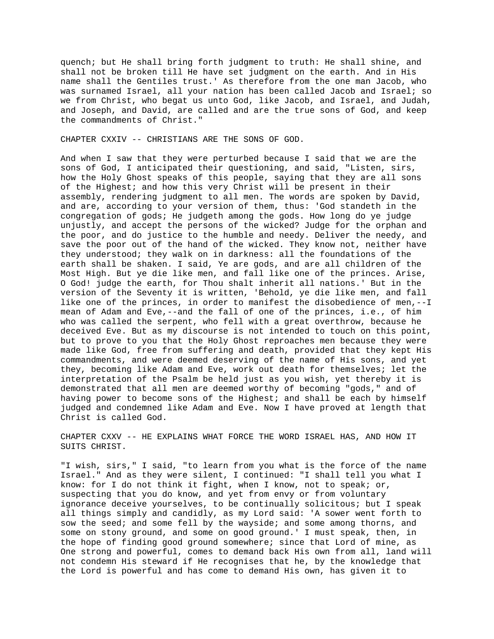quench; but He shall bring forth judgment to truth: He shall shine, and shall not be broken till He have set judgment on the earth. And in His name shall the Gentiles trust.' As therefore from the one man Jacob, who was surnamed Israel, all your nation has been called Jacob and Israel; so we from Christ, who begat us unto God, like Jacob, and Israel, and Judah, and Joseph, and David, are called and are the true sons of God, and keep the commandments of Christ."

CHAPTER CXXIV -- CHRISTIANS ARE THE SONS OF GOD.

And when I saw that they were perturbed because I said that we are the sons of God, I anticipated their questioning, and said, "Listen, sirs, how the Holy Ghost speaks of this people, saying that they are all sons of the Highest; and how this very Christ will be present in their assembly, rendering judgment to all men. The words are spoken by David, and are, according to your version of them, thus: 'God standeth in the congregation of gods; He judgeth among the gods. How long do ye judge unjustly, and accept the persons of the wicked? Judge for the orphan and the poor, and do justice to the humble and needy. Deliver the needy, and save the poor out of the hand of the wicked. They know not, neither have they understood; they walk on in darkness: all the foundations of the earth shall be shaken. I said, Ye are gods, and are all children of the Most High. But ye die like men, and fall like one of the princes. Arise, O God! judge the earth, for Thou shalt inherit all nations.' But in the version of the Seventy it is written, 'Behold, ye die like men, and fall like one of the princes, in order to manifest the disobedience of men,--I mean of Adam and Eve,--and the fall of one of the princes, i.e., of him who was called the serpent, who fell with a great overthrow, because he deceived Eve. But as my discourse is not intended to touch on this point, but to prove to you that the Holy Ghost reproaches men because they were made like God, free from suffering and death, provided that they kept His commandments, and were deemed deserving of the name of His sons, and yet they, becoming like Adam and Eve, work out death for themselves; let the interpretation of the Psalm be held just as you wish, yet thereby it is demonstrated that all men are deemed worthy of becoming "gods," and of having power to become sons of the Highest; and shall be each by himself judged and condemned like Adam and Eve. Now I have proved at length that Christ is called God.

CHAPTER CXXV -- HE EXPLAINS WHAT FORCE THE WORD ISRAEL HAS, AND HOW IT SUITS CHRIST.

"I wish, sirs," I said, "to learn from you what is the force of the name Israel." And as they were silent, I continued: "I shall tell you what I know: for I do not think it fight, when I know, not to speak; or, suspecting that you do know, and yet from envy or from voluntary ignorance deceive yourselves, to be continually solicitous; but I speak all things simply and candidly, as my Lord said: 'A sower went forth to sow the seed; and some fell by the wayside; and some among thorns, and some on stony ground, and some on good ground.' I must speak, then, in the hope of finding good ground somewhere; since that Lord of mine, as One strong and powerful, comes to demand back His own from all, land will not condemn His steward if He recognises that he, by the knowledge that the Lord is powerful and has come to demand His own, has given it to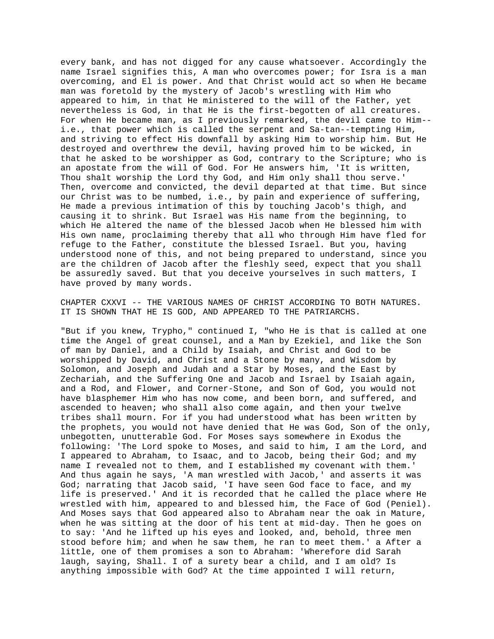every bank, and has not digged for any cause whatsoever. Accordingly the name Israel signifies this, A man who overcomes power; for Isra is a man overcoming, and El is power. And that Christ would act so when He became man was foretold by the mystery of Jacob's wrestling with Him who appeared to him, in that He ministered to the will of the Father, yet nevertheless is God, in that He is the first-begotten of all creatures. For when He became man, as I previously remarked, the devil came to Him- i.e., that power which is called the serpent and Sa-tan--tempting Him, and striving to effect His downfall by asking Him to worship him. But He destroyed and overthrew the devil, having proved him to be wicked, in that he asked to be worshipper as God, contrary to the Scripture; who is an apostate from the will of God. For He answers him, 'It is written, Thou shalt worship the Lord thy God, and Him only shall thou serve.' Then, overcome and convicted, the devil departed at that time. But since our Christ was to be numbed, i.e., by pain and experience of suffering, He made a previous intimation of this by touching Jacob's thigh, and causing it to shrink. But Israel was His name from the beginning, to which He altered the name of the blessed Jacob when He blessed him with His own name, proclaiming thereby that all who through Him have fled for refuge to the Father, constitute the blessed Israel. But you, having understood none of this, and not being prepared to understand, since you are the children of Jacob after the fleshly seed, expect that you shall be assuredly saved. But that you deceive yourselves in such matters, I have proved by many words.

CHAPTER CXXVI -- THE VARIOUS NAMES OF CHRIST ACCORDING TO BOTH NATURES. IT IS SHOWN THAT HE IS GOD, AND APPEARED TO THE PATRIARCHS.

"But if you knew, Trypho," continued I, "who He is that is called at one time the Angel of great counsel, and a Man by Ezekiel, and like the Son of man by Daniel, and a Child by Isaiah, and Christ and God to be worshipped by David, and Christ and a Stone by many, and Wisdom by Solomon, and Joseph and Judah and a Star by Moses, and the East by Zechariah, and the Suffering One and Jacob and Israel by Isaiah again, and a Rod, and Flower, and Corner-Stone, and Son of God, you would not have blasphemer Him who has now come, and been born, and suffered, and ascended to heaven; who shall also come again, and then your twelve tribes shall mourn. For if you had understood what has been written by the prophets, you would not have denied that He was God, Son of the only, unbegotten, unutterable God. For Moses says somewhere in Exodus the following: 'The Lord spoke to Moses, and said to him, I am the Lord, and I appeared to Abraham, to Isaac, and to Jacob, being their God; and my name I revealed not to them, and I established my covenant with them.' And thus again he says, 'A man wrestled with Jacob,' and asserts it was God; narrating that Jacob said, 'I have seen God face to face, and my life is preserved.' And it is recorded that he called the place where He wrestled with him, appeared to and blessed him, the Face of God (Peniel). And Moses says that God appeared also to Abraham near the oak in Mature, when he was sitting at the door of his tent at mid-day. Then he goes on to say: 'And he lifted up his eyes and looked, and, behold, three men stood before him; and when he saw them, he ran to meet them.' a After a little, one of them promises a son to Abraham: 'Wherefore did Sarah laugh, saying, Shall. I of a surety bear a child, and I am old? Is anything impossible with God? At the time appointed I will return,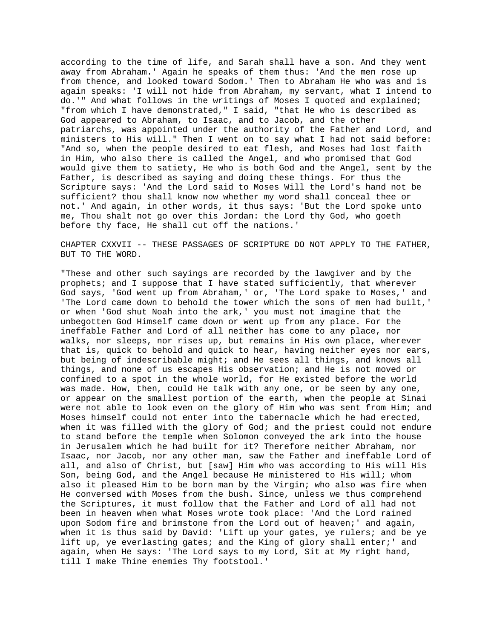according to the time of life, and Sarah shall have a son. And they went away from Abraham.' Again he speaks of them thus: 'And the men rose up from thence, and looked toward Sodom.' Then to Abraham He who was and is again speaks: 'I will not hide from Abraham, my servant, what I intend to do.'" And what follows in the writings of Moses I quoted and explained; "from which I have demonstrated," I said, "that He who is described as God appeared to Abraham, to Isaac, and to Jacob, and the other patriarchs, was appointed under the authority of the Father and Lord, and ministers to His will." Then I went on to say what I had not said before: "And so, when the people desired to eat flesh, and Moses had lost faith in Him, who also there is called the Angel, and who promised that God would give them to satiety, He who is both God and the Angel, sent by the Father, is described as saying and doing these things. For thus the Scripture says: 'And the Lord said to Moses Will the Lord's hand not be sufficient? thou shall know now whether my word shall conceal thee or not.' And again, in other words, it thus says: 'But the Lord spoke unto me, Thou shalt not go over this Jordan: the Lord thy God, who goeth before thy face, He shall cut off the nations.'

CHAPTER CXXVII -- THESE PASSAGES OF SCRIPTURE DO NOT APPLY TO THE FATHER, BUT TO THE WORD.

"These and other such sayings are recorded by the lawgiver and by the prophets; and I suppose that I have stated sufficiently, that wherever God says, 'God went up from Abraham,' or, 'The Lord spake to Moses,' and 'The Lord came down to behold the tower which the sons of men had built,' or when 'God shut Noah into the ark,' you must not imagine that the unbegotten God Himself came down or went up from any place. For the ineffable Father and Lord of all neither has come to any place, nor walks, nor sleeps, nor rises up, but remains in His own place, wherever that is, quick to behold and quick to hear, having neither eyes nor ears, but being of indescribable might; and He sees all things, and knows all things, and none of us escapes His observation; and He is not moved or confined to a spot in the whole world, for He existed before the world was made. How, then, could He talk with any one, or be seen by any one, or appear on the smallest portion of the earth, when the people at Sinai were not able to look even on the glory of Him who was sent from Him; and Moses himself could not enter into the tabernacle which he had erected, when it was filled with the glory of God; and the priest could not endure to stand before the temple when Solomon conveyed the ark into the house in Jerusalem which he had built for it? Therefore neither Abraham, nor Isaac, nor Jacob, nor any other man, saw the Father and ineffable Lord of all, and also of Christ, but [saw] Him who was according to His will His Son, being God, and the Angel because He ministered to His will; whom also it pleased Him to be born man by the Virgin; who also was fire when He conversed with Moses from the bush. Since, unless we thus comprehend the Scriptures, it must follow that the Father and Lord of all had not been in heaven when what Moses wrote took place: 'And the Lord rained upon Sodom fire and brimstone from the Lord out of heaven;' and again, when it is thus said by David: 'Lift up your gates, ye rulers; and be ye lift up, ye everlasting gates; and the King of glory shall enter;' and again, when He says: 'The Lord says to my Lord, Sit at My right hand, till I make Thine enemies Thy footstool.'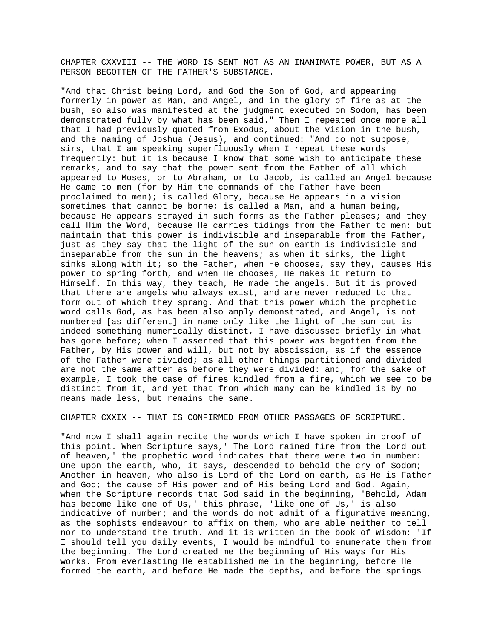CHAPTER CXXVIII -- THE WORD IS SENT NOT AS AN INANIMATE POWER, BUT AS A PERSON BEGOTTEN OF THE FATHER'S SUBSTANCE.

"And that Christ being Lord, and God the Son of God, and appearing formerly in power as Man, and Angel, and in the glory of fire as at the bush, so also was manifested at the judgment executed on Sodom, has been demonstrated fully by what has been said." Then I repeated once more all that I had previously quoted from Exodus, about the vision in the bush, and the naming of Joshua (Jesus), and continued: "And do not suppose, sirs, that I am speaking superfluously when I repeat these words frequently: but it is because I know that some wish to anticipate these remarks, and to say that the power sent from the Father of all which appeared to Moses, or to Abraham, or to Jacob, is called an Angel because He came to men (for by Him the commands of the Father have been proclaimed to men); is called Glory, because He appears in a vision sometimes that cannot be borne; is called a Man, and a human being, because He appears strayed in such forms as the Father pleases; and they call Him the Word, because He carries tidings from the Father to men: but maintain that this power is indivisible and inseparable from the Father, just as they say that the light of the sun on earth is indivisible and inseparable from the sun in the heavens; as when it sinks, the light sinks along with it; so the Father, when He chooses, say they, causes His power to spring forth, and when He chooses, He makes it return to Himself. In this way, they teach, He made the angels. But it is proved that there are angels who always exist, and are never reduced to that form out of which they sprang. And that this power which the prophetic word calls God, as has been also amply demonstrated, and Angel, is not numbered [as different] in name only like the light of the sun but is indeed something numerically distinct, I have discussed briefly in what has gone before; when I asserted that this power was begotten from the Father, by His power and will, but not by abscission, as if the essence of the Father were divided; as all other things partitioned and divided are not the same after as before they were divided: and, for the sake of example, I took the case of fires kindled from a fire, which we see to be distinct from it, and yet that from which many can be kindled is by no means made less, but remains the same.

CHAPTER CXXIX -- THAT IS CONFIRMED FROM OTHER PASSAGES OF SCRIPTURE.

"And now I shall again recite the words which I have spoken in proof of this point. When Scripture says,' The Lord rained fire from the Lord out of heaven,' the prophetic word indicates that there were two in number: One upon the earth, who, it says, descended to behold the cry of Sodom; Another in heaven, who also is Lord of the Lord on earth, as He is Father and God; the cause of His power and of His being Lord and God. Again, when the Scripture records that God said in the beginning, 'Behold, Adam has become like one of Us,' this phrase, 'like one of Us,' is also indicative of number; and the words do not admit of a figurative meaning, as the sophists endeavour to affix on them, who are able neither to tell nor to understand the truth. And it is written in the book of Wisdom: 'If I should tell you daily events, I would be mindful to enumerate them from the beginning. The Lord created me the beginning of His ways for His works. From everlasting He established me in the beginning, before He formed the earth, and before He made the depths, and before the springs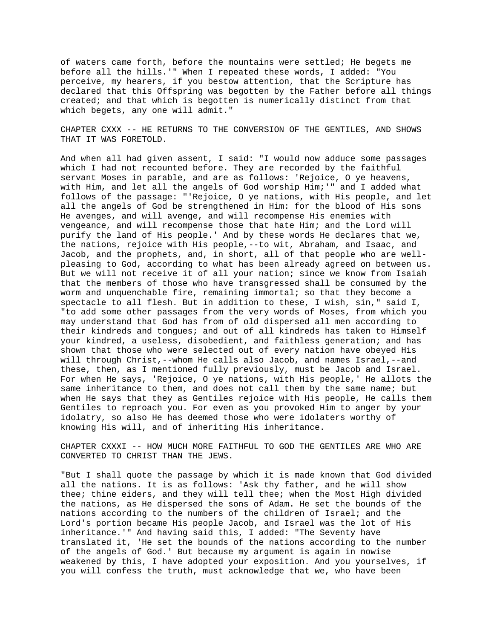of waters came forth, before the mountains were settled; He begets me before all the hills.'" When I repeated these words, I added: "You perceive, my hearers, if you bestow attention, that the Scripture has declared that this Offspring was begotten by the Father before all things created; and that which is begotten is numerically distinct from that which begets, any one will admit."

CHAPTER CXXX -- HE RETURNS TO THE CONVERSION OF THE GENTILES, AND SHOWS THAT IT WAS FORETOLD.

And when all had given assent, I said: "I would now adduce some passages which I had not recounted before. They are recorded by the faithful servant Moses in parable, and are as follows: 'Rejoice, O ye heavens, with Him, and let all the angels of God worship Him;'" and I added what follows of the passage: "'Rejoice, O ye nations, with His people, and let all the angels of God be strengthened in Him: for the blood of His sons He avenges, and will avenge, and will recompense His enemies with vengeance, and will recompense those that hate Him; and the Lord will purify the land of His people.' And by these words He declares that we, the nations, rejoice with His people,--to wit, Abraham, and Isaac, and Jacob, and the prophets, and, in short, all of that people who are wellpleasing to God, according to what has been already agreed on between us. But we will not receive it of all your nation; since we know from Isaiah that the members of those who have transgressed shall be consumed by the worm and unquenchable fire, remaining immortal; so that they become a spectacle to all flesh. But in addition to these, I wish, sin," said I, "to add some other passages from the very words of Moses, from which you may understand that God has from of old dispersed all men according to their kindreds and tongues; and out of all kindreds has taken to Himself your kindred, a useless, disobedient, and faithless generation; and has shown that those who were selected out of every nation have obeyed His will through Christ,--whom He calls also Jacob, and names Israel,--and these, then, as I mentioned fully previously, must be Jacob and Israel. For when He says, 'Rejoice, O ye nations, with His people,' He allots the same inheritance to them, and does not call them by the same name; but when He says that they as Gentiles rejoice with His people, He calls them Gentiles to reproach you. For even as you provoked Him to anger by your idolatry, so also He has deemed those who were idolaters worthy of knowing His will, and of inheriting His inheritance.

CHAPTER CXXXI -- HOW MUCH MORE FAITHFUL TO GOD THE GENTILES ARE WHO ARE CONVERTED TO CHRIST THAN THE JEWS.

"But I shall quote the passage by which it is made known that God divided all the nations. It is as follows: 'Ask thy father, and he will show thee; thine eiders, and they will tell thee; when the Most High divided the nations, as He dispersed the sons of Adam. He set the bounds of the nations according to the numbers of the children of Israel; and the Lord's portion became His people Jacob, and Israel was the lot of His inheritance.'" And having said this, I added: "The Seventy have translated it, 'He set the bounds of the nations according to the number of the angels of God.' But because my argument is again in nowise weakened by this, I have adopted your exposition. And you yourselves, if you will confess the truth, must acknowledge that we, who have been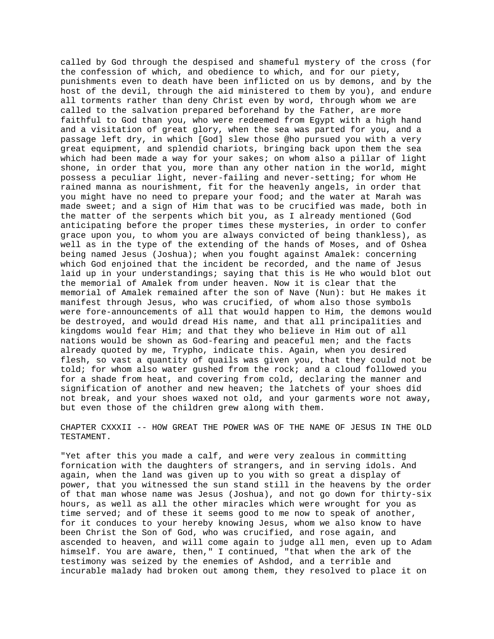called by God through the despised and shameful mystery of the cross (for the confession of which, and obedience to which, and for our piety, punishments even to death have been inflicted on us by demons, and by the host of the devil, through the aid ministered to them by you), and endure all torments rather than deny Christ even by word, through whom we are called to the salvation prepared beforehand by the Father, are more faithful to God than you, who were redeemed from Egypt with a high hand and a visitation of great glory, when the sea was parted for you, and a passage left dry, in which [God] slew those @ho pursued you with a very great equipment, and splendid chariots, bringing back upon them the sea which had been made a way for your sakes; on whom also a pillar of light shone, in order that you, more than any other nation in the world, might possess a peculiar light, never-failing and never-setting; for whom He rained manna as nourishment, fit for the heavenly angels, in order that you might have no need to prepare your food; and the water at Marah was made sweet; and a sign of Him that was to be crucified was made, both in the matter of the serpents which bit you, as I already mentioned (God anticipating before the proper times these mysteries, in order to confer grace upon you, to whom you are always convicted of being thankless), as well as in the type of the extending of the hands of Moses, and of Oshea being named Jesus (Joshua); when you fought against Amalek: concerning which God enjoined that the incident be recorded, and the name of Jesus laid up in your understandings; saying that this is He who would blot out the memorial of Amalek from under heaven. Now it is clear that the memorial of Amalek remained after the son of Nave (Nun): but He makes it manifest through Jesus, who was crucified, of whom also those symbols were fore-announcements of all that would happen to Him, the demons would be destroyed, and would dread His name, and that all principalities and kingdoms would fear Him; and that they who believe in Him out of all nations would be shown as God-fearing and peaceful men; and the facts already quoted by me, Trypho, indicate this. Again, when you desired flesh, so vast a quantity of quails was given you, that they could not be told; for whom also water gushed from the rock; and a cloud followed you for a shade from heat, and covering from cold, declaring the manner and signification of another and new heaven; the latchets of your shoes did not break, and your shoes waxed not old, and your garments wore not away, but even those of the children grew along with them.

CHAPTER CXXXII -- HOW GREAT THE POWER WAS OF THE NAME OF JESUS IN THE OLD TESTAMENT.

"Yet after this you made a calf, and were very zealous in committing fornication with the daughters of strangers, and in serving idols. And again, when the land was given up to you with so great a display of power, that you witnessed the sun stand still in the heavens by the order of that man whose name was Jesus (Joshua), and not go down for thirty-six hours, as well as all the other miracles which were wrought for you as time served; and of these it seems good to me now to speak of another, for it conduces to your hereby knowing Jesus, whom we also know to have been Christ the Son of God, who was crucified, and rose again, and ascended to heaven, and will come again to judge all men, even up to Adam himself. You are aware, then," I continued, "that when the ark of the testimony was seized by the enemies of Ashdod, and a terrible and incurable malady had broken out among them, they resolved to place it on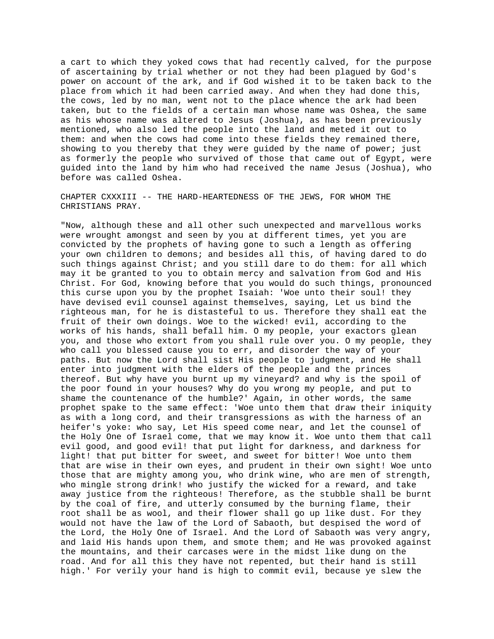a cart to which they yoked cows that had recently calved, for the purpose of ascertaining by trial whether or not they had been plagued by God's power on account of the ark, and if God wished it to be taken back to the place from which it had been carried away. And when they had done this, the cows, led by no man, went not to the place whence the ark had been taken, but to the fields of a certain man whose name was Oshea, the same as his whose name was altered to Jesus (Joshua), as has been previously mentioned, who also led the people into the land and meted it out to them: and when the cows had come into these fields they remained there, showing to you thereby that they were guided by the name of power; just as formerly the people who survived of those that came out of Egypt, were guided into the land by him who had received the name Jesus (Joshua), who before was called Oshea.

CHAPTER CXXXIII -- THE HARD-HEARTEDNESS OF THE JEWS, FOR WHOM THE CHRISTIANS PRAY.

"Now, although these and all other such unexpected and marvellous works were wrought amongst and seen by you at different times, yet you are convicted by the prophets of having gone to such a length as offering your own children to demons; and besides all this, of having dared to do such things against Christ; and you still dare to do them: for all which may it be granted to you to obtain mercy and salvation from God and His Christ. For God, knowing before that you would do such things, pronounced this curse upon you by the prophet Isaiah: 'Woe unto their soul! they have devised evil counsel against themselves, saying, Let us bind the righteous man, for he is distasteful to us. Therefore they shall eat the fruit of their own doings. Woe to the wicked! evil, according to the works of his hands, shall befall him. O my people, your exactors glean you, and those who extort from you shall rule over you. O my people, they who call you blessed cause you to err, and disorder the way of your paths. But now the Lord shall sist His people to judgment, and He shall enter into judgment with the elders of the people and the princes thereof. But why have you burnt up my vineyard? and why is the spoil of the poor found in your houses? Why do you wrong my people, and put to shame the countenance of the humble?' Again, in other words, the same prophet spake to the same effect: 'Woe unto them that draw their iniquity as with a long cord, and their transgressions as with the harness of an heifer's yoke: who say, Let His speed come near, and let the counsel of the Holy One of Israel come, that we may know it. Woe unto them that call evil good, and good evil! that put light for darkness, and darkness for light! that put bitter for sweet, and sweet for bitter! Woe unto them that are wise in their own eyes, and prudent in their own sight! Woe unto those that are mighty among you, who drink wine, who are men of strength, who mingle strong drink! who justify the wicked for a reward, and take away justice from the righteous! Therefore, as the stubble shall be burnt by the coal of fire, and utterly consumed by the burning flame, their root shall be as wool, and their flower shall go up like dust. For they would not have the law of the Lord of Sabaoth, but despised the word of the Lord, the Holy One of Israel. And the Lord of Sabaoth was very angry, and laid His hands upon them, and smote them; and He was provoked against the mountains, and their carcases were in the midst like dung on the road. And for all this they have not repented, but their hand is still high.' For verily your hand is high to commit evil, because ye slew the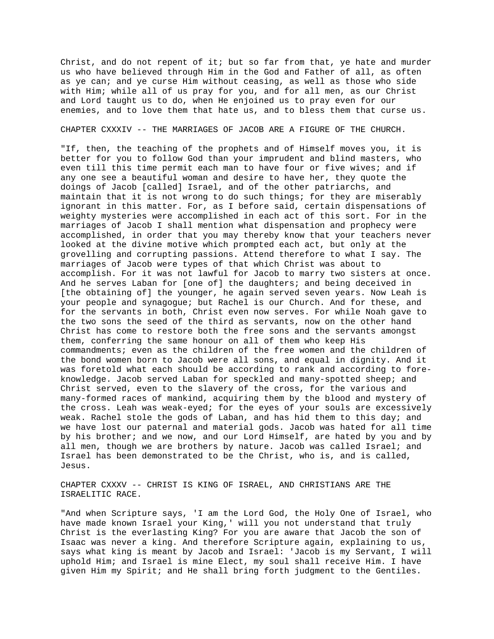Christ, and do not repent of it; but so far from that, ye hate and murder us who have believed through Him in the God and Father of all, as often as ye can; and ye curse Him without ceasing, as well as those who side with Him; while all of us pray for you, and for all men, as our Christ and Lord taught us to do, when He enjoined us to pray even for our enemies, and to love them that hate us, and to bless them that curse us.

## CHAPTER CXXXIV -- THE MARRIAGES OF JACOB ARE A FIGURE OF THE CHURCH.

"If, then, the teaching of the prophets and of Himself moves you, it is better for you to follow God than your imprudent and blind masters, who even till this time permit each man to have four or five wives; and if any one see a beautiful woman and desire to have her, they quote the doings of Jacob [called] Israel, and of the other patriarchs, and maintain that it is not wrong to do such things; for they are miserably ignorant in this matter. For, as I before said, certain dispensations of weighty mysteries were accomplished in each act of this sort. For in the marriages of Jacob I shall mention what dispensation and prophecy were accomplished, in order that you may thereby know that your teachers never looked at the divine motive which prompted each act, but only at the grovelling and corrupting passions. Attend therefore to what I say. The marriages of Jacob were types of that which Christ was about to accomplish. For it was not lawful for Jacob to marry two sisters at once. And he serves Laban for [one of] the daughters; and being deceived in [the obtaining of] the younger, he again served seven years. Now Leah is your people and synagogue; but Rachel is our Church. And for these, and for the servants in both, Christ even now serves. For while Noah gave to the two sons the seed of the third as servants, now on the other hand Christ has come to restore both the free sons and the servants amongst them, conferring the same honour on all of them who keep His commandments; even as the children of the free women and the children of the bond women born to Jacob were all sons, and equal in dignity. And it was foretold what each should be according to rank and according to foreknowledge. Jacob served Laban for speckled and many-spotted sheep; and Christ served, even to the slavery of the cross, for the various and many-formed races of mankind, acquiring them by the blood and mystery of the cross. Leah was weak-eyed; for the eyes of your souls are excessively weak. Rachel stole the gods of Laban, and has hid them to this day; and we have lost our paternal and material gods. Jacob was hated for all time by his brother; and we now, and our Lord Himself, are hated by you and by all men, though we are brothers by nature. Jacob was called Israel; and Israel has been demonstrated to be the Christ, who is, and is called, Jesus.

CHAPTER CXXXV -- CHRIST IS KING OF ISRAEL, AND CHRISTIANS ARE THE ISRAELITIC RACE.

"And when Scripture says, 'I am the Lord God, the Holy One of Israel, who have made known Israel your King,' will you not understand that truly Christ is the everlasting King? For you are aware that Jacob the son of Isaac was never a king. And therefore Scripture again, explaining to us, says what king is meant by Jacob and Israel: 'Jacob is my Servant, I will uphold Him; and Israel is mine Elect, my soul shall receive Him. I have given Him my Spirit; and He shall bring forth judgment to the Gentiles.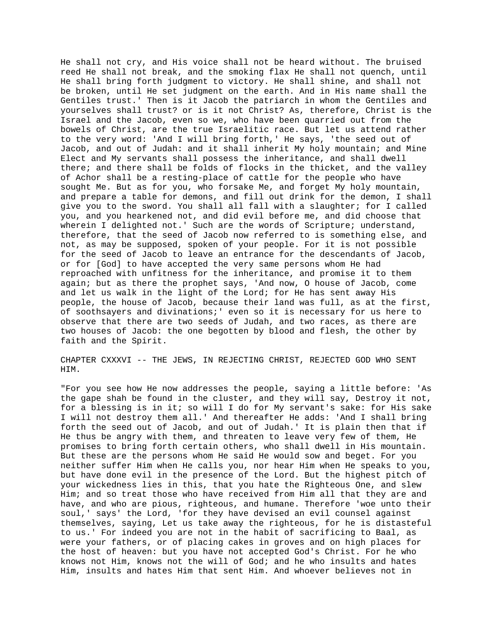He shall not cry, and His voice shall not be heard without. The bruised reed He shall not break, and the smoking flax He shall not quench, until He shall bring forth judgment to victory. He shall shine, and shall not be broken, until He set judgment on the earth. And in His name shall the Gentiles trust.' Then is it Jacob the patriarch in whom the Gentiles and yourselves shall trust? or is it not Christ? As, therefore, Christ is the Israel and the Jacob, even so we, who have been quarried out from the bowels of Christ, are the true Israelitic race. But let us attend rather to the very word: 'And I will bring forth,' He says, 'the seed out of Jacob, and out of Judah: and it shall inherit My holy mountain; and Mine Elect and My servants shall possess the inheritance, and shall dwell there; and there shall be folds of flocks in the thicket, and the valley of Achor shall be a resting-place of cattle for the people who have sought Me. But as for you, who forsake Me, and forget My holy mountain, and prepare a table for demons, and fill out drink for the demon, I shall give you to the sword. You shall all fall with a slaughter; for I called you, and you hearkened not, and did evil before me, and did choose that wherein I delighted not.' Such are the words of Scripture; understand, therefore, that the seed of Jacob now referred to is something else, and not, as may be supposed, spoken of your people. For it is not possible for the seed of Jacob to leave an entrance for the descendants of Jacob, or for [God] to have accepted the very same persons whom He had reproached with unfitness for the inheritance, and promise it to them again; but as there the prophet says, 'And now, O house of Jacob, come and let us walk in the light of the Lord; for He has sent away His people, the house of Jacob, because their land was full, as at the first, of soothsayers and divinations;' even so it is necessary for us here to observe that there are two seeds of Judah, and two races, as there are two houses of Jacob: the one begotten by blood and flesh, the other by faith and the Spirit.

CHAPTER CXXXVI -- THE JEWS, IN REJECTING CHRIST, REJECTED GOD WHO SENT HIM.

"For you see how He now addresses the people, saying a little before: 'As the gape shah be found in the cluster, and they will say, Destroy it not, for a blessing is in it; so will I do for My servant's sake: for His sake I will not destroy them all.' And thereafter He adds: 'And I shall bring forth the seed out of Jacob, and out of Judah.' It is plain then that if He thus be angry with them, and threaten to leave very few of them, He promises to bring forth certain others, who shall dwell in His mountain. But these are the persons whom He said He would sow and beget. For you neither suffer Him when He calls you, nor hear Him when He speaks to you, but have done evil in the presence of the Lord. But the highest pitch of your wickedness lies in this, that you hate the Righteous One, and slew Him; and so treat those who have received from Him all that they are and have, and who are pious, righteous, and humane. Therefore 'woe unto their soul,' says' the Lord, 'for they have devised an evil counsel against themselves, saying, Let us take away the righteous, for he is distasteful to us.' For indeed you are not in the habit of sacrificing to Baal, as were your fathers, or of placing cakes in groves and on high places for the host of heaven: but you have not accepted God's Christ. For he who knows not Him, knows not the will of God; and he who insults and hates Him, insults and hates Him that sent Him. And whoever believes not in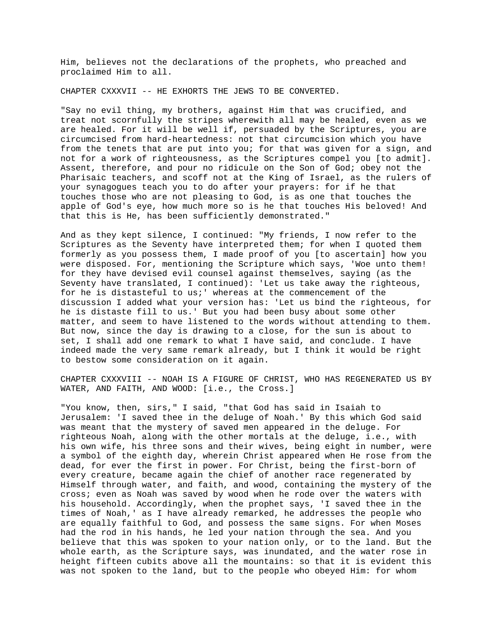Him, believes not the declarations of the prophets, who preached and proclaimed Him to all.

CHAPTER CXXXVII -- HE EXHORTS THE JEWS TO BE CONVERTED.

"Say no evil thing, my brothers, against Him that was crucified, and treat not scornfully the stripes wherewith all may be healed, even as we are healed. For it will be well if, persuaded by the Scriptures, you are circumcised from hard-heartedness: not that circumcision which you have from the tenets that are put into you; for that was given for a sign, and not for a work of righteousness, as the Scriptures compel you [to admit]. Assent, therefore, and pour no ridicule on the Son of God; obey not the Pharisaic teachers, and scoff not at the King of Israel, as the rulers of your synagogues teach you to do after your prayers: for if he that touches those who are not pleasing to God, is as one that touches the apple of God's eye, how much more so is he that touches His beloved! And that this is He, has been sufficiently demonstrated."

And as they kept silence, I continued: "My friends, I now refer to the Scriptures as the Seventy have interpreted them; for when I quoted them formerly as you possess them, I made proof of you [to ascertain] how you were disposed. For, mentioning the Scripture which says, 'Woe unto them! for they have devised evil counsel against themselves, saying (as the Seventy have translated, I continued): 'Let us take away the righteous, for he is distasteful to us;' whereas at the commencement of the discussion I added what your version has: 'Let us bind the righteous, for he is distaste fill to us.' But you had been busy about some other matter, and seem to have listened to the words without attending to them. But now, since the day is drawing to a close, for the sun is about to set, I shall add one remark to what I have said, and conclude. I have indeed made the very same remark already, but I think it would be right to bestow some consideration on it again.

CHAPTER CXXXVIII -- NOAH IS A FIGURE OF CHRIST, WHO HAS REGENERATED US BY WATER, AND FAITH, AND WOOD: [i.e., the Cross.]

"You know, then, sirs," I said, "that God has said in Isaiah to Jerusalem: 'I saved thee in the deluge of Noah.' By this which God said was meant that the mystery of saved men appeared in the deluge. For righteous Noah, along with the other mortals at the deluge, i.e., with his own wife, his three sons and their wives, being eight in number, were a symbol of the eighth day, wherein Christ appeared when He rose from the dead, for ever the first in power. For Christ, being the first-born of every creature, became again the chief of another race regenerated by Himself through water, and faith, and wood, containing the mystery of the cross; even as Noah was saved by wood when he rode over the waters with his household. Accordingly, when the prophet says, 'I saved thee in the times of Noah,' as I have already remarked, he addresses the people who are equally faithful to God, and possess the same signs. For when Moses had the rod in his hands, he led your nation through the sea. And you believe that this was spoken to your nation only, or to the land. But the whole earth, as the Scripture says, was inundated, and the water rose in height fifteen cubits above all the mountains: so that it is evident this was not spoken to the land, but to the people who obeyed Him: for whom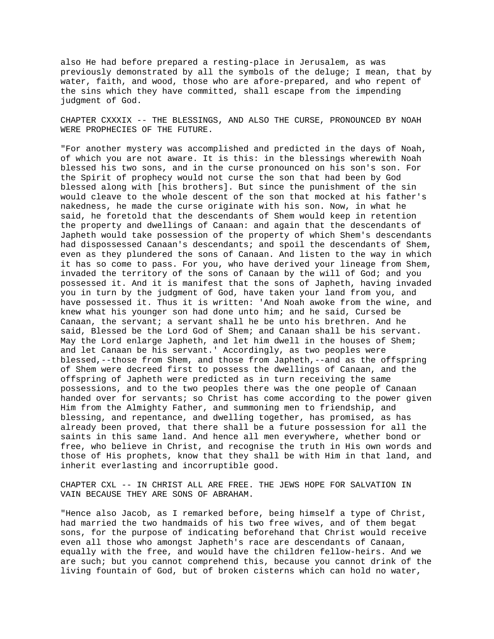also He had before prepared a resting-place in Jerusalem, as was previously demonstrated by all the symbols of the deluge; I mean, that by water, faith, and wood, those who are afore-prepared, and who repent of the sins which they have committed, shall escape from the impending judgment of God.

CHAPTER CXXXIX -- THE BLESSINGS, AND ALSO THE CURSE, PRONOUNCED BY NOAH WERE PROPHECIES OF THE FUTURE.

"For another mystery was accomplished and predicted in the days of Noah, of which you are not aware. It is this: in the blessings wherewith Noah blessed his two sons, and in the curse pronounced on his son's son. For the Spirit of prophecy would not curse the son that had been by God blessed along with [his brothers]. But since the punishment of the sin would cleave to the whole descent of the son that mocked at his father's nakedness, he made the curse originate with his son. Now, in what he said, he foretold that the descendants of Shem would keep in retention the property and dwellings of Canaan: and again that the descendants of Japheth would take possession of the property of which Shem's descendants had dispossessed Canaan's descendants; and spoil the descendants of Shem, even as they plundered the sons of Canaan. And listen to the way in which it has so come to pass. For you, who have derived your lineage from Shem, invaded the territory of the sons of Canaan by the will of God; and you possessed it. And it is manifest that the sons of Japheth, having invaded you in turn by the judgment of God, have taken your land from you, and have possessed it. Thus it is written: 'And Noah awoke from the wine, and knew what his younger son had done unto him; and he said, Cursed be Canaan, the servant; a servant shall he be unto his brethren. And he said, Blessed be the Lord God of Shem; and Canaan shall be his servant. May the Lord enlarge Japheth, and let him dwell in the houses of Shem; and let Canaan be his servant.' Accordingly, as two peoples were blessed,--those from Shem, and those from Japheth,--and as the offspring of Shem were decreed first to possess the dwellings of Canaan, and the offspring of Japheth were predicted as in turn receiving the same possessions, and to the two peoples there was the one people of Canaan handed over for servants; so Christ has come according to the power given Him from the Almighty Father, and summoning men to friendship, and blessing, and repentance, and dwelling together, has promised, as has already been proved, that there shall be a future possession for all the saints in this same land. And hence all men everywhere, whether bond or free, who believe in Christ, and recognise the truth in His own words and those of His prophets, know that they shall be with Him in that land, and inherit everlasting and incorruptible good.

CHAPTER CXL -- IN CHRIST ALL ARE FREE. THE JEWS HOPE FOR SALVATION IN VAIN BECAUSE THEY ARE SONS OF ABRAHAM.

"Hence also Jacob, as I remarked before, being himself a type of Christ, had married the two handmaids of his two free wives, and of them begat sons, for the purpose of indicating beforehand that Christ would receive even all those who amongst Japheth's race are descendants of Canaan, equally with the free, and would have the children fellow-heirs. And we are such; but you cannot comprehend this, because you cannot drink of the living fountain of God, but of broken cisterns which can hold no water,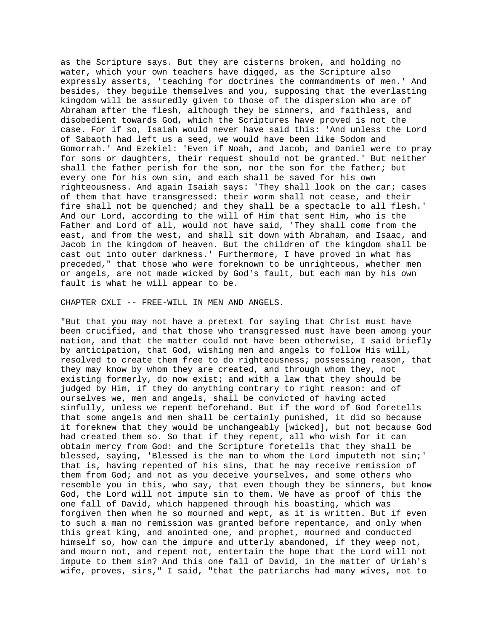as the Scripture says. But they are cisterns broken, and holding no water, which your own teachers have digged, as the Scripture also expressly asserts, 'teaching for doctrines the commandments of men.' And besides, they beguile themselves and you, supposing that the everlasting kingdom will be assuredly given to those of the dispersion who are of Abraham after the flesh, although they be sinners, and faithless, and disobedient towards God, which the Scriptures have proved is not the case. For if so, Isaiah would never have said this: 'And unless the Lord of Sabaoth had left us a seed, we would have been like Sodom and Gomorrah.' And Ezekiel: 'Even if Noah, and Jacob, and Daniel were to pray for sons or daughters, their request should not be granted.' But neither shall the father perish for the son, nor the son for the father; but every one for his own sin, and each shall be saved for his own righteousness. And again Isaiah says: 'They shall look on the car; cases of them that have transgressed: their worm shall not cease, and their fire shall not be quenched; and they shall be a spectacle to all flesh.' And our Lord, according to the will of Him that sent Him, who is the Father and Lord of all, would not have said, 'They shall come from the east, and from the west, and shall sit down with Abraham, and Isaac, and Jacob in the kingdom of heaven. But the children of the kingdom shall be cast out into outer darkness.' Furthermore, I have proved in what has preceded," that those who were foreknown to be unrighteous, whether men or angels, are not made wicked by God's fault, but each man by his own fault is what he will appear to be.

CHAPTER CXLI -- FREE-WILL IN MEN AND ANGELS.

"But that you may not have a pretext for saying that Christ must have been crucified, and that those who transgressed must have been among your nation, and that the matter could not have been otherwise, I said briefly by anticipation, that God, wishing men and angels to follow His will, resolved to create them free to do righteousness; possessing reason, that they may know by whom they are created, and through whom they, not existing formerly, do now exist; and with a law that they should be judged by Him, if they do anything contrary to right reason: and of ourselves we, men and angels, shall be convicted of having acted sinfully, unless we repent beforehand. But if the word of God foretells that some angels and men shall be certainly punished, it did so because it foreknew that they would be unchangeably [wicked], but not because God had created them so. So that if they repent, all who wish for it can obtain mercy from God: and the Scripture foretells that they shall be blessed, saying, 'Blessed is the man to whom the Lord imputeth not sin;' that is, having repented of his sins, that he may receive remission of them from God; and not as you deceive yourselves, and some others who resemble you in this, who say, that even though they be sinners, but know God, the Lord will not impute sin to them. We have as proof of this the one fall of David, which happened through his boasting, which was forgiven then when he so mourned and wept, as it is written. But if even to such a man no remission was granted before repentance, and only when this great king, and anointed one, and prophet, mourned and conducted himself so, how can the impure and utterly abandoned, if they weep not, and mourn not, and repent not, entertain the hope that the Lord will not impute to them sin? And this one fall of David, in the matter of Uriah's wife, proves, sirs," I said, "that the patriarchs had many wives, not to